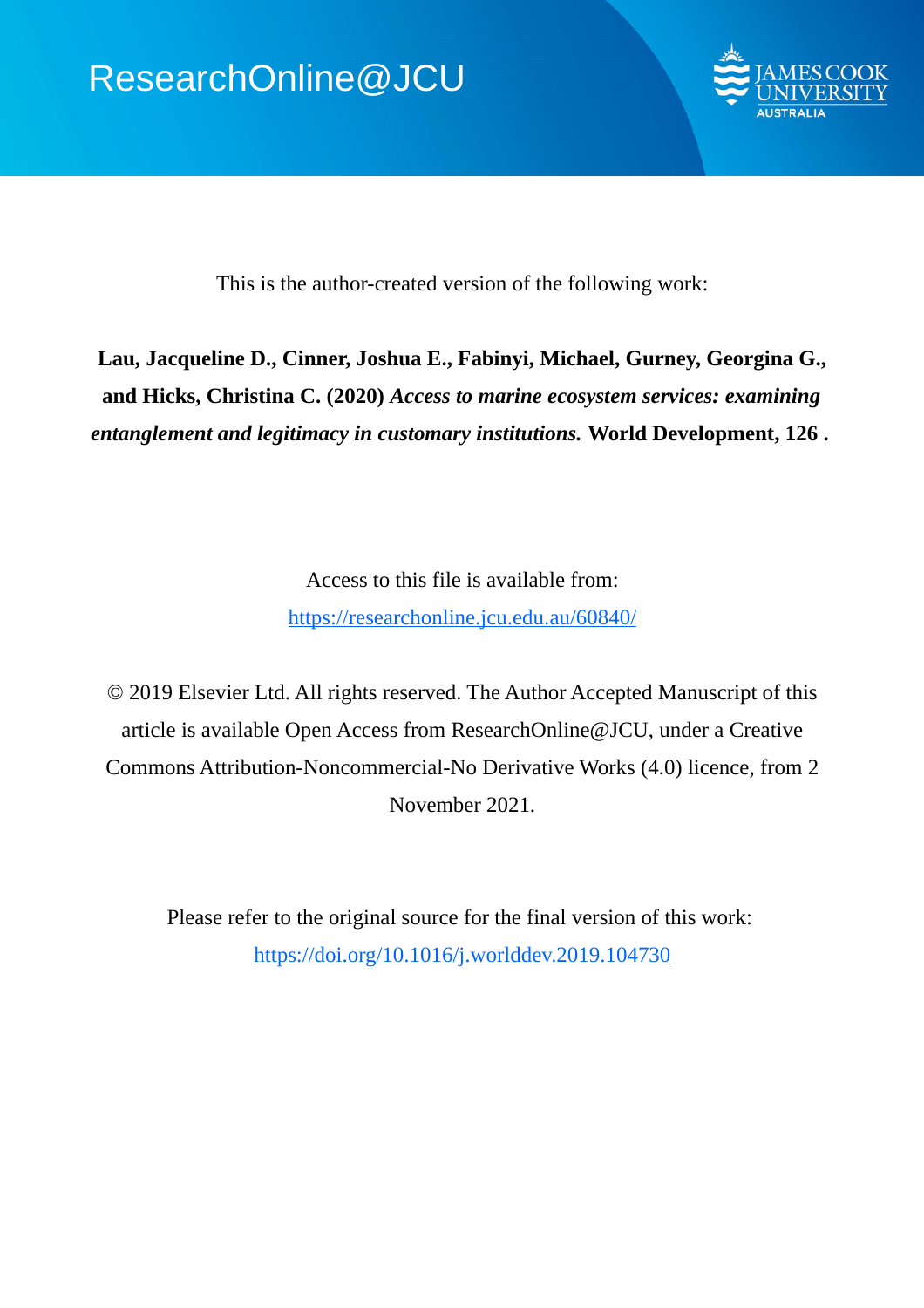

This is the author-created version of the following work:

**Lau, Jacqueline D., Cinner, Joshua E., Fabinyi, Michael, Gurney, Georgina G., and Hicks, Christina C. (2020)** *Access to marine ecosystem services: examining entanglement and legitimacy in customary institutions.* **World Development, 126 .** 

> Access to this file is available from: https://researchonline.jcu.edu.au/60840/

© 2019 Elsevier Ltd. All rights reserved. The Author Accepted Manuscript of this article is available Open Access from ResearchOnline@JCU, under a Creative Commons Attribution-Noncommercial-No Derivative Works (4.0) licence, from 2 November 2021.

Please refer to the original source for the final version of this work: https://doi.org/10.1016/j.worlddev.2019.104730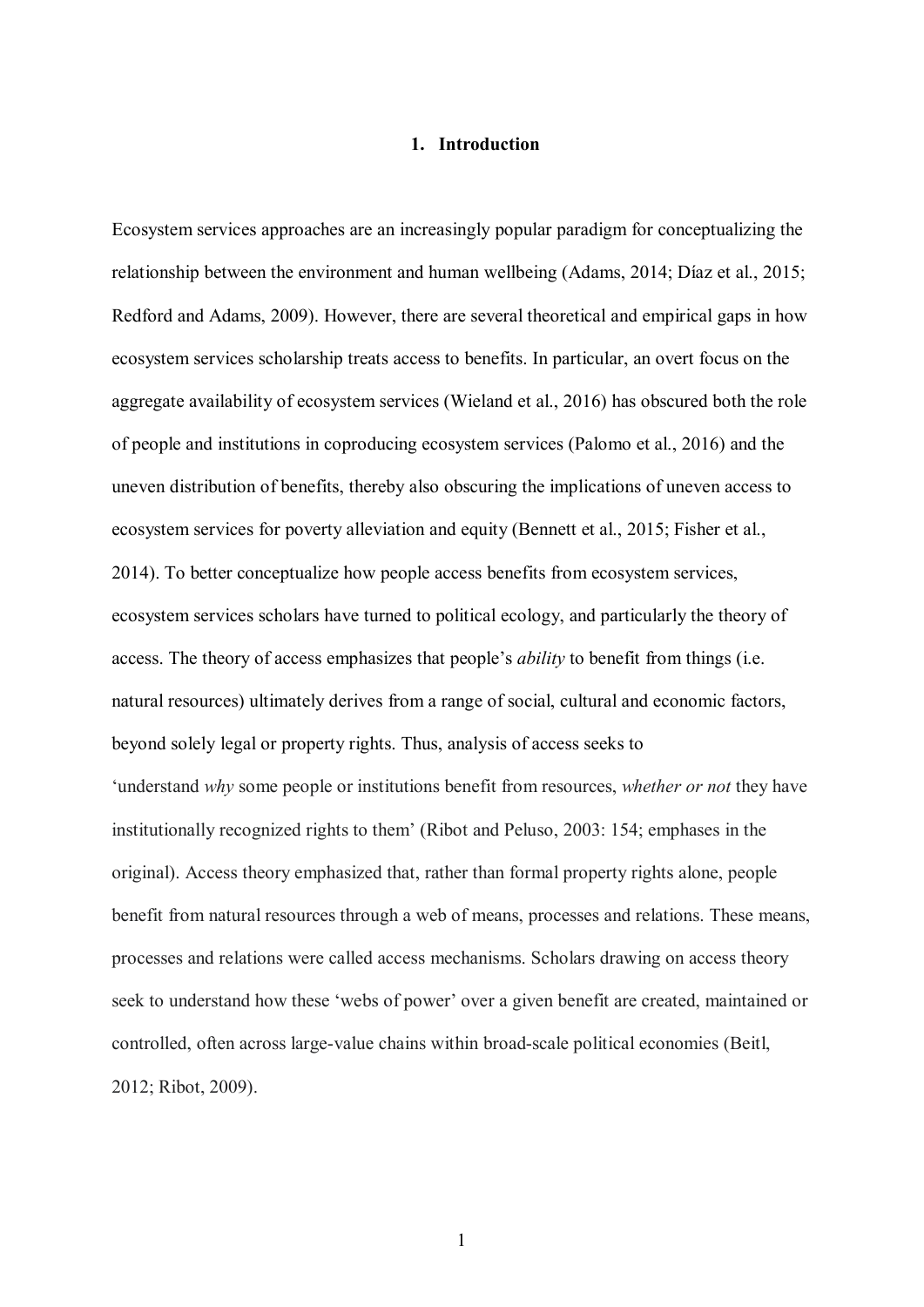## **1. Introduction**

Ecosystem services approaches are an increasingly popular paradigm for conceptualizing the relationship between the environment and human wellbeing (Adams, 2014; Díaz et al., 2015; Redford and Adams, 2009). However, there are several theoretical and empirical gaps in how ecosystem services scholarship treats access to benefits. In particular, an overt focus on the aggregate availability of ecosystem services (Wieland et al., 2016) has obscured both the role of people and institutions in coproducing ecosystem services (Palomo et al., 2016) and the uneven distribution of benefits, thereby also obscuring the implications of uneven access to ecosystem services for poverty alleviation and equity (Bennett et al., 2015; Fisher et al., 2014). To better conceptualize how people access benefits from ecosystem services, ecosystem services scholars have turned to political ecology, and particularly the theory of access. The theory of access emphasizes that people's *ability* to benefit from things (i.e. natural resources) ultimately derives from a range of social, cultural and economic factors, beyond solely legal or property rights. Thus, analysis of access seeks to 'understand *why* some people or institutions benefit from resources, *whether or not* they have institutionally recognized rights to them' (Ribot and Peluso, 2003: 154; emphases in the original). Access theory emphasized that, rather than formal property rights alone, people benefit from natural resources through a web of means, processes and relations. These means, processes and relations were called access mechanisms. Scholars drawing on access theory seek to understand how these 'webs of power' over a given benefit are created, maintained or controlled, often across large-value chains within broad-scale political economies (Beitl, 2012; Ribot, 2009).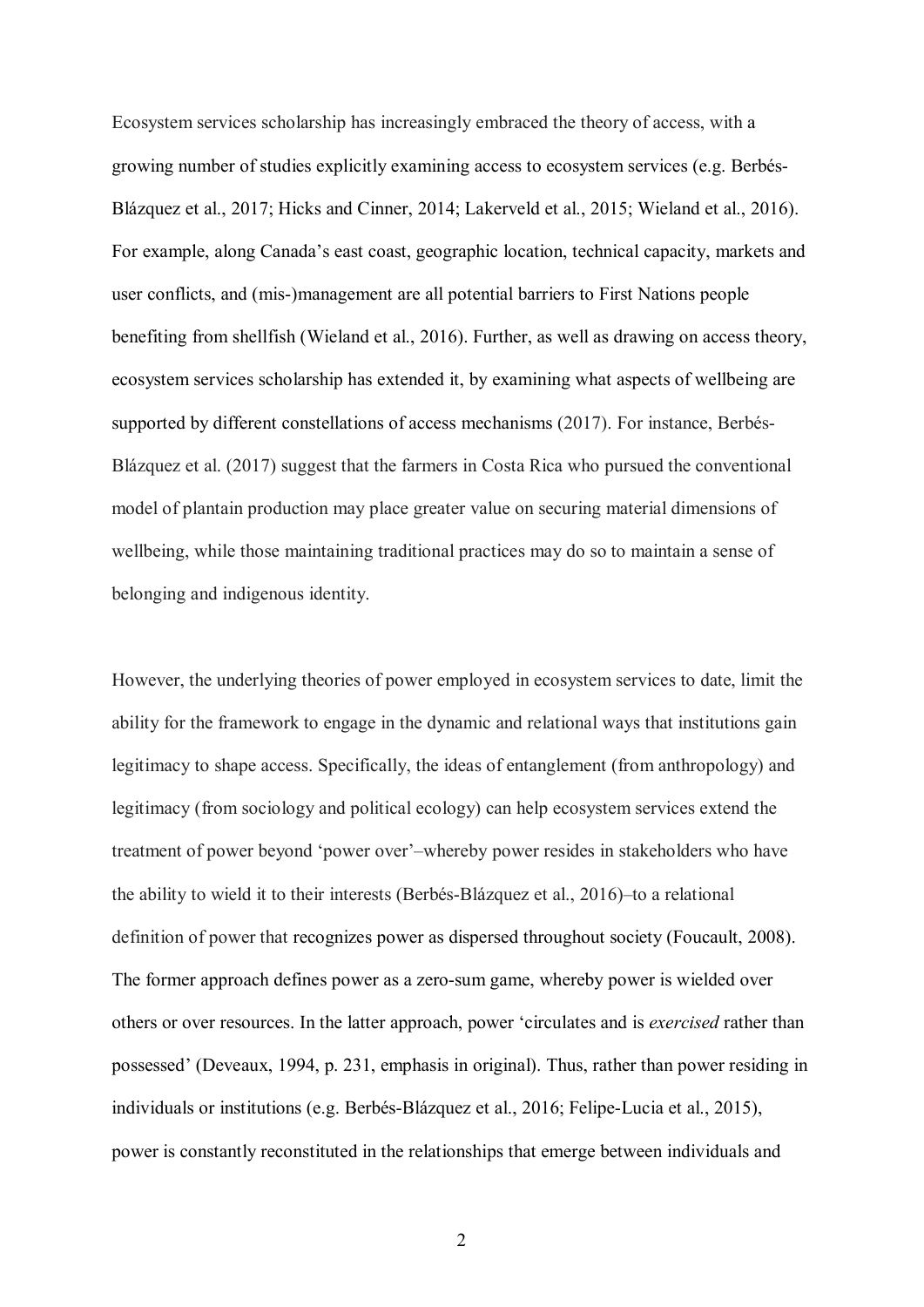Ecosystem services scholarship has increasingly embraced the theory of access, with a growing number of studies explicitly examining access to ecosystem services (e.g. Berbés-Blázquez et al., 2017; Hicks and Cinner, 2014; Lakerveld et al., 2015; Wieland et al., 2016). For example, along Canada's east coast, geographic location, technical capacity, markets and user conflicts, and (mis-)management are all potential barriers to First Nations people benefiting from shellfish (Wieland et al., 2016). Further, as well as drawing on access theory, ecosystem services scholarship has extended it, by examining what aspects of wellbeing are supported by different constellations of access mechanisms (2017). For instance, Berbés-Blázquez et al. (2017) suggest that the farmers in Costa Rica who pursued the conventional model of plantain production may place greater value on securing material dimensions of wellbeing, while those maintaining traditional practices may do so to maintain a sense of belonging and indigenous identity.

However, the underlying theories of power employed in ecosystem services to date, limit the ability for the framework to engage in the dynamic and relational ways that institutions gain legitimacy to shape access. Specifically, the ideas of entanglement (from anthropology) and legitimacy (from sociology and political ecology) can help ecosystem services extend the treatment of power beyond 'power over'–whereby power resides in stakeholders who have the ability to wield it to their interests (Berbés-Blázquez et al., 2016)–to a relational definition of power that recognizes power as dispersed throughout society (Foucault, 2008). The former approach defines power as a zero-sum game, whereby power is wielded over others or over resources. In the latter approach, power 'circulates and is *exercised* rather than possessed' (Deveaux, 1994, p. 231, emphasis in original). Thus, rather than power residing in individuals or institutions (e.g. Berbés-Blázquez et al., 2016; Felipe-Lucia et al., 2015), power is constantly reconstituted in the relationships that emerge between individuals and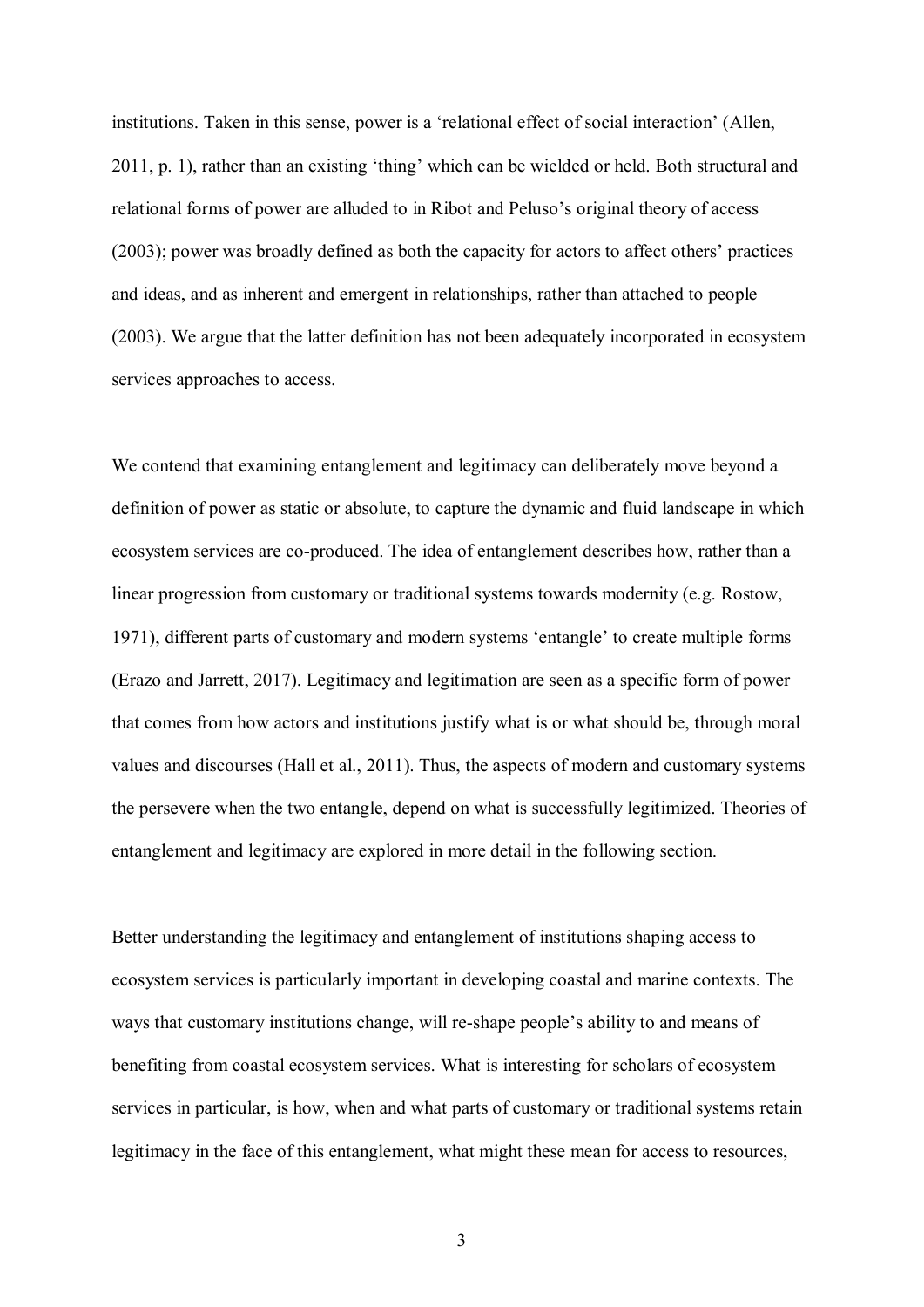institutions. Taken in this sense, power is a 'relational effect of social interaction' (Allen, 2011, p. 1), rather than an existing 'thing' which can be wielded or held. Both structural and relational forms of power are alluded to in Ribot and Peluso's original theory of access (2003); power was broadly defined as both the capacity for actors to affect others' practices and ideas, and as inherent and emergent in relationships, rather than attached to people (2003). We argue that the latter definition has not been adequately incorporated in ecosystem services approaches to access.

We contend that examining entanglement and legitimacy can deliberately move beyond a definition of power as static or absolute, to capture the dynamic and fluid landscape in which ecosystem services are co-produced. The idea of entanglement describes how, rather than a linear progression from customary or traditional systems towards modernity (e.g. Rostow, 1971), different parts of customary and modern systems 'entangle' to create multiple forms (Erazo and Jarrett, 2017). Legitimacy and legitimation are seen as a specific form of power that comes from how actors and institutions justify what is or what should be, through moral values and discourses (Hall et al., 2011). Thus, the aspects of modern and customary systems the persevere when the two entangle, depend on what is successfully legitimized. Theories of entanglement and legitimacy are explored in more detail in the following section.

Better understanding the legitimacy and entanglement of institutions shaping access to ecosystem services is particularly important in developing coastal and marine contexts. The ways that customary institutions change, will re-shape people's ability to and means of benefiting from coastal ecosystem services. What is interesting for scholars of ecosystem services in particular, is how, when and what parts of customary or traditional systems retain legitimacy in the face of this entanglement, what might these mean for access to resources,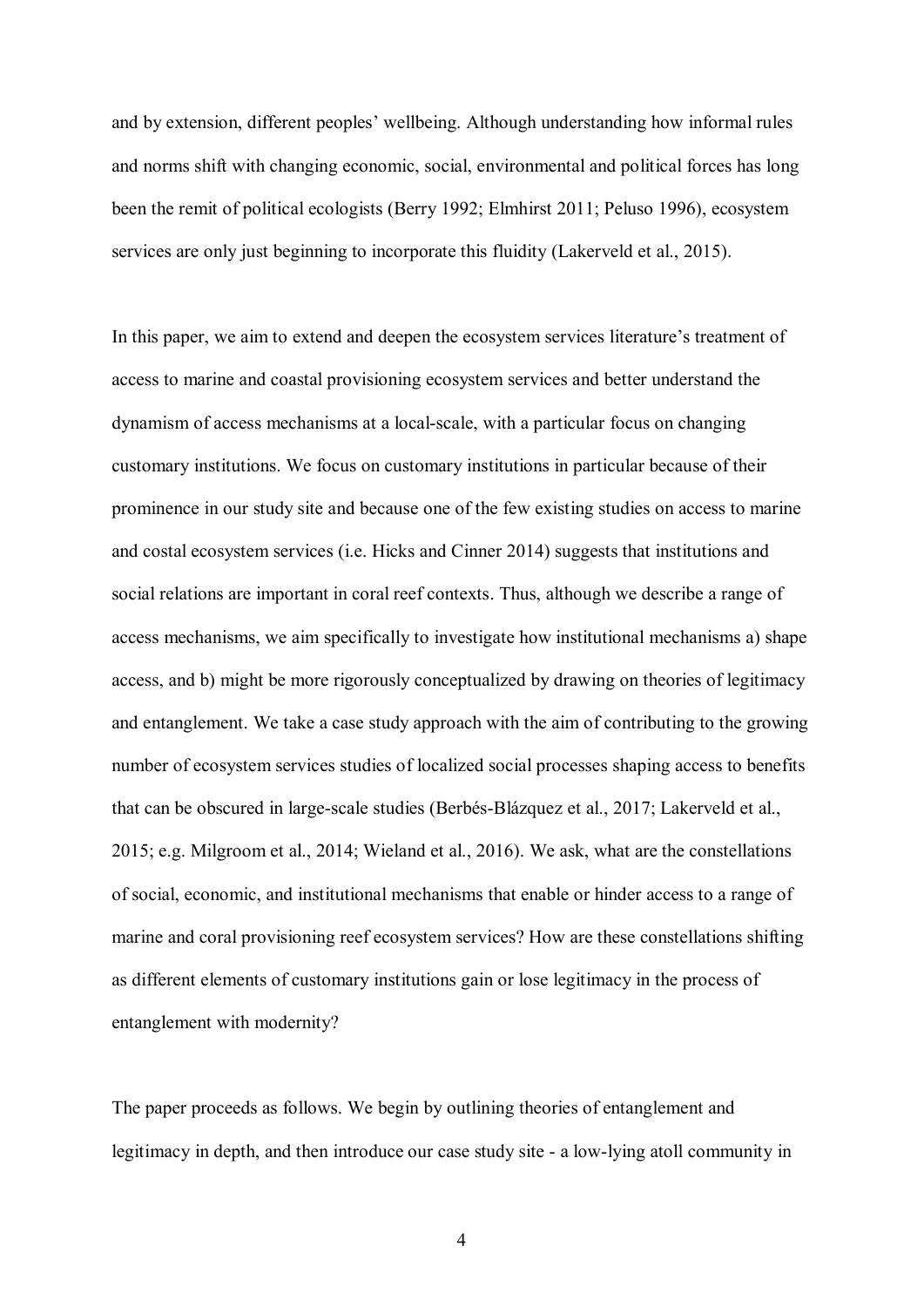and by extension, different peoples' wellbeing. Although understanding how informal rules and norms shift with changing economic, social, environmental and political forces has long been the remit of political ecologists (Berry 1992; Elmhirst 2011; Peluso 1996), ecosystem services are only just beginning to incorporate this fluidity (Lakerveld et al., 2015).

In this paper, we aim to extend and deepen the ecosystem services literature's treatment of access to marine and coastal provisioning ecosystem services and better understand the dynamism of access mechanisms at a local-scale, with a particular focus on changing customary institutions. We focus on customary institutions in particular because of their prominence in our study site and because one of the few existing studies on access to marine and costal ecosystem services (i.e. Hicks and Cinner 2014) suggests that institutions and social relations are important in coral reef contexts. Thus, although we describe a range of access mechanisms, we aim specifically to investigate how institutional mechanisms a) shape access, and b) might be more rigorously conceptualized by drawing on theories of legitimacy and entanglement. We take a case study approach with the aim of contributing to the growing number of ecosystem services studies of localized social processes shaping access to benefits that can be obscured in large-scale studies (Berbés-Blázquez et al., 2017; Lakerveld et al., 2015; e.g. Milgroom et al., 2014; Wieland et al., 2016). We ask, what are the constellations of social, economic, and institutional mechanisms that enable or hinder access to a range of marine and coral provisioning reef ecosystem services? How are these constellations shifting as different elements of customary institutions gain or lose legitimacy in the process of entanglement with modernity?

The paper proceeds as follows. We begin by outlining theories of entanglement and legitimacy in depth, and then introduce our case study site - a low-lying atoll community in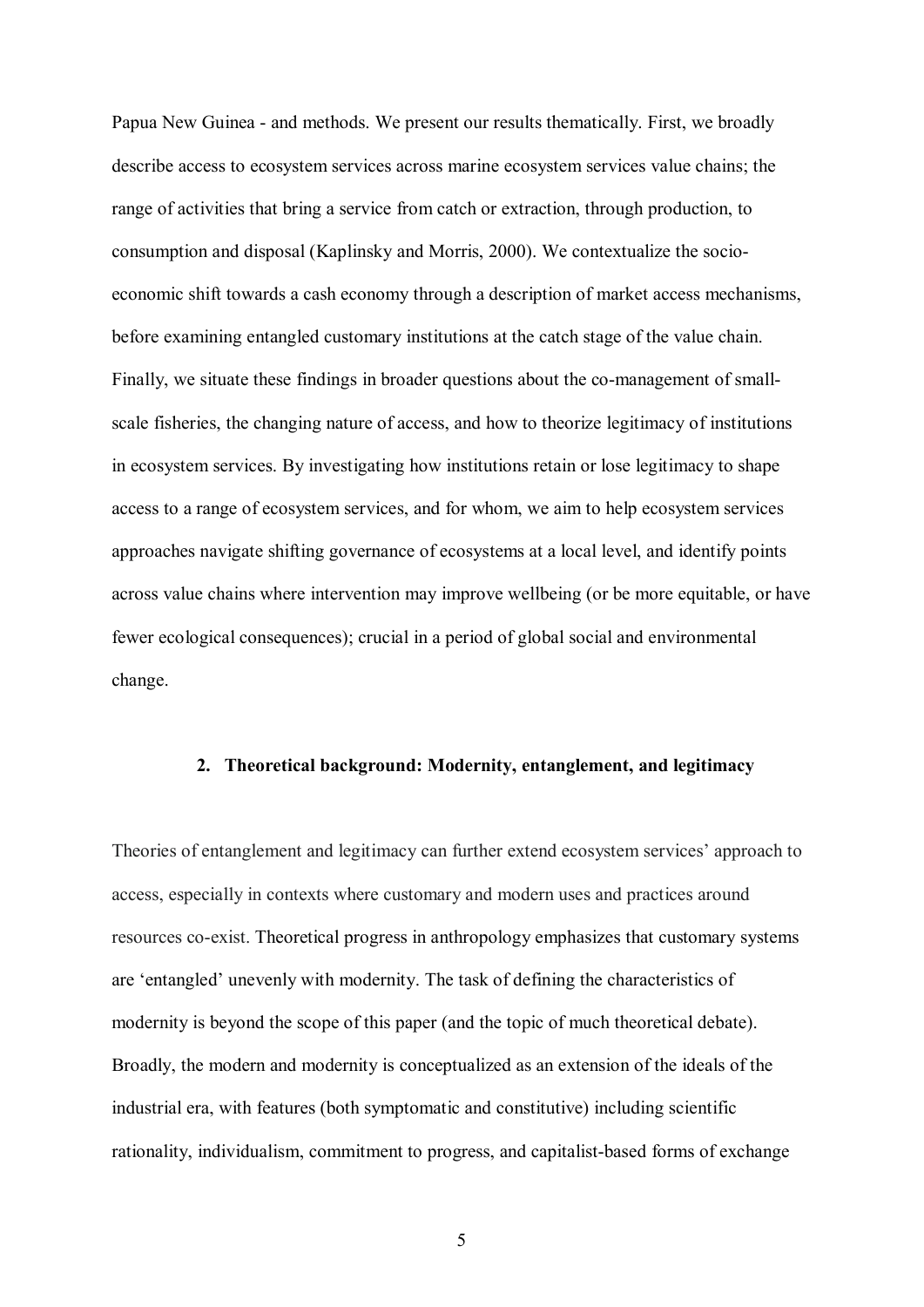Papua New Guinea - and methods. We present our results thematically. First, we broadly describe access to ecosystem services across marine ecosystem services value chains; the range of activities that bring a service from catch or extraction, through production, to consumption and disposal (Kaplinsky and Morris, 2000). We contextualize the socioeconomic shift towards a cash economy through a description of market access mechanisms, before examining entangled customary institutions at the catch stage of the value chain. Finally, we situate these findings in broader questions about the co-management of smallscale fisheries, the changing nature of access, and how to theorize legitimacy of institutions in ecosystem services. By investigating how institutions retain or lose legitimacy to shape access to a range of ecosystem services, and for whom, we aim to help ecosystem services approaches navigate shifting governance of ecosystems at a local level, and identify points across value chains where intervention may improve wellbeing (or be more equitable, or have fewer ecological consequences); crucial in a period of global social and environmental change.

#### **2. Theoretical background: Modernity, entanglement, and legitimacy**

Theories of entanglement and legitimacy can further extend ecosystem services' approach to access, especially in contexts where customary and modern uses and practices around resources co-exist. Theoretical progress in anthropology emphasizes that customary systems are 'entangled' unevenly with modernity. The task of defining the characteristics of modernity is beyond the scope of this paper (and the topic of much theoretical debate). Broadly, the modern and modernity is conceptualized as an extension of the ideals of the industrial era, with features (both symptomatic and constitutive) including scientific rationality, individualism, commitment to progress, and capitalist-based forms of exchange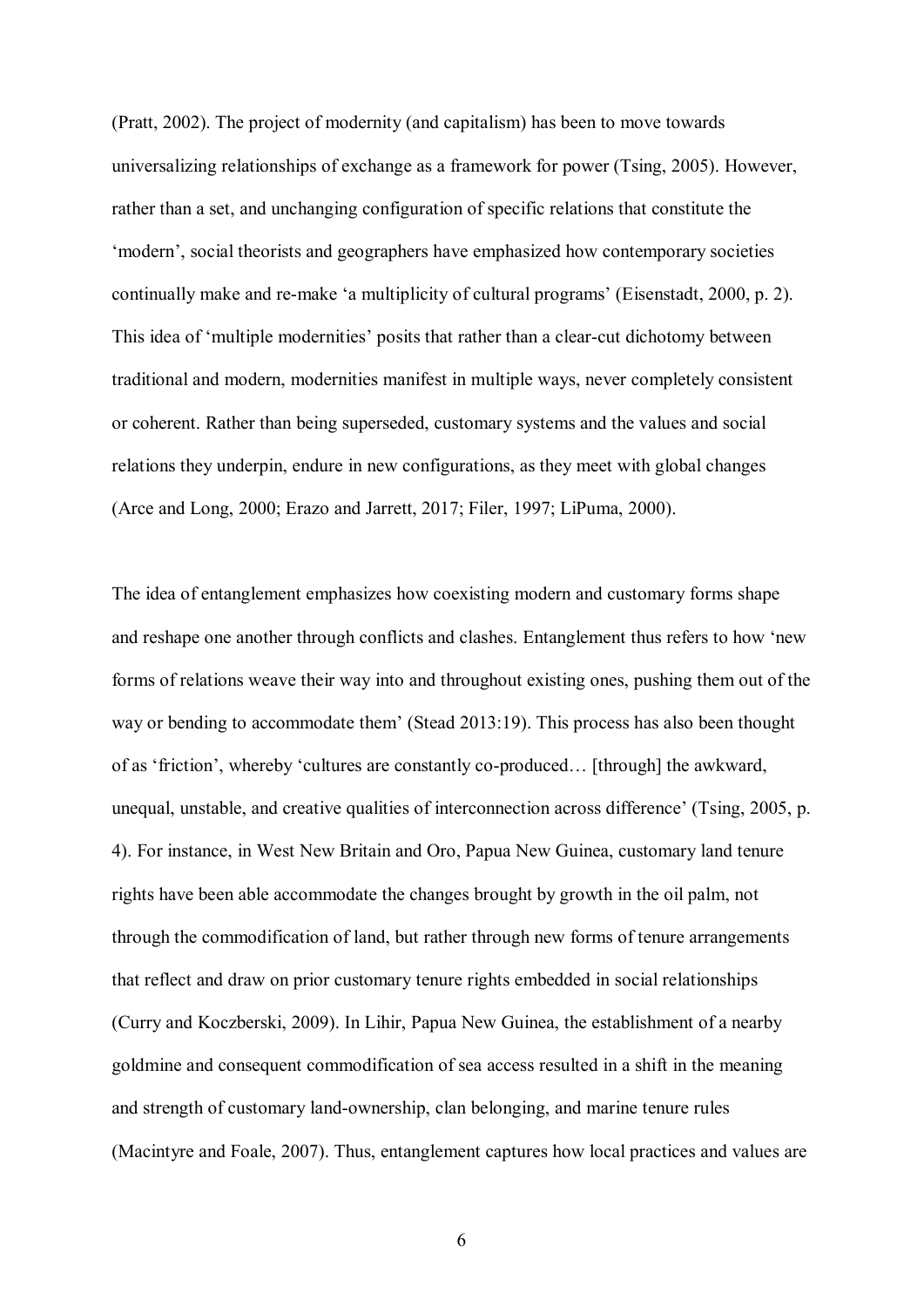(Pratt, 2002). The project of modernity (and capitalism) has been to move towards universalizing relationships of exchange as a framework for power (Tsing, 2005). However, rather than a set, and unchanging configuration of specific relations that constitute the 'modern', social theorists and geographers have emphasized how contemporary societies continually make and re-make 'a multiplicity of cultural programs' (Eisenstadt, 2000, p. 2). This idea of 'multiple modernities' posits that rather than a clear-cut dichotomy between traditional and modern, modernities manifest in multiple ways, never completely consistent or coherent. Rather than being superseded, customary systems and the values and social relations they underpin, endure in new configurations, as they meet with global changes (Arce and Long, 2000; Erazo and Jarrett, 2017; Filer, 1997; LiPuma, 2000).

The idea of entanglement emphasizes how coexisting modern and customary forms shape and reshape one another through conflicts and clashes. Entanglement thus refers to how 'new forms of relations weave their way into and throughout existing ones, pushing them out of the way or bending to accommodate them' (Stead 2013:19). This process has also been thought of as 'friction', whereby 'cultures are constantly co-produced… [through] the awkward, unequal, unstable, and creative qualities of interconnection across difference' (Tsing, 2005, p. 4). For instance, in West New Britain and Oro, Papua New Guinea, customary land tenure rights have been able accommodate the changes brought by growth in the oil palm, not through the commodification of land, but rather through new forms of tenure arrangements that reflect and draw on prior customary tenure rights embedded in social relationships (Curry and Koczberski, 2009). In Lihir, Papua New Guinea, the establishment of a nearby goldmine and consequent commodification of sea access resulted in a shift in the meaning and strength of customary land-ownership, clan belonging, and marine tenure rules (Macintyre and Foale, 2007). Thus, entanglement captures how local practices and values are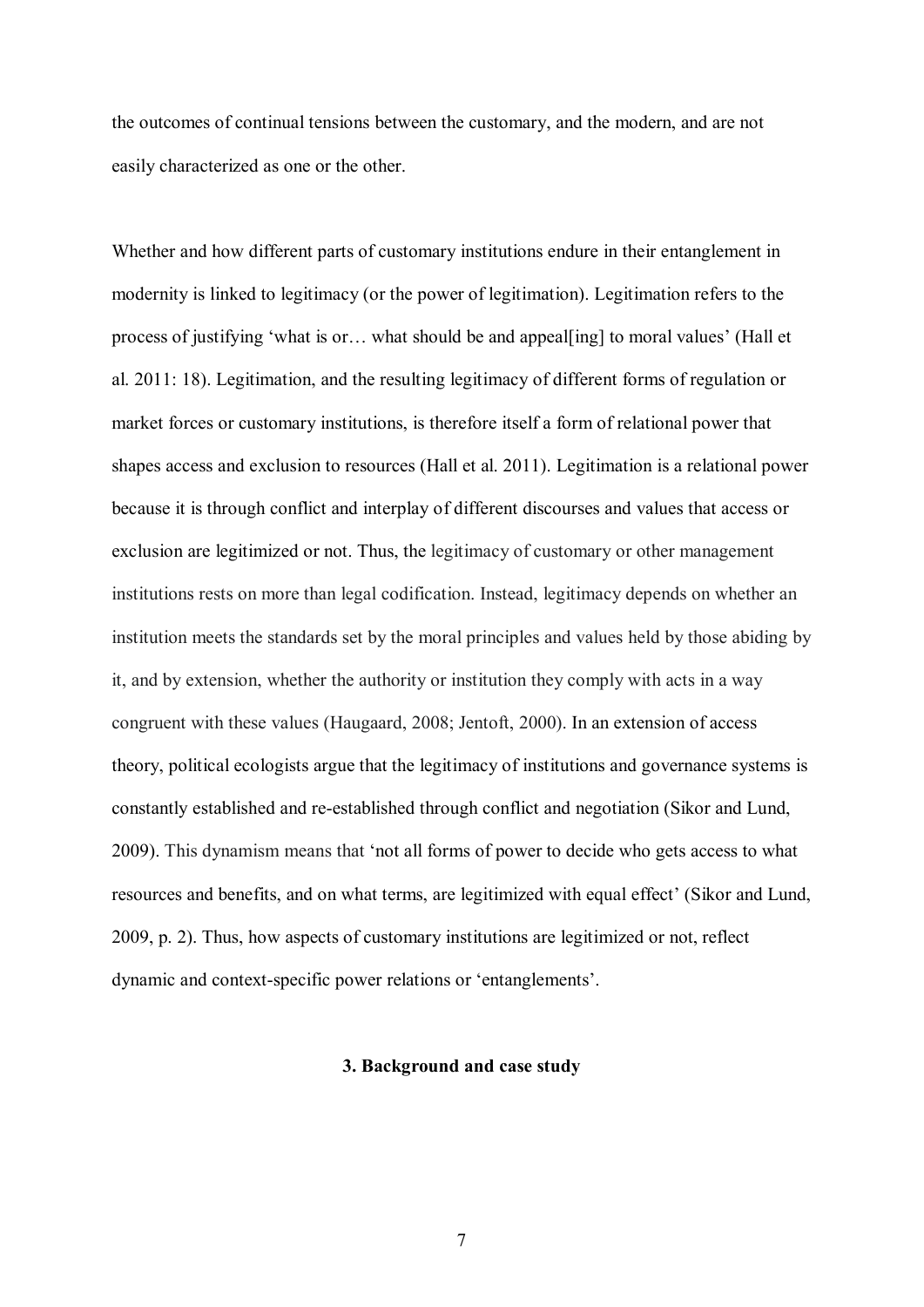the outcomes of continual tensions between the customary, and the modern, and are not easily characterized as one or the other.

Whether and how different parts of customary institutions endure in their entanglement in modernity is linked to legitimacy (or the power of legitimation). Legitimation refers to the process of justifying 'what is or… what should be and appeal[ing] to moral values' (Hall et al. 2011: 18). Legitimation, and the resulting legitimacy of different forms of regulation or market forces or customary institutions, is therefore itself a form of relational power that shapes access and exclusion to resources (Hall et al. 2011). Legitimation is a relational power because it is through conflict and interplay of different discourses and values that access or exclusion are legitimized or not. Thus, the legitimacy of customary or other management institutions rests on more than legal codification. Instead, legitimacy depends on whether an institution meets the standards set by the moral principles and values held by those abiding by it, and by extension, whether the authority or institution they comply with acts in a way congruent with these values (Haugaard, 2008; Jentoft, 2000). In an extension of access theory, political ecologists argue that the legitimacy of institutions and governance systems is constantly established and re-established through conflict and negotiation (Sikor and Lund, 2009). This dynamism means that 'not all forms of power to decide who gets access to what resources and benefits, and on what terms, are legitimized with equal effect' (Sikor and Lund, 2009, p. 2). Thus, how aspects of customary institutions are legitimized or not, reflect dynamic and context-specific power relations or 'entanglements'.

## **3. Background and case study**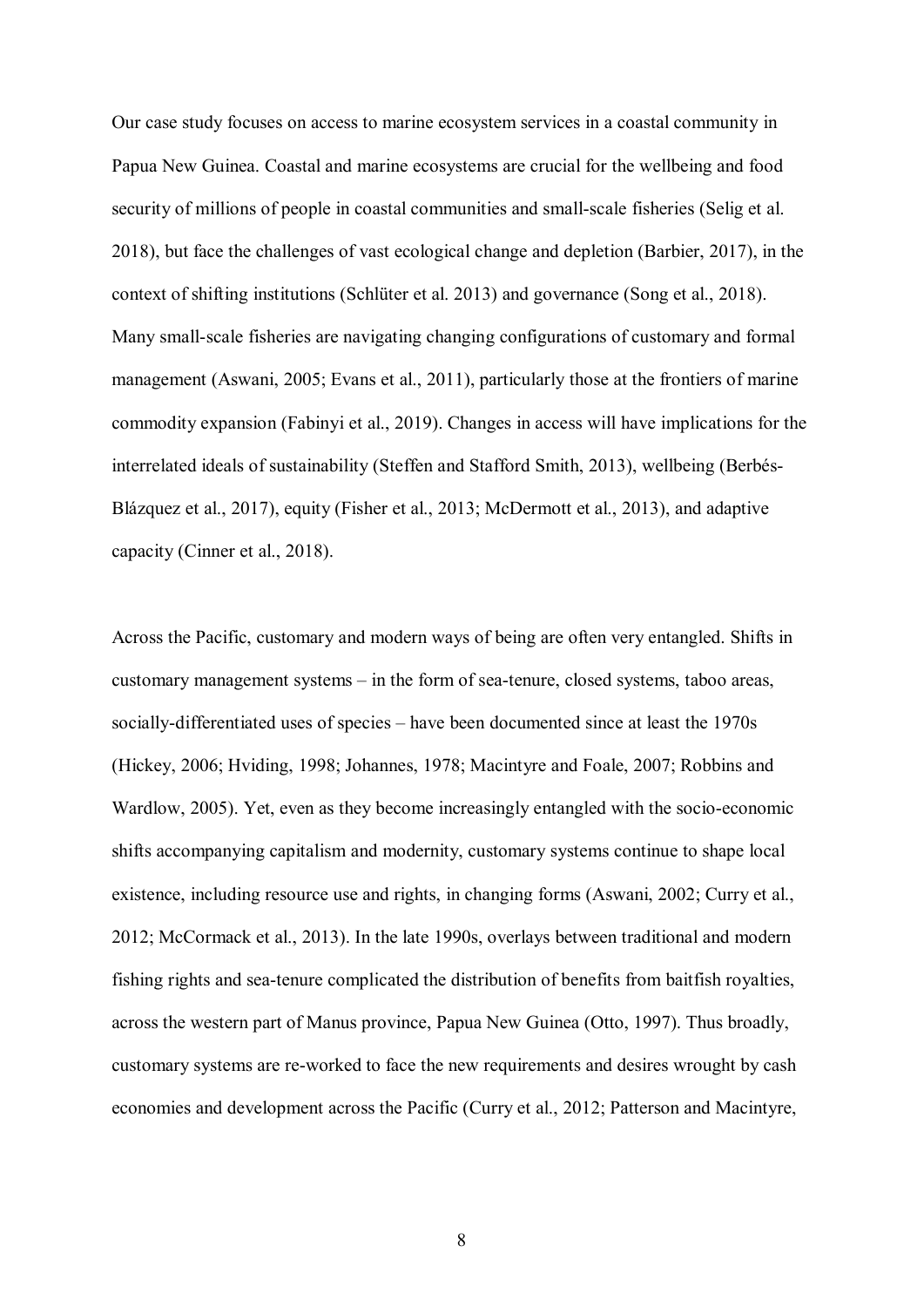Our case study focuses on access to marine ecosystem services in a coastal community in Papua New Guinea. Coastal and marine ecosystems are crucial for the wellbeing and food security of millions of people in coastal communities and small-scale fisheries (Selig et al. 2018), but face the challenges of vast ecological change and depletion (Barbier, 2017), in the context of shifting institutions (Schlüter et al. 2013) and governance (Song et al., 2018). Many small-scale fisheries are navigating changing configurations of customary and formal management (Aswani, 2005; Evans et al., 2011), particularly those at the frontiers of marine commodity expansion (Fabinyi et al., 2019). Changes in access will have implications for the interrelated ideals of sustainability (Steffen and Stafford Smith, 2013), wellbeing (Berbés-Blázquez et al., 2017), equity (Fisher et al., 2013; McDermott et al., 2013), and adaptive capacity (Cinner et al., 2018).

Across the Pacific, customary and modern ways of being are often very entangled. Shifts in customary management systems – in the form of sea-tenure, closed systems, taboo areas, socially-differentiated uses of species – have been documented since at least the 1970s (Hickey, 2006; Hviding, 1998; Johannes, 1978; Macintyre and Foale, 2007; Robbins and Wardlow, 2005). Yet, even as they become increasingly entangled with the socio-economic shifts accompanying capitalism and modernity, customary systems continue to shape local existence, including resource use and rights, in changing forms (Aswani, 2002; Curry et al., 2012; McCormack et al., 2013). In the late 1990s, overlays between traditional and modern fishing rights and sea-tenure complicated the distribution of benefits from baitfish royalties, across the western part of Manus province, Papua New Guinea (Otto, 1997). Thus broadly, customary systems are re-worked to face the new requirements and desires wrought by cash economies and development across the Pacific (Curry et al., 2012; Patterson and Macintyre,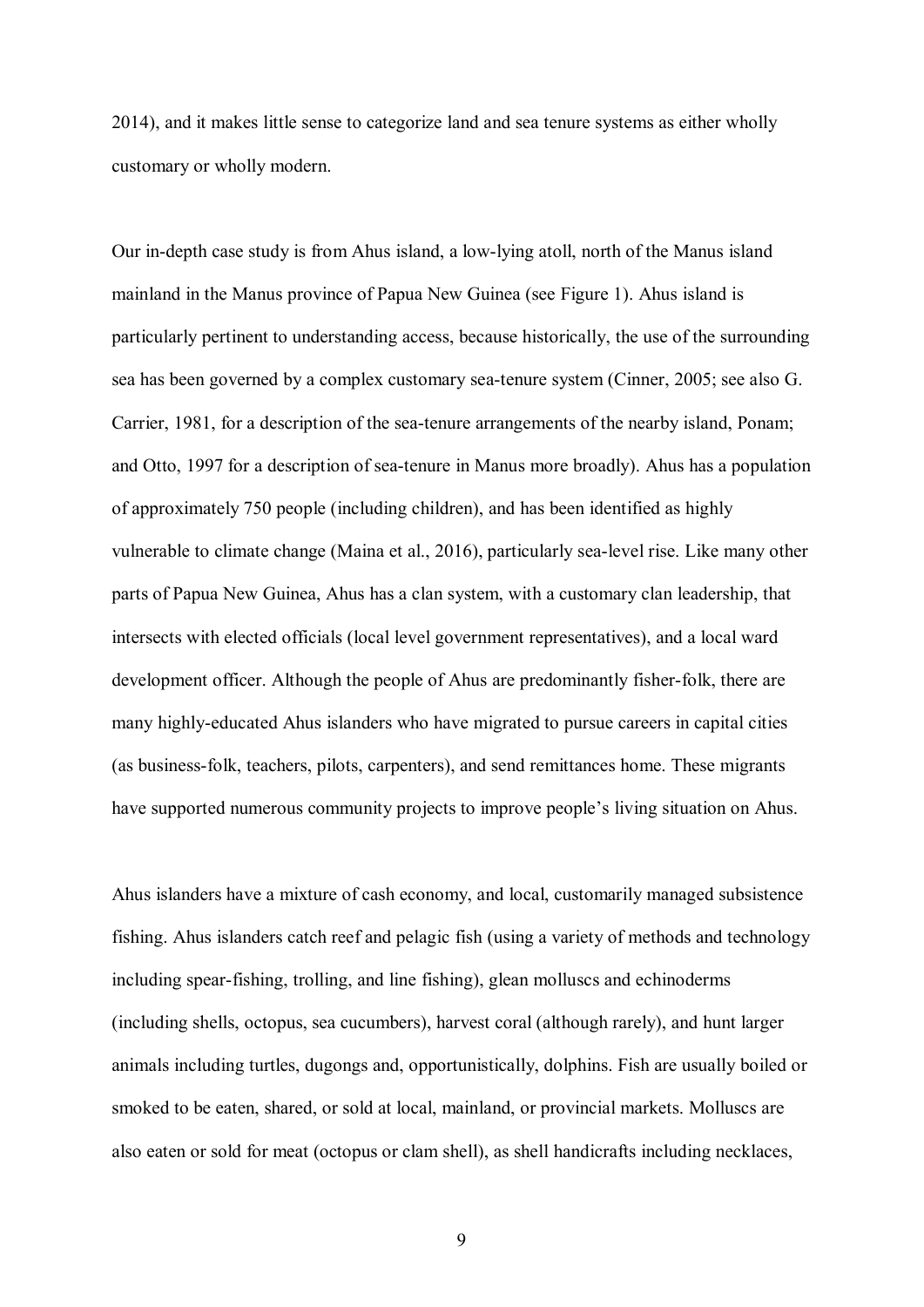2014), and it makes little sense to categorize land and sea tenure systems as either wholly customary or wholly modern.

Our in-depth case study is from Ahus island, a low-lying atoll, north of the Manus island mainland in the Manus province of Papua New Guinea (see Figure 1). Ahus island is particularly pertinent to understanding access, because historically, the use of the surrounding sea has been governed by a complex customary sea-tenure system (Cinner, 2005; see also G. Carrier, 1981, for a description of the sea-tenure arrangements of the nearby island, Ponam; and Otto, 1997 for a description of sea-tenure in Manus more broadly). Ahus has a population of approximately 750 people (including children), and has been identified as highly vulnerable to climate change (Maina et al., 2016), particularly sea-level rise. Like many other parts of Papua New Guinea, Ahus has a clan system, with a customary clan leadership, that intersects with elected officials (local level government representatives), and a local ward development officer. Although the people of Ahus are predominantly fisher-folk, there are many highly-educated Ahus islanders who have migrated to pursue careers in capital cities (as business-folk, teachers, pilots, carpenters), and send remittances home. These migrants have supported numerous community projects to improve people's living situation on Ahus.

Ahus islanders have a mixture of cash economy, and local, customarily managed subsistence fishing. Ahus islanders catch reef and pelagic fish (using a variety of methods and technology including spear-fishing, trolling, and line fishing), glean molluscs and echinoderms (including shells, octopus, sea cucumbers), harvest coral (although rarely), and hunt larger animals including turtles, dugongs and, opportunistically, dolphins. Fish are usually boiled or smoked to be eaten, shared, or sold at local, mainland, or provincial markets. Molluscs are also eaten or sold for meat (octopus or clam shell), as shell handicrafts including necklaces,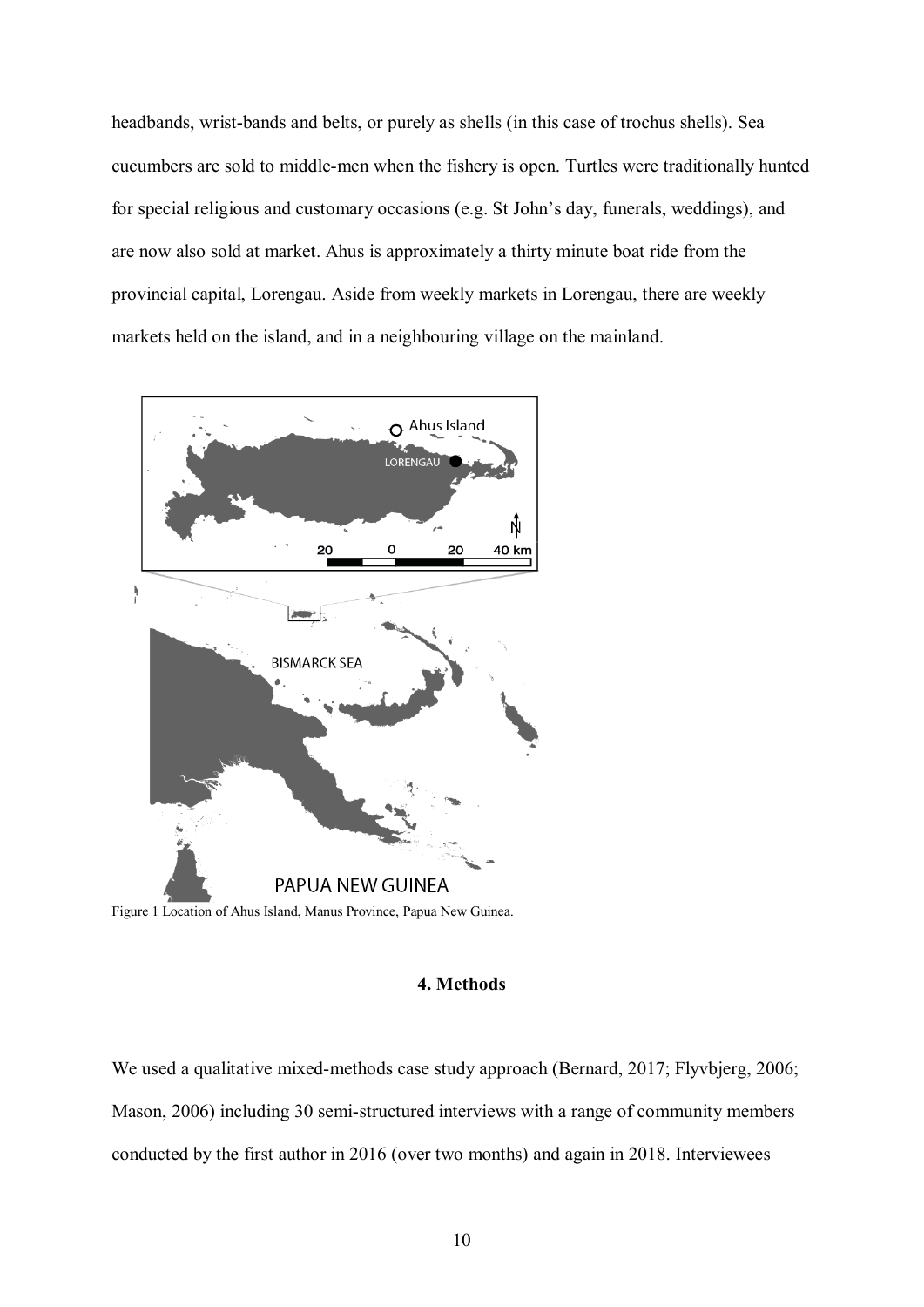headbands, wrist-bands and belts, or purely as shells (in this case of trochus shells). Sea cucumbers are sold to middle-men when the fishery is open. Turtles were traditionally hunted for special religious and customary occasions (e.g. St John's day, funerals, weddings), and are now also sold at market. Ahus is approximately a thirty minute boat ride from the provincial capital, Lorengau. Aside from weekly markets in Lorengau, there are weekly markets held on the island, and in a neighbouring village on the mainland.



Figure 1 Location of Ahus Island, Manus Province, Papua New Guinea.

## **4. Methods**

We used a qualitative mixed-methods case study approach (Bernard, 2017; Flyvbjerg, 2006; Mason, 2006) including 30 semi-structured interviews with a range of community members conducted by the first author in 2016 (over two months) and again in 2018. Interviewees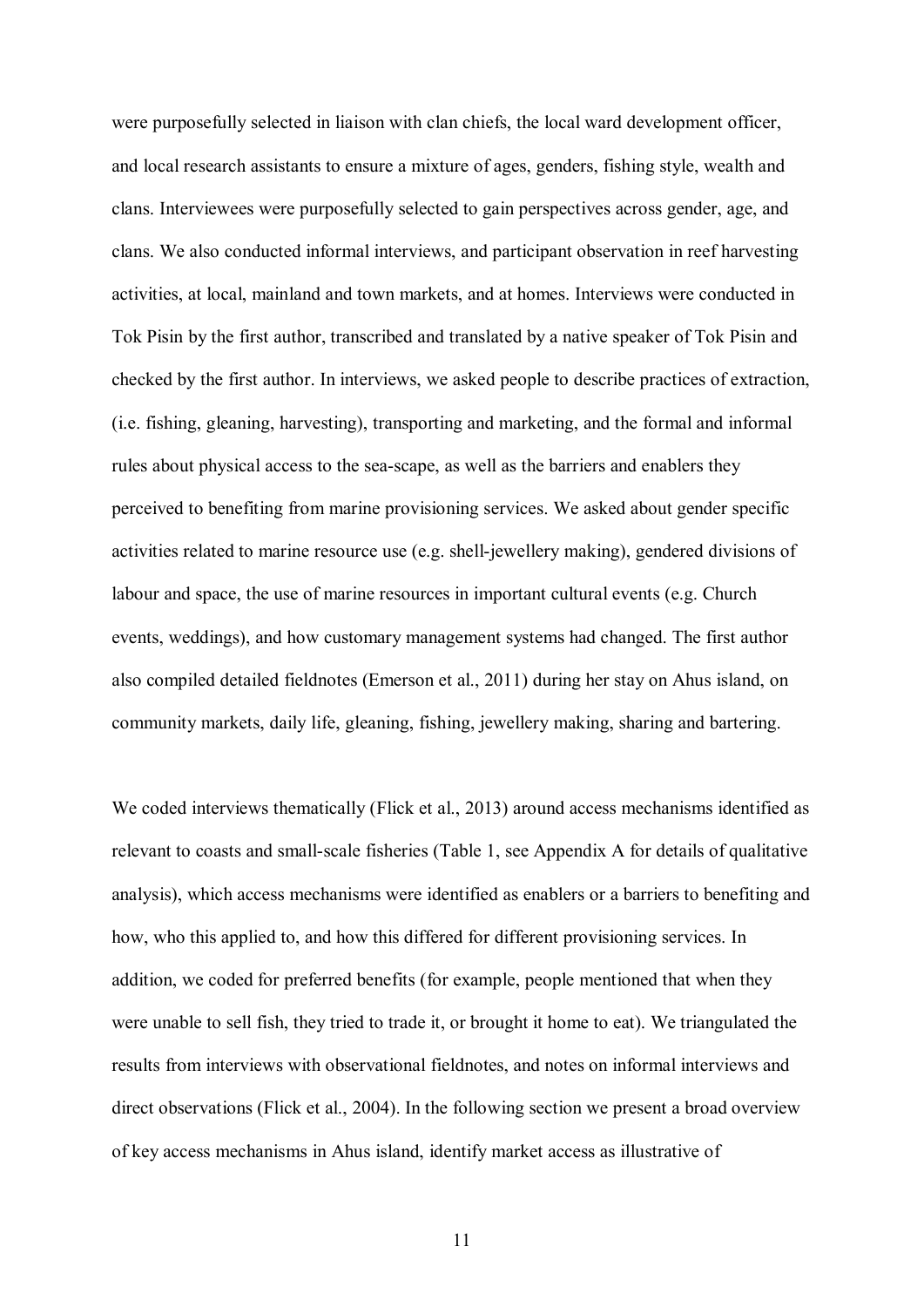were purposefully selected in liaison with clan chiefs, the local ward development officer, and local research assistants to ensure a mixture of ages, genders, fishing style, wealth and clans. Interviewees were purposefully selected to gain perspectives across gender, age, and clans. We also conducted informal interviews, and participant observation in reef harvesting activities, at local, mainland and town markets, and at homes. Interviews were conducted in Tok Pisin by the first author, transcribed and translated by a native speaker of Tok Pisin and checked by the first author. In interviews, we asked people to describe practices of extraction, (i.e. fishing, gleaning, harvesting), transporting and marketing, and the formal and informal rules about physical access to the sea-scape, as well as the barriers and enablers they perceived to benefiting from marine provisioning services. We asked about gender specific activities related to marine resource use (e.g. shell-jewellery making), gendered divisions of labour and space, the use of marine resources in important cultural events (e.g. Church events, weddings), and how customary management systems had changed. The first author also compiled detailed fieldnotes (Emerson et al., 2011) during her stay on Ahus island, on community markets, daily life, gleaning, fishing, jewellery making, sharing and bartering.

We coded interviews thematically (Flick et al., 2013) around access mechanisms identified as relevant to coasts and small-scale fisheries (Table 1, see Appendix A for details of qualitative analysis), which access mechanisms were identified as enablers or a barriers to benefiting and how, who this applied to, and how this differed for different provisioning services. In addition, we coded for preferred benefits (for example, people mentioned that when they were unable to sell fish, they tried to trade it, or brought it home to eat). We triangulated the results from interviews with observational fieldnotes, and notes on informal interviews and direct observations (Flick et al., 2004). In the following section we present a broad overview of key access mechanisms in Ahus island, identify market access as illustrative of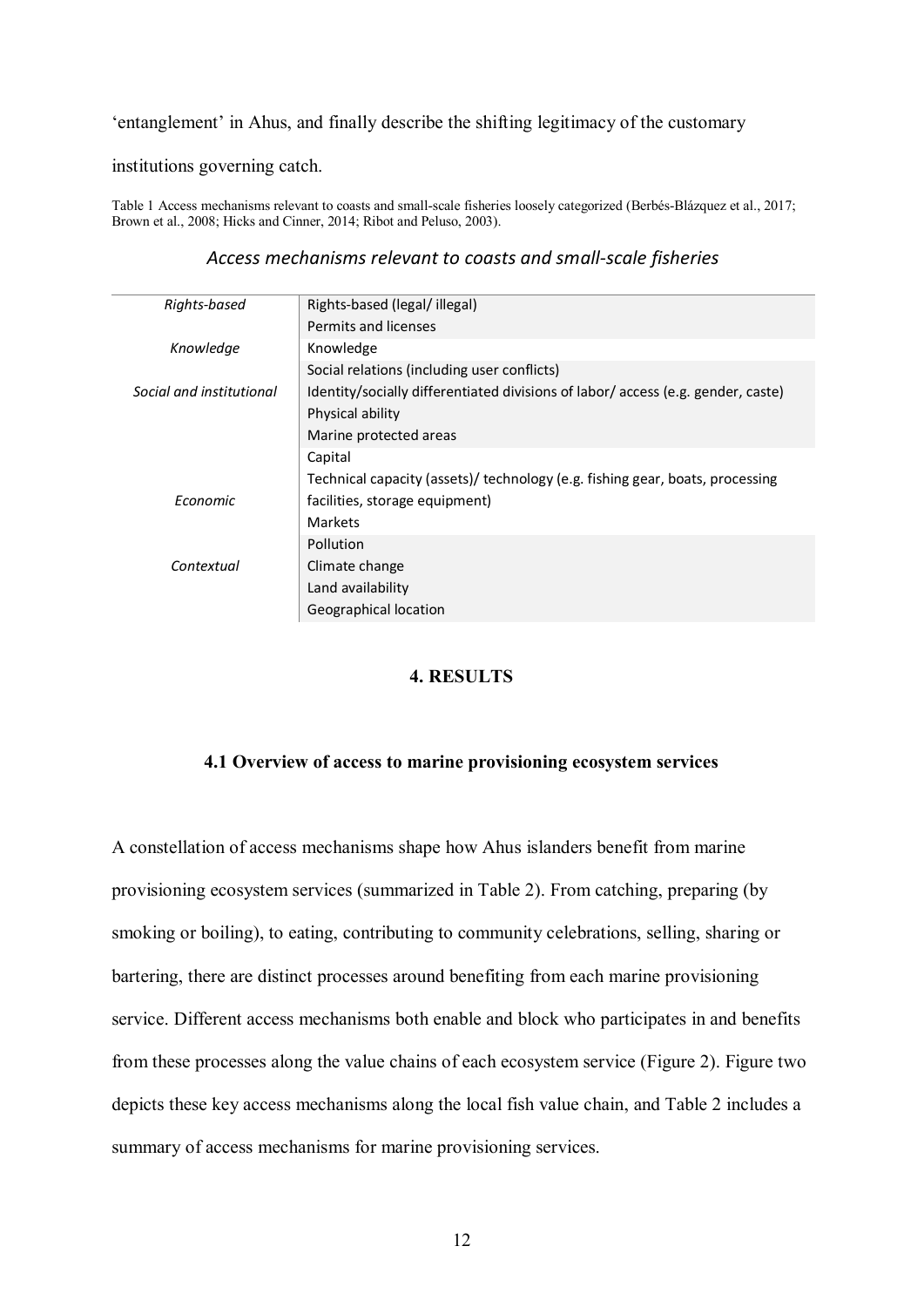#### 'entanglement' in Ahus, and finally describe the shifting legitimacy of the customary

institutions governing catch.

Table 1 Access mechanisms relevant to coasts and small-scale fisheries loosely categorized (Berbés-Blázquez et al., 2017; Brown et al., 2008; Hicks and Cinner, 2014; Ribot and Peluso, 2003).

#### *Access mechanisms relevant to coasts and small-scale fisheries*

| Rights-based             | Rights-based (legal/illegal)                                                     |  |  |
|--------------------------|----------------------------------------------------------------------------------|--|--|
|                          | Permits and licenses                                                             |  |  |
| Knowledge                | Knowledge                                                                        |  |  |
|                          | Social relations (including user conflicts)                                      |  |  |
| Social and institutional | Identity/socially differentiated divisions of labor/ access (e.g. gender, caste) |  |  |
|                          | Physical ability                                                                 |  |  |
|                          | Marine protected areas                                                           |  |  |
|                          | Capital                                                                          |  |  |
|                          | Technical capacity (assets)/ technology (e.g. fishing gear, boats, processing    |  |  |
| Economic                 | facilities, storage equipment)                                                   |  |  |
|                          | <b>Markets</b>                                                                   |  |  |
|                          | Pollution                                                                        |  |  |
| Contextual               | Climate change                                                                   |  |  |
|                          | Land availability                                                                |  |  |
|                          | Geographical location                                                            |  |  |

## **4. RESULTS**

## **4.1 Overview of access to marine provisioning ecosystem services**

A constellation of access mechanisms shape how Ahus islanders benefit from marine provisioning ecosystem services (summarized in Table 2). From catching, preparing (by smoking or boiling), to eating, contributing to community celebrations, selling, sharing or bartering, there are distinct processes around benefiting from each marine provisioning service. Different access mechanisms both enable and block who participates in and benefits from these processes along the value chains of each ecosystem service (Figure 2). Figure two depicts these key access mechanisms along the local fish value chain, and Table 2 includes a summary of access mechanisms for marine provisioning services.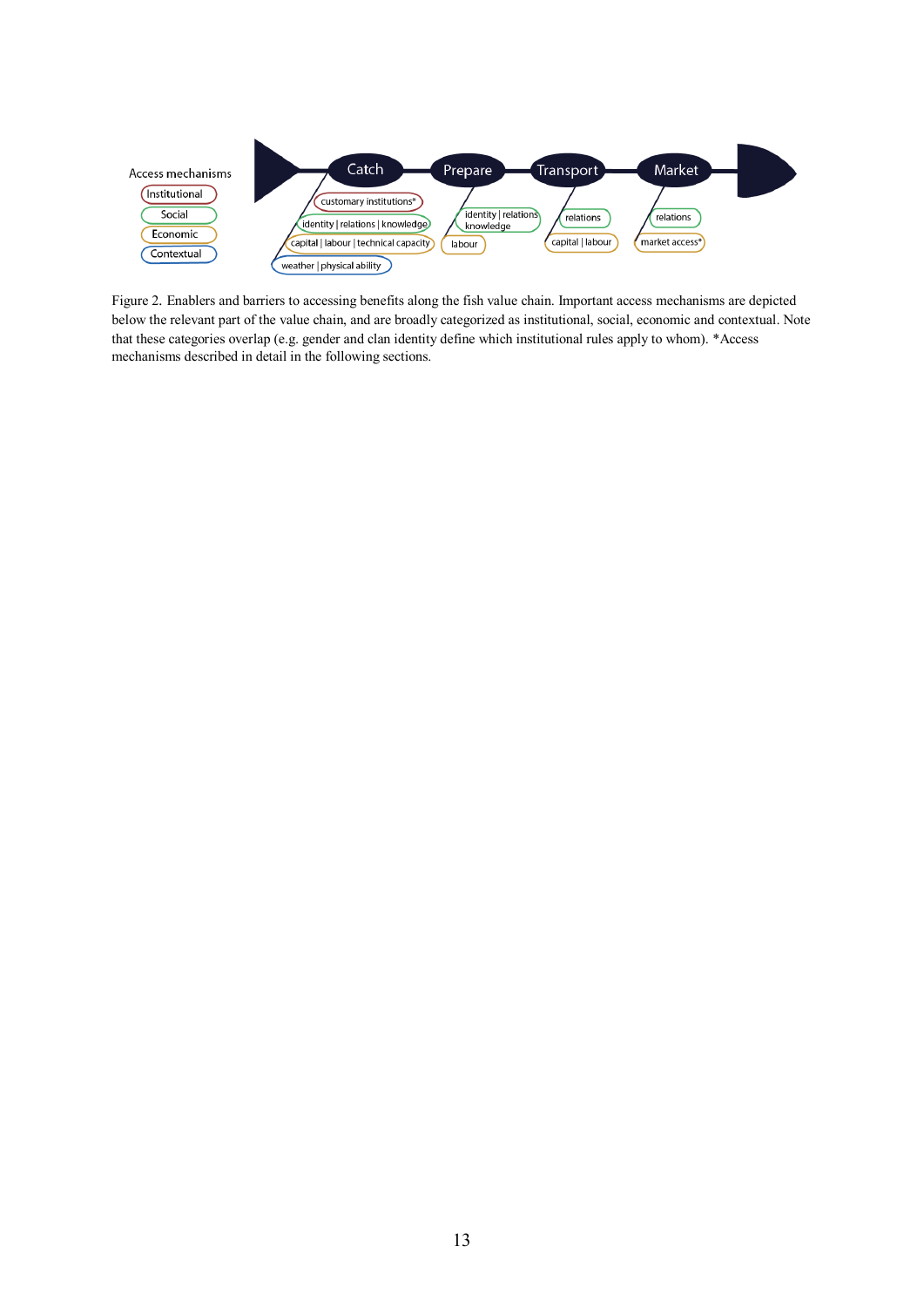

Figure 2. Enablers and barriers to accessing benefits along the fish value chain. Important access mechanisms are depicted below the relevant part of the value chain, and are broadly categorized as institutional, social, economic and contextual. Note that these categories overlap (e.g. gender and clan identity define which institutional rules apply to whom). \*Access mechanisms described in detail in the following sections.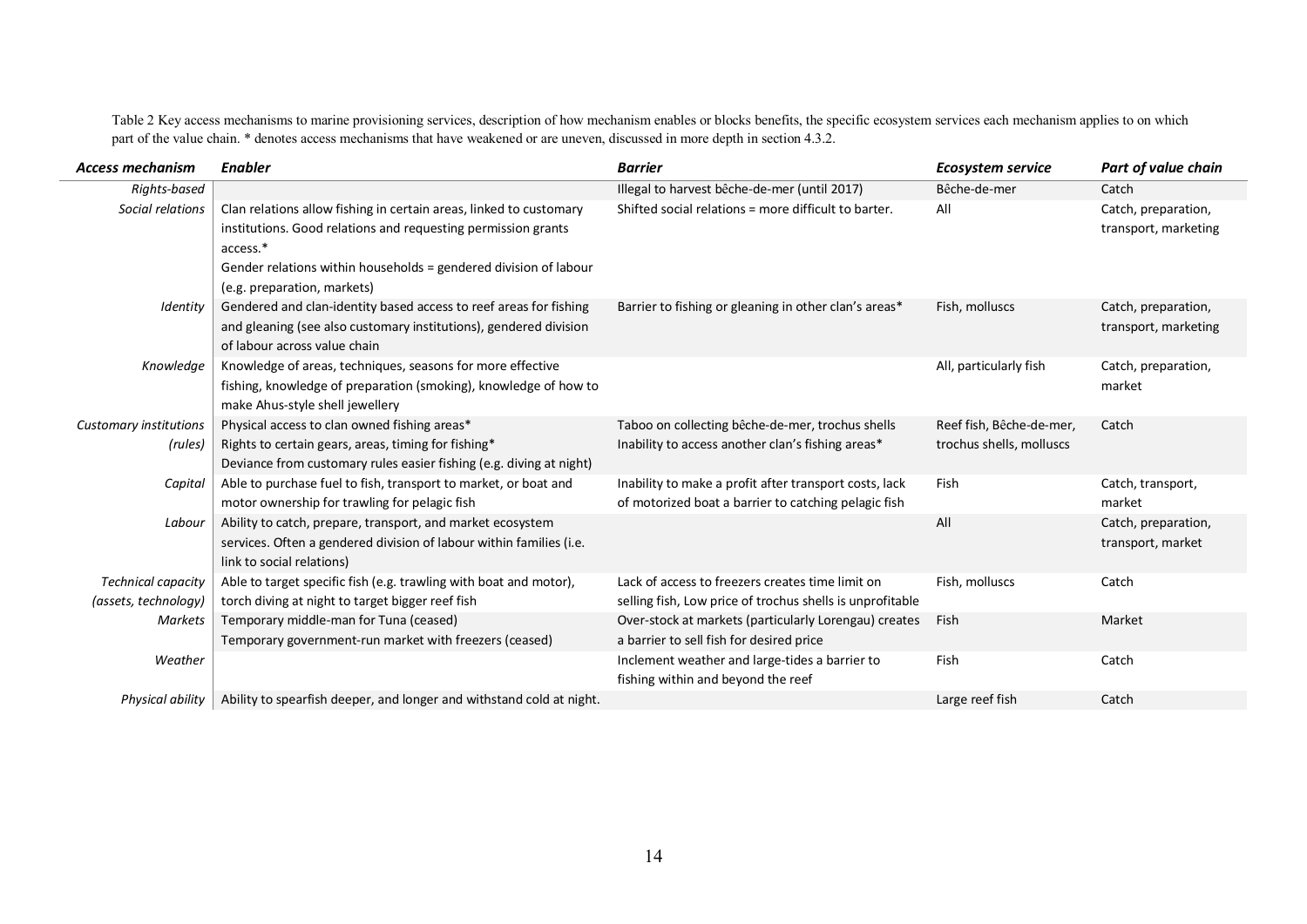Table 2 Key access mechanisms to marine provisioning services, description of how mechanism enables or blocks benefits, the specific ecosystem services each mechanism applies to on which part of the value chain. \* denotes access mechanisms that have weakened or are uneven, discussed in more depth in section 4.3.2.

| <b>Access mechanism</b>       | <b>Enabler</b>                                                       | <b>Barrier</b>                                            | <b>Ecosystem service</b> | Part of value chain  |
|-------------------------------|----------------------------------------------------------------------|-----------------------------------------------------------|--------------------------|----------------------|
| Rights-based                  |                                                                      | Illegal to harvest bêche-de-mer (until 2017)              | Bêche-de-mer             | Catch                |
| Social relations              | Clan relations allow fishing in certain areas, linked to customary   | Shifted social relations = more difficult to barter.      | All                      | Catch, preparation,  |
|                               | institutions. Good relations and requesting permission grants        |                                                           |                          | transport, marketing |
|                               | access.*                                                             |                                                           |                          |                      |
|                               | Gender relations within households = gendered division of labour     |                                                           |                          |                      |
|                               | (e.g. preparation, markets)                                          |                                                           |                          |                      |
| Identity                      | Gendered and clan-identity based access to reef areas for fishing    | Barrier to fishing or gleaning in other clan's areas*     | Fish, molluscs           | Catch, preparation,  |
|                               | and gleaning (see also customary institutions), gendered division    |                                                           |                          | transport, marketing |
|                               | of labour across value chain                                         |                                                           |                          |                      |
| Knowledge                     | Knowledge of areas, techniques, seasons for more effective           |                                                           | All, particularly fish   | Catch, preparation,  |
|                               | fishing, knowledge of preparation (smoking), knowledge of how to     |                                                           |                          | market               |
|                               | make Ahus-style shell jewellery                                      |                                                           |                          |                      |
| <b>Customary institutions</b> | Physical access to clan owned fishing areas*                         | Taboo on collecting bêche-de-mer, trochus shells          | Reef fish, Bêche-de-mer, | Catch                |
| (rules)                       | Rights to certain gears, areas, timing for fishing*                  | Inability to access another clan's fishing areas*         | trochus shells, molluscs |                      |
|                               | Deviance from customary rules easier fishing (e.g. diving at night)  |                                                           |                          |                      |
| Capital                       | Able to purchase fuel to fish, transport to market, or boat and      | Inability to make a profit after transport costs, lack    | Fish                     | Catch, transport,    |
|                               | motor ownership for trawling for pelagic fish                        | of motorized boat a barrier to catching pelagic fish      |                          | market               |
| Labour                        | Ability to catch, prepare, transport, and market ecosystem           |                                                           | All                      | Catch, preparation,  |
|                               | services. Often a gendered division of labour within families (i.e.  |                                                           |                          | transport, market    |
|                               | link to social relations)                                            |                                                           |                          |                      |
| <b>Technical capacity</b>     | Able to target specific fish (e.g. trawling with boat and motor),    | Lack of access to freezers creates time limit on          | Fish, molluscs           | Catch                |
| (assets, technology)          | torch diving at night to target bigger reef fish                     | selling fish, Low price of trochus shells is unprofitable |                          |                      |
| Markets                       | Temporary middle-man for Tuna (ceased)                               | Over-stock at markets (particularly Lorengau) creates     | Fish                     | Market               |
|                               | Temporary government-run market with freezers (ceased)               | a barrier to sell fish for desired price                  |                          |                      |
| Weather                       |                                                                      | Inclement weather and large-tides a barrier to            | Fish                     | Catch                |
|                               |                                                                      | fishing within and beyond the reef                        |                          |                      |
| Physical ability              | Ability to spearfish deeper, and longer and withstand cold at night. |                                                           | Large reef fish          | Catch                |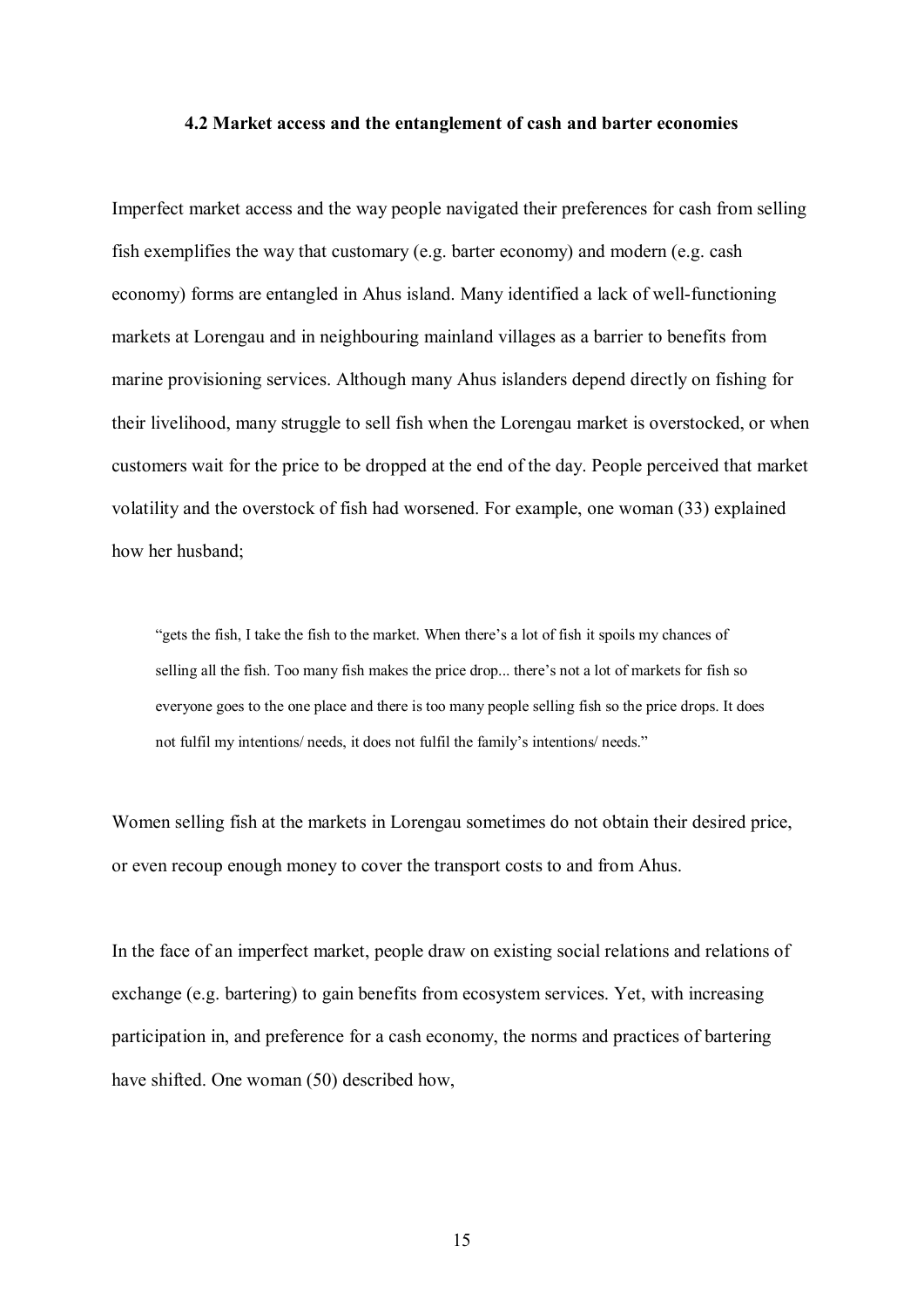#### **4.2 Market access and the entanglement of cash and barter economies**

Imperfect market access and the way people navigated their preferences for cash from selling fish exemplifies the way that customary (e.g. barter economy) and modern (e.g. cash economy) forms are entangled in Ahus island. Many identified a lack of well-functioning markets at Lorengau and in neighbouring mainland villages as a barrier to benefits from marine provisioning services. Although many Ahus islanders depend directly on fishing for their livelihood, many struggle to sell fish when the Lorengau market is overstocked, or when customers wait for the price to be dropped at the end of the day. People perceived that market volatility and the overstock of fish had worsened. For example, one woman (33) explained how her husband;

"gets the fish, I take the fish to the market. When there's a lot of fish it spoils my chances of selling all the fish. Too many fish makes the price drop... there's not a lot of markets for fish so everyone goes to the one place and there is too many people selling fish so the price drops. It does not fulfil my intentions/ needs, it does not fulfil the family's intentions/ needs."

Women selling fish at the markets in Lorengau sometimes do not obtain their desired price, or even recoup enough money to cover the transport costs to and from Ahus.

In the face of an imperfect market, people draw on existing social relations and relations of exchange (e.g. bartering) to gain benefits from ecosystem services. Yet, with increasing participation in, and preference for a cash economy, the norms and practices of bartering have shifted. One woman (50) described how,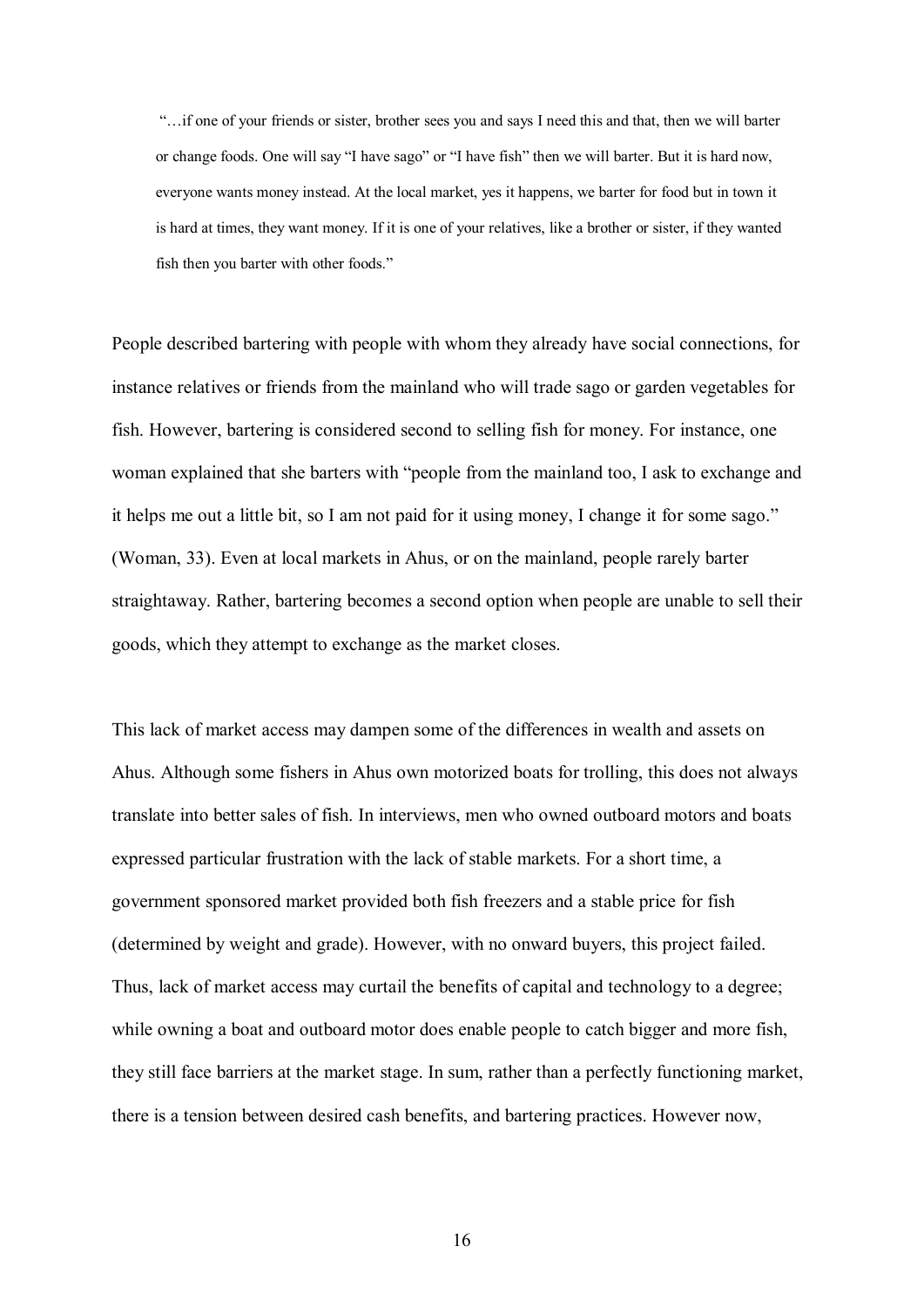"…if one of your friends or sister, brother sees you and says I need this and that, then we will barter or change foods. One will say "I have sago" or "I have fish" then we will barter. But it is hard now, everyone wants money instead. At the local market, yes it happens, we barter for food but in town it is hard at times, they want money. If it is one of your relatives, like a brother or sister, if they wanted fish then you barter with other foods."

People described bartering with people with whom they already have social connections, for instance relatives or friends from the mainland who will trade sago or garden vegetables for fish. However, bartering is considered second to selling fish for money. For instance, one woman explained that she barters with "people from the mainland too, I ask to exchange and it helps me out a little bit, so I am not paid for it using money, I change it for some sago." (Woman, 33). Even at local markets in Ahus, or on the mainland, people rarely barter straightaway. Rather, bartering becomes a second option when people are unable to sell their goods, which they attempt to exchange as the market closes.

This lack of market access may dampen some of the differences in wealth and assets on Ahus. Although some fishers in Ahus own motorized boats for trolling, this does not always translate into better sales of fish. In interviews, men who owned outboard motors and boats expressed particular frustration with the lack of stable markets. For a short time, a government sponsored market provided both fish freezers and a stable price for fish (determined by weight and grade). However, with no onward buyers, this project failed. Thus, lack of market access may curtail the benefits of capital and technology to a degree; while owning a boat and outboard motor does enable people to catch bigger and more fish, they still face barriers at the market stage. In sum, rather than a perfectly functioning market, there is a tension between desired cash benefits, and bartering practices. However now,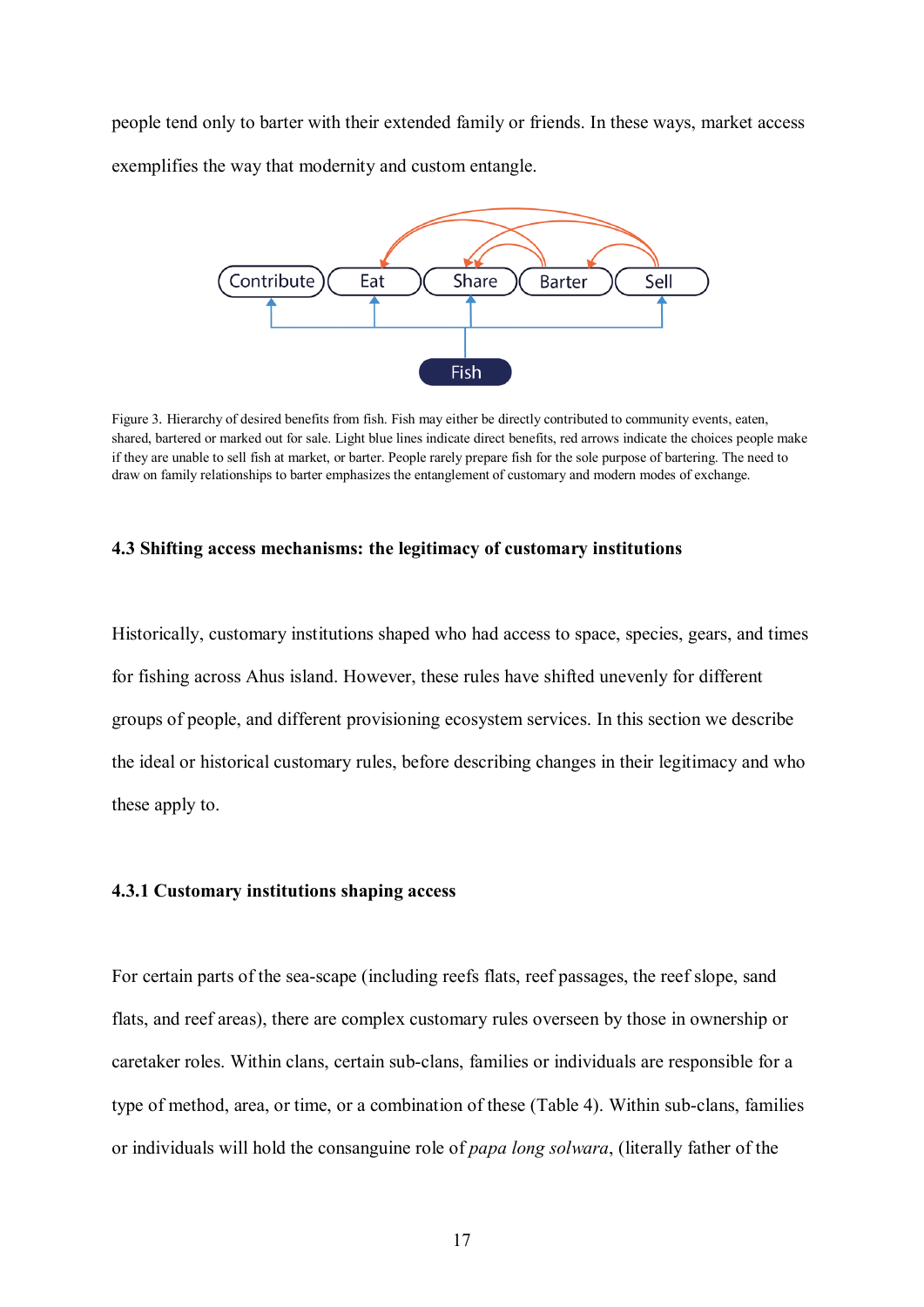people tend only to barter with their extended family or friends. In these ways, market access exemplifies the way that modernity and custom entangle.



Figure 3. Hierarchy of desired benefits from fish. Fish may either be directly contributed to community events, eaten, shared, bartered or marked out for sale. Light blue lines indicate direct benefits, red arrows indicate the choices people make if they are unable to sell fish at market, or barter. People rarely prepare fish for the sole purpose of bartering. The need to draw on family relationships to barter emphasizes the entanglement of customary and modern modes of exchange.

## **4.3 Shifting access mechanisms: the legitimacy of customary institutions**

Historically, customary institutions shaped who had access to space, species, gears, and times for fishing across Ahus island. However, these rules have shifted unevenly for different groups of people, and different provisioning ecosystem services. In this section we describe the ideal or historical customary rules, before describing changes in their legitimacy and who these apply to.

## **4.3.1 Customary institutions shaping access**

For certain parts of the sea-scape (including reefs flats, reef passages, the reef slope, sand flats, and reef areas), there are complex customary rules overseen by those in ownership or caretaker roles. Within clans, certain sub-clans, families or individuals are responsible for a type of method, area, or time, or a combination of these (Table 4). Within sub-clans, families or individuals will hold the consanguine role of *papa long solwara*, (literally father of the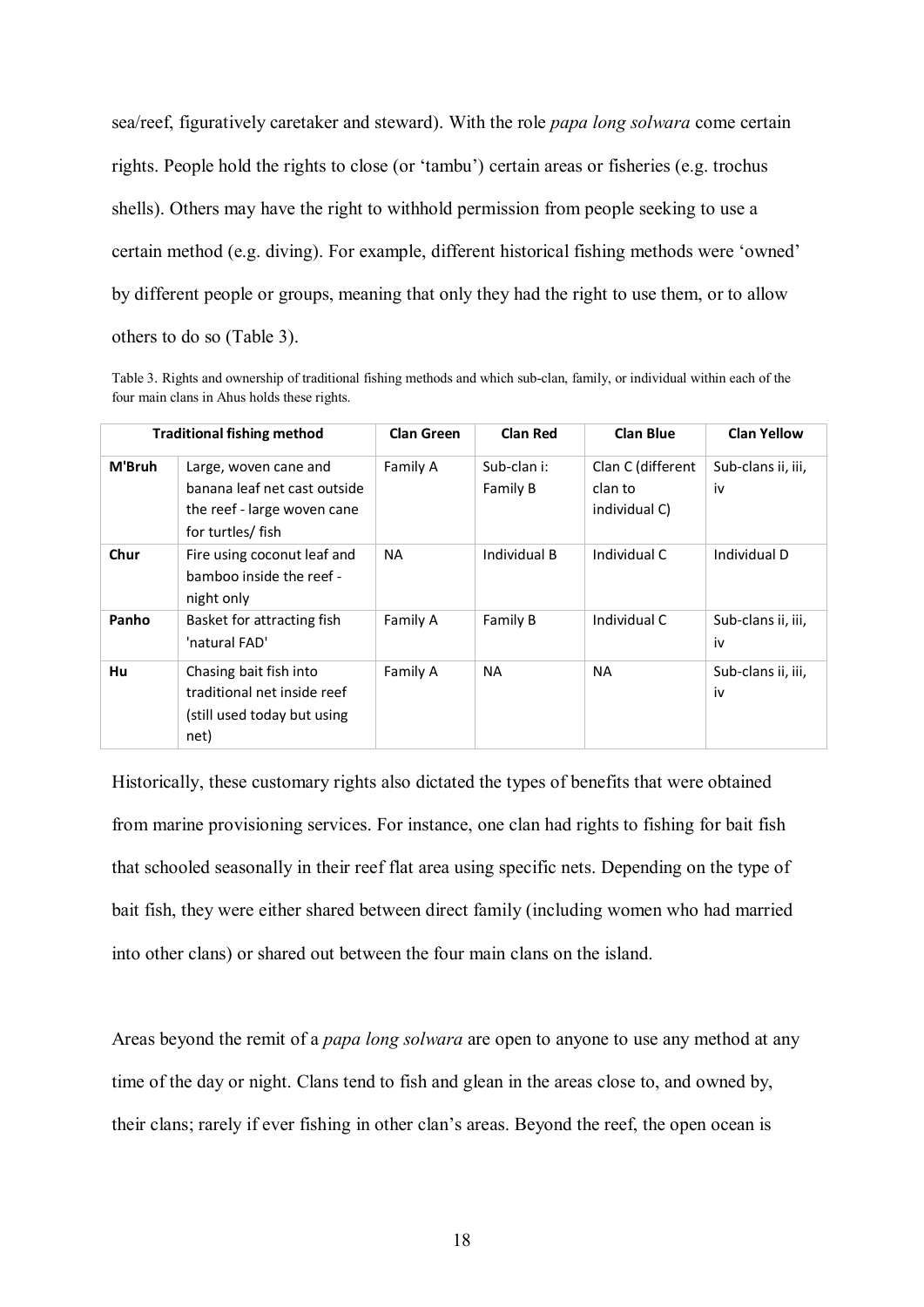sea/reef, figuratively caretaker and steward). With the role *papa long solwara* come certain rights. People hold the rights to close (or 'tambu') certain areas or fisheries (e.g. trochus shells). Others may have the right to withhold permission from people seeking to use a certain method (e.g. diving). For example, different historical fishing methods were 'owned' by different people or groups, meaning that only they had the right to use them, or to allow others to do so (Table 3).

Table 3. Rights and ownership of traditional fishing methods and which sub-clan, family, or individual within each of the four main clans in Ahus holds these rights.

|        | <b>Traditional fishing method</b>                                                                         | <b>Clan Green</b> | <b>Clan Red</b>         | <b>Clan Blue</b>                              | <b>Clan Yellow</b>       |
|--------|-----------------------------------------------------------------------------------------------------------|-------------------|-------------------------|-----------------------------------------------|--------------------------|
| M'Bruh | Large, woven cane and<br>banana leaf net cast outside<br>the reef - large woven cane<br>for turtles/ fish | Family A          | Sub-clan i:<br>Family B | Clan C (different<br>clan to<br>individual C) | Sub-clans ii, iii,<br>iv |
| Chur   | Fire using coconut leaf and<br>bamboo inside the reef -<br>night only                                     | <b>NA</b>         | Individual B            | Individual C                                  | Individual D             |
| Panho  | Basket for attracting fish<br>'natural FAD'                                                               | Family A          | Family B                | Individual C                                  | Sub-clans ii, iii,<br>iv |
| Hu     | Chasing bait fish into<br>traditional net inside reef<br>(still used today but using<br>net)              | Family A          | <b>NA</b>               | <b>NA</b>                                     | Sub-clans ii, iii,<br>iv |

Historically, these customary rights also dictated the types of benefits that were obtained from marine provisioning services. For instance, one clan had rights to fishing for bait fish that schooled seasonally in their reef flat area using specific nets. Depending on the type of bait fish, they were either shared between direct family (including women who had married into other clans) or shared out between the four main clans on the island.

Areas beyond the remit of a *papa long solwara* are open to anyone to use any method at any time of the day or night. Clans tend to fish and glean in the areas close to, and owned by, their clans; rarely if ever fishing in other clan's areas. Beyond the reef, the open ocean is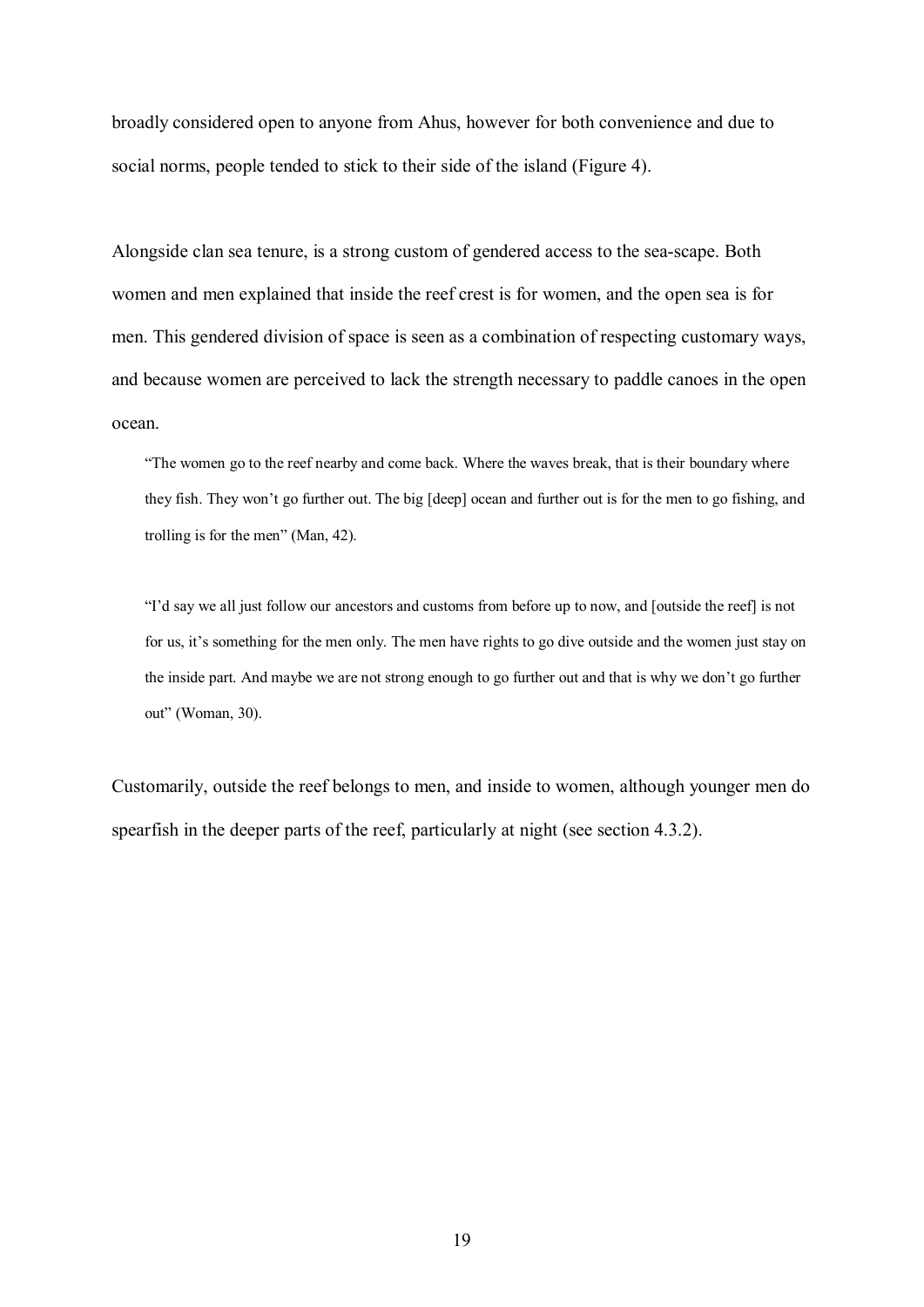broadly considered open to anyone from Ahus, however for both convenience and due to social norms, people tended to stick to their side of the island (Figure 4).

Alongside clan sea tenure, is a strong custom of gendered access to the sea-scape. Both women and men explained that inside the reef crest is for women, and the open sea is for men. This gendered division of space is seen as a combination of respecting customary ways, and because women are perceived to lack the strength necessary to paddle canoes in the open ocean.

"The women go to the reef nearby and come back. Where the waves break, that is their boundary where they fish. They won't go further out. The big [deep] ocean and further out is for the men to go fishing, and trolling is for the men" (Man, 42).

"I'd say we all just follow our ancestors and customs from before up to now, and [outside the reef] is not for us, it's something for the men only. The men have rights to go dive outside and the women just stay on the inside part. And maybe we are not strong enough to go further out and that is why we don't go further out" (Woman, 30).

Customarily, outside the reef belongs to men, and inside to women, although younger men do spearfish in the deeper parts of the reef, particularly at night (see section 4.3.2).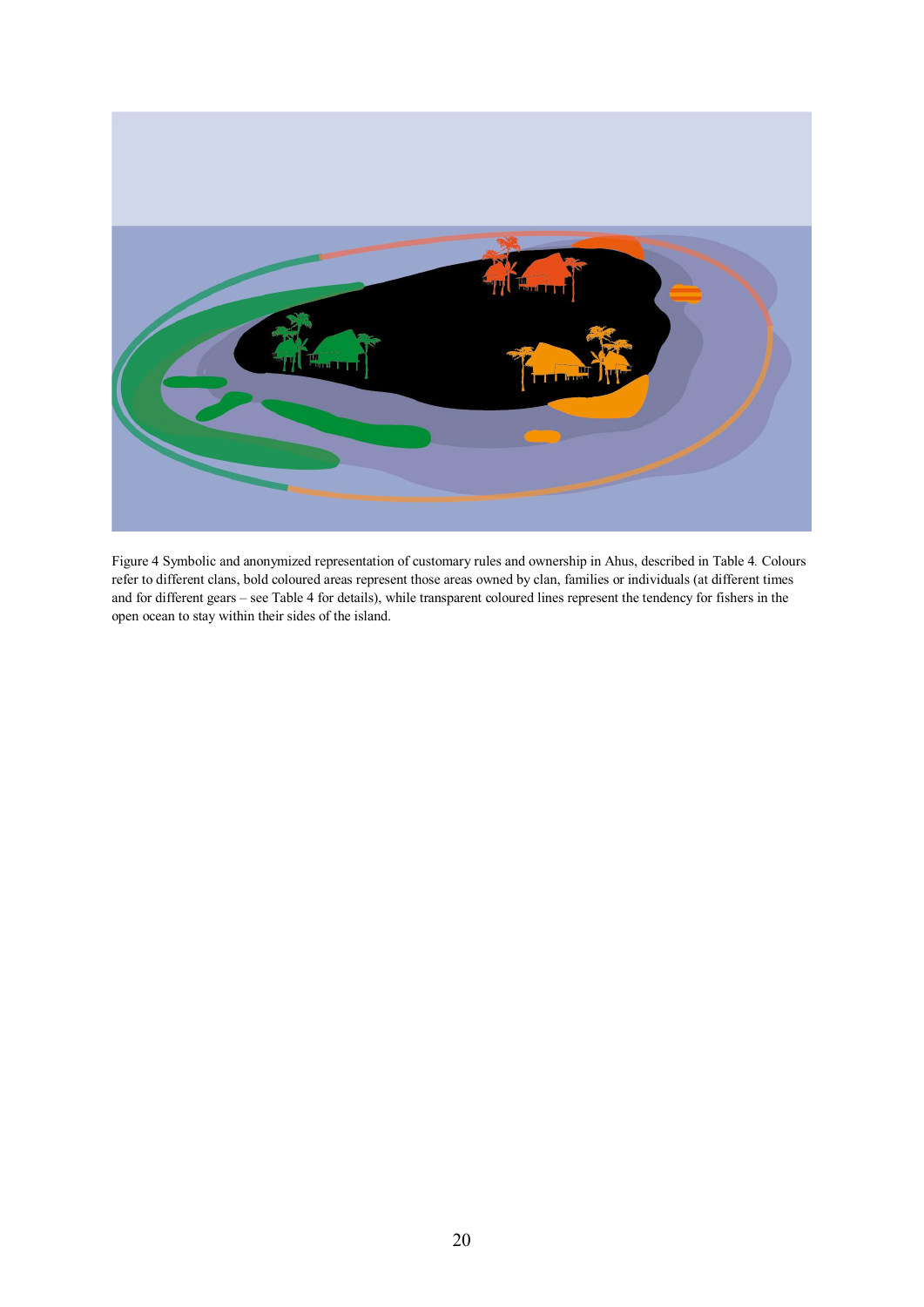

Figure 4 Symbolic and anonymized representation of customary rules and ownership in Ahus, described in Table 4*.* Colours refer to different clans, bold coloured areas represent those areas owned by clan, families or individuals (at different times and for different gears – see Table 4 for details), while transparent coloured lines represent the tendency for fishers in the open ocean to stay within their sides of the island.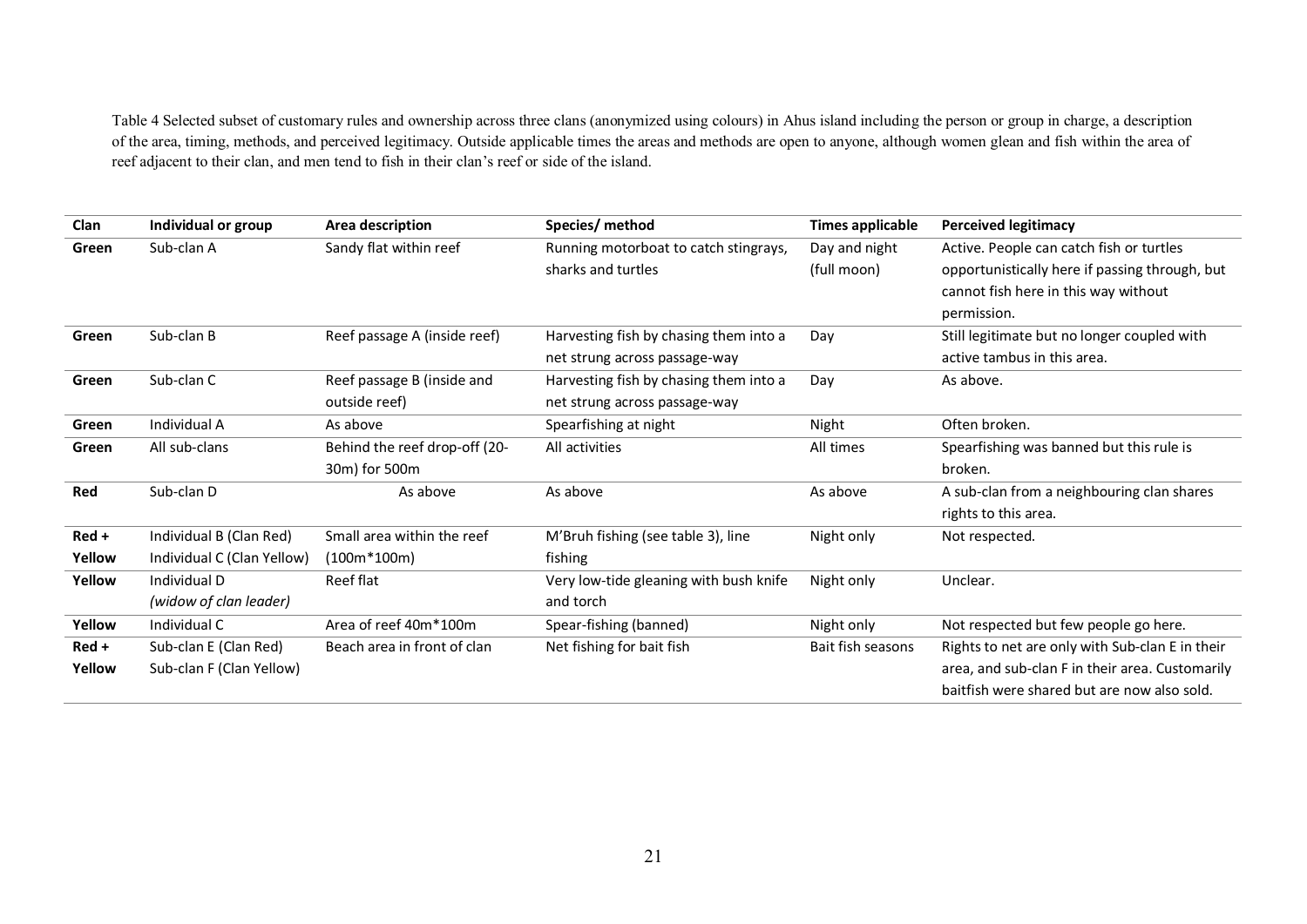Table 4 Selected subset of customary rules and ownership across three clans (anonymized using colours) in Ahus island including the person or group in charge, a description of the area, timing, methods, and perceived legitimacy. Outside applicable times the areas and methods are open to anyone, although women glean and fish within the area of reef adjacent to their clan, and men tend to fish in their clan's reef or side of the island.

| Clan    | Individual or group        | Area description              | Species/ method                        | <b>Times applicable</b> | <b>Perceived legitimacy</b>                     |
|---------|----------------------------|-------------------------------|----------------------------------------|-------------------------|-------------------------------------------------|
| Green   | Sub-clan A                 | Sandy flat within reef        | Running motorboat to catch stingrays,  | Day and night           | Active. People can catch fish or turtles        |
|         |                            |                               | sharks and turtles                     | (full moon)             | opportunistically here if passing through, but  |
|         |                            |                               |                                        |                         | cannot fish here in this way without            |
|         |                            |                               |                                        |                         | permission.                                     |
| Green   | Sub-clan B                 | Reef passage A (inside reef)  | Harvesting fish by chasing them into a | Day                     | Still legitimate but no longer coupled with     |
|         |                            |                               | net strung across passage-way          |                         | active tambus in this area.                     |
| Green   | Sub-clan C                 | Reef passage B (inside and    | Harvesting fish by chasing them into a | Day                     | As above.                                       |
|         |                            | outside reef)                 | net strung across passage-way          |                         |                                                 |
| Green   | Individual A               | As above                      | Spearfishing at night                  | Night                   | Often broken.                                   |
| Green   | All sub-clans              | Behind the reef drop-off (20- | All activities                         | All times               | Spearfishing was banned but this rule is        |
|         |                            | 30m) for 500m                 |                                        |                         | broken.                                         |
| Red     | Sub-clan D                 | As above                      | As above                               | As above                | A sub-clan from a neighbouring clan shares      |
|         |                            |                               |                                        |                         | rights to this area.                            |
| Red +   | Individual B (Clan Red)    | Small area within the reef    | M'Bruh fishing (see table 3), line     | Night only              | Not respected.                                  |
| Yellow  | Individual C (Clan Yellow) | $(100m*100m)$                 | fishing                                |                         |                                                 |
| Yellow  | Individual D               | Reef flat                     | Very low-tide gleaning with bush knife | Night only              | Unclear.                                        |
|         | (widow of clan leader)     |                               | and torch                              |                         |                                                 |
| Yellow  | Individual C               | Area of reef 40m*100m         | Spear-fishing (banned)                 | Night only              | Not respected but few people go here.           |
| $Red +$ | Sub-clan E (Clan Red)      | Beach area in front of clan   | Net fishing for bait fish              | Bait fish seasons       | Rights to net are only with Sub-clan E in their |
| Yellow  | Sub-clan F (Clan Yellow)   |                               |                                        |                         | area, and sub-clan F in their area. Customarily |
|         |                            |                               |                                        |                         | baitfish were shared but are now also sold.     |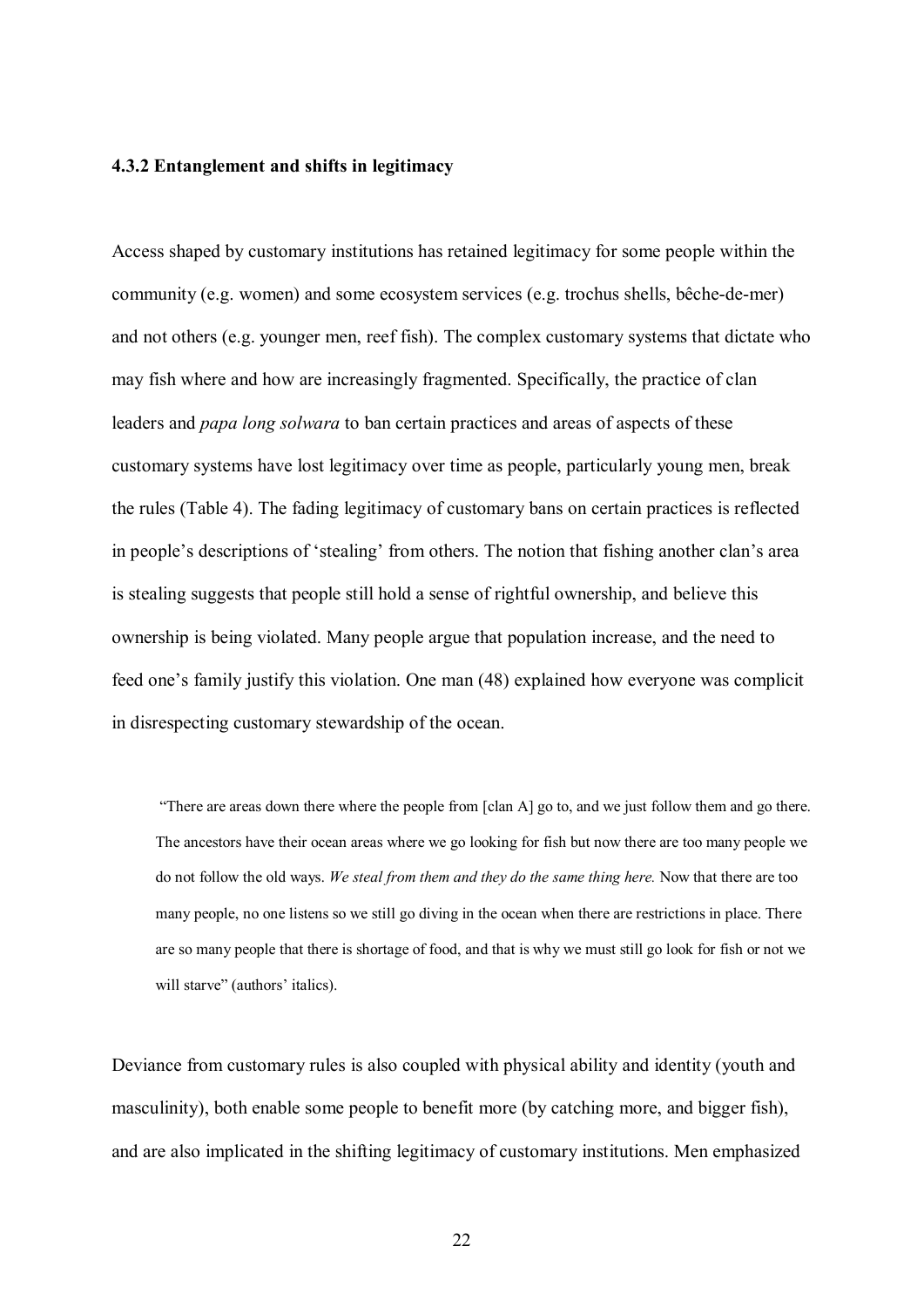#### **4.3.2 Entanglement and shifts in legitimacy**

Access shaped by customary institutions has retained legitimacy for some people within the community (e.g. women) and some ecosystem services (e.g. trochus shells, bêche-de-mer) and not others (e.g. younger men, reef fish). The complex customary systems that dictate who may fish where and how are increasingly fragmented. Specifically, the practice of clan leaders and *papa long solwara* to ban certain practices and areas of aspects of these customary systems have lost legitimacy over time as people, particularly young men, break the rules (Table 4). The fading legitimacy of customary bans on certain practices is reflected in people's descriptions of 'stealing' from others. The notion that fishing another clan's area is stealing suggests that people still hold a sense of rightful ownership, and believe this ownership is being violated. Many people argue that population increase, and the need to feed one's family justify this violation. One man (48) explained how everyone was complicit in disrespecting customary stewardship of the ocean.

"There are areas down there where the people from [clan A] go to, and we just follow them and go there. The ancestors have their ocean areas where we go looking for fish but now there are too many people we do not follow the old ways. *We steal from them and they do the same thing here.* Now that there are too many people, no one listens so we still go diving in the ocean when there are restrictions in place. There are so many people that there is shortage of food, and that is why we must still go look for fish or not we will starve" (authors' italics).

Deviance from customary rules is also coupled with physical ability and identity (youth and masculinity), both enable some people to benefit more (by catching more, and bigger fish), and are also implicated in the shifting legitimacy of customary institutions. Men emphasized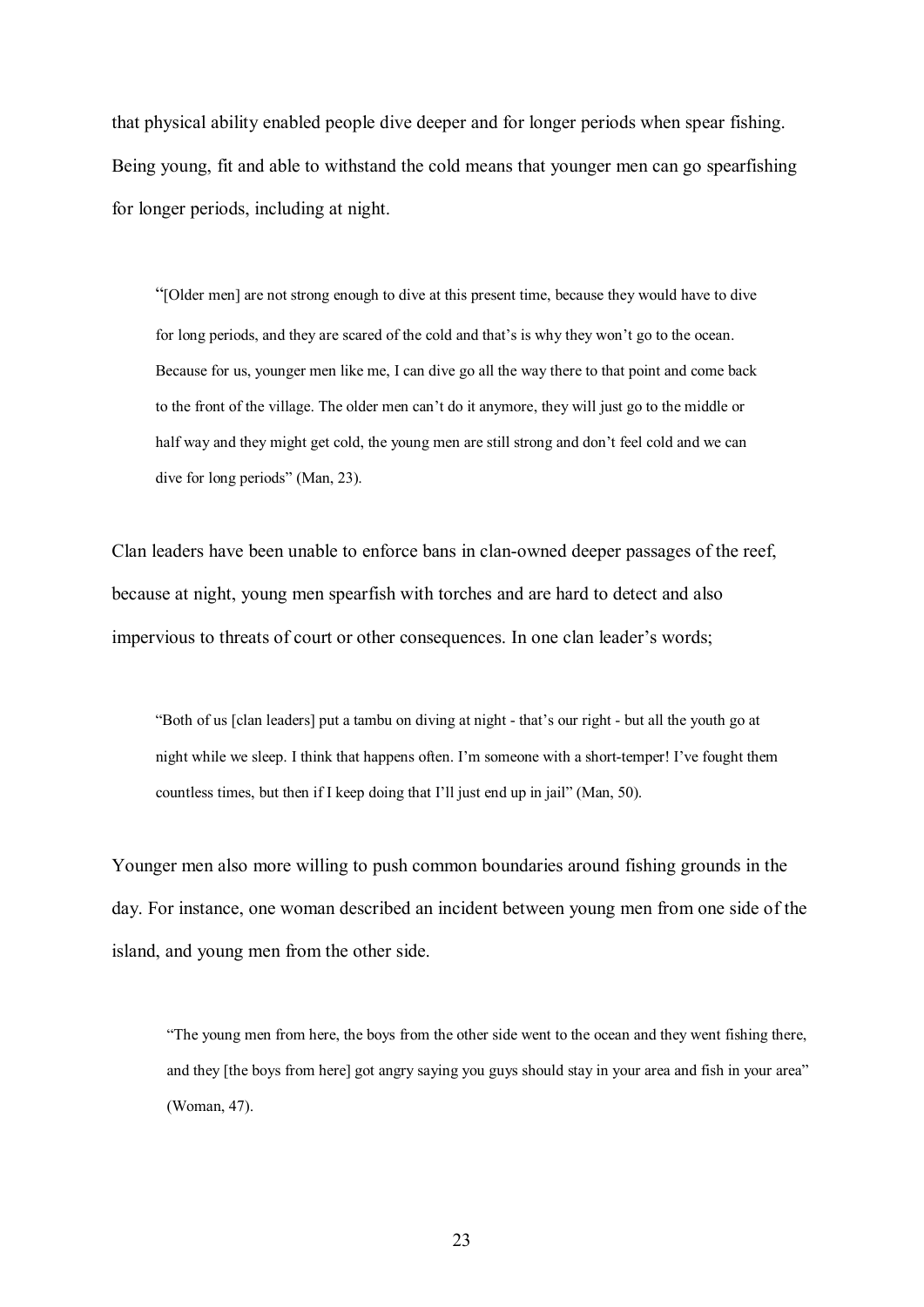that physical ability enabled people dive deeper and for longer periods when spear fishing. Being young, fit and able to withstand the cold means that younger men can go spearfishing for longer periods, including at night.

"[Older men] are not strong enough to dive at this present time, because they would have to dive for long periods, and they are scared of the cold and that's is why they won't go to the ocean. Because for us, younger men like me, I can dive go all the way there to that point and come back to the front of the village. The older men can't do it anymore, they will just go to the middle or half way and they might get cold, the young men are still strong and don't feel cold and we can dive for long periods" (Man, 23).

Clan leaders have been unable to enforce bans in clan-owned deeper passages of the reef, because at night, young men spearfish with torches and are hard to detect and also impervious to threats of court or other consequences. In one clan leader's words;

"Both of us [clan leaders] put a tambu on diving at night - that's our right - but all the youth go at night while we sleep. I think that happens often. I'm someone with a short-temper! I've fought them countless times, but then if I keep doing that I'll just end up in jail" (Man, 50).

Younger men also more willing to push common boundaries around fishing grounds in the day. For instance, one woman described an incident between young men from one side of the island, and young men from the other side.

"The young men from here, the boys from the other side went to the ocean and they went fishing there, and they [the boys from here] got angry saying you guys should stay in your area and fish in your area" (Woman, 47).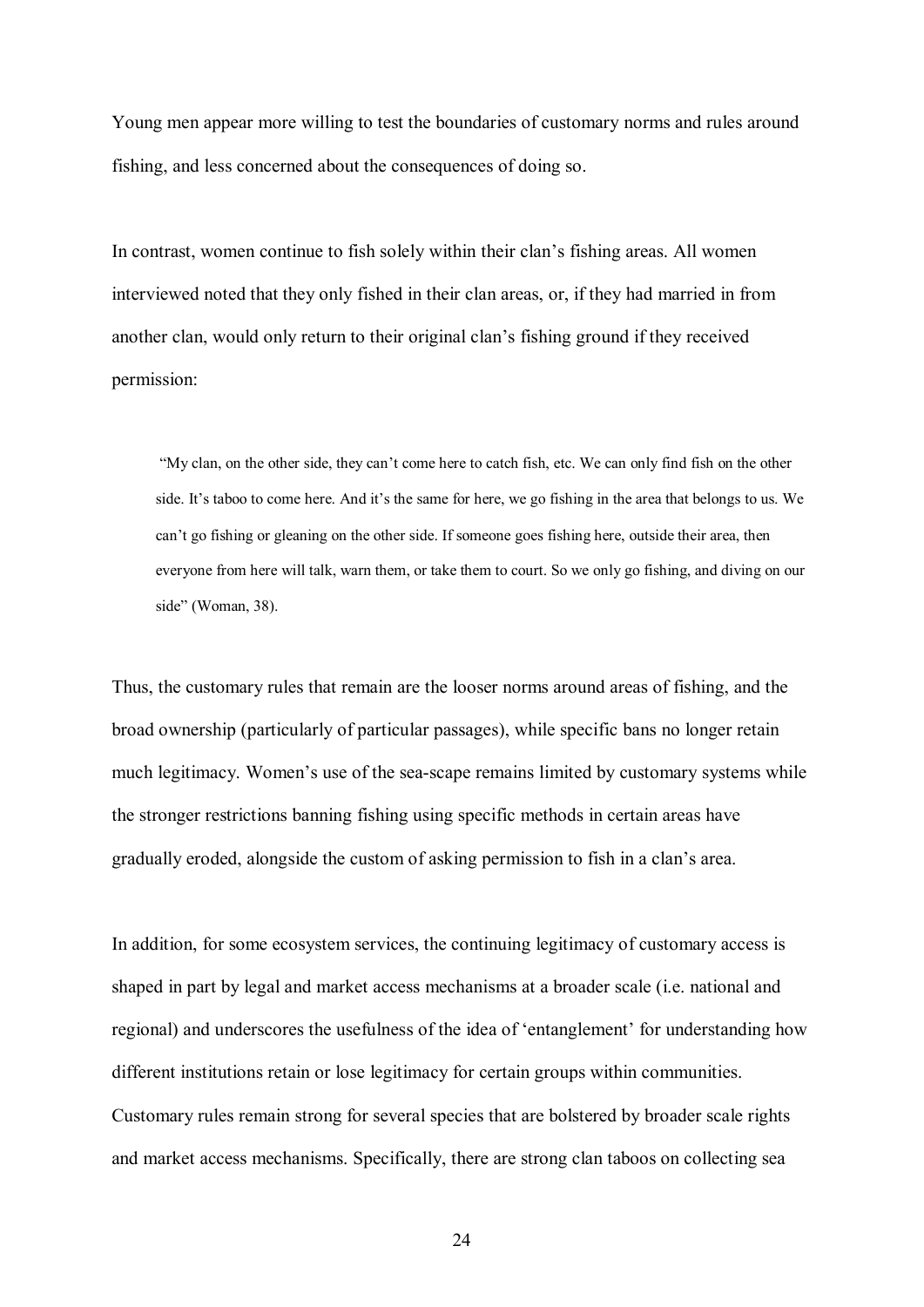Young men appear more willing to test the boundaries of customary norms and rules around fishing, and less concerned about the consequences of doing so.

In contrast, women continue to fish solely within their clan's fishing areas. All women interviewed noted that they only fished in their clan areas, or, if they had married in from another clan, would only return to their original clan's fishing ground if they received permission:

"My clan, on the other side, they can't come here to catch fish, etc. We can only find fish on the other side. It's taboo to come here. And it's the same for here, we go fishing in the area that belongs to us. We can't go fishing or gleaning on the other side. If someone goes fishing here, outside their area, then everyone from here will talk, warn them, or take them to court. So we only go fishing, and diving on our side" (Woman, 38).

Thus, the customary rules that remain are the looser norms around areas of fishing, and the broad ownership (particularly of particular passages), while specific bans no longer retain much legitimacy. Women's use of the sea-scape remains limited by customary systems while the stronger restrictions banning fishing using specific methods in certain areas have gradually eroded, alongside the custom of asking permission to fish in a clan's area.

In addition, for some ecosystem services, the continuing legitimacy of customary access is shaped in part by legal and market access mechanisms at a broader scale (i.e. national and regional) and underscores the usefulness of the idea of 'entanglement' for understanding how different institutions retain or lose legitimacy for certain groups within communities. Customary rules remain strong for several species that are bolstered by broader scale rights and market access mechanisms. Specifically, there are strong clan taboos on collecting sea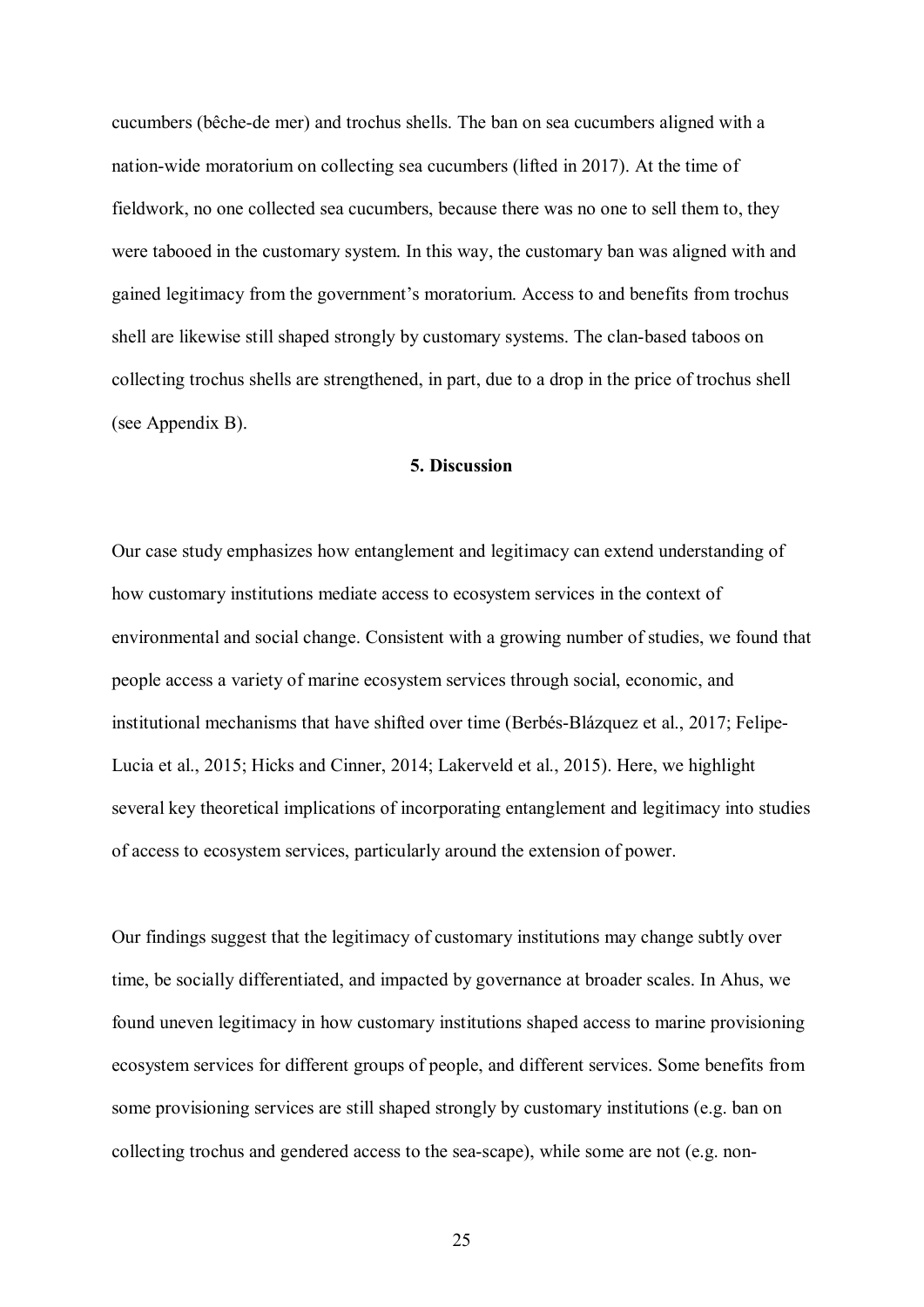cucumbers (bêche-de mer) and trochus shells. The ban on sea cucumbers aligned with a nation-wide moratorium on collecting sea cucumbers (lifted in 2017). At the time of fieldwork, no one collected sea cucumbers, because there was no one to sell them to, they were tabooed in the customary system. In this way, the customary ban was aligned with and gained legitimacy from the government's moratorium. Access to and benefits from trochus shell are likewise still shaped strongly by customary systems. The clan-based taboos on collecting trochus shells are strengthened, in part, due to a drop in the price of trochus shell (see Appendix B).

## **5. Discussion**

Our case study emphasizes how entanglement and legitimacy can extend understanding of how customary institutions mediate access to ecosystem services in the context of environmental and social change. Consistent with a growing number of studies, we found that people access a variety of marine ecosystem services through social, economic, and institutional mechanisms that have shifted over time (Berbés-Blázquez et al., 2017; Felipe-Lucia et al., 2015; Hicks and Cinner, 2014; Lakerveld et al., 2015). Here, we highlight several key theoretical implications of incorporating entanglement and legitimacy into studies of access to ecosystem services, particularly around the extension of power.

Our findings suggest that the legitimacy of customary institutions may change subtly over time, be socially differentiated, and impacted by governance at broader scales. In Ahus, we found uneven legitimacy in how customary institutions shaped access to marine provisioning ecosystem services for different groups of people, and different services. Some benefits from some provisioning services are still shaped strongly by customary institutions (e.g. ban on collecting trochus and gendered access to the sea-scape), while some are not (e.g. non-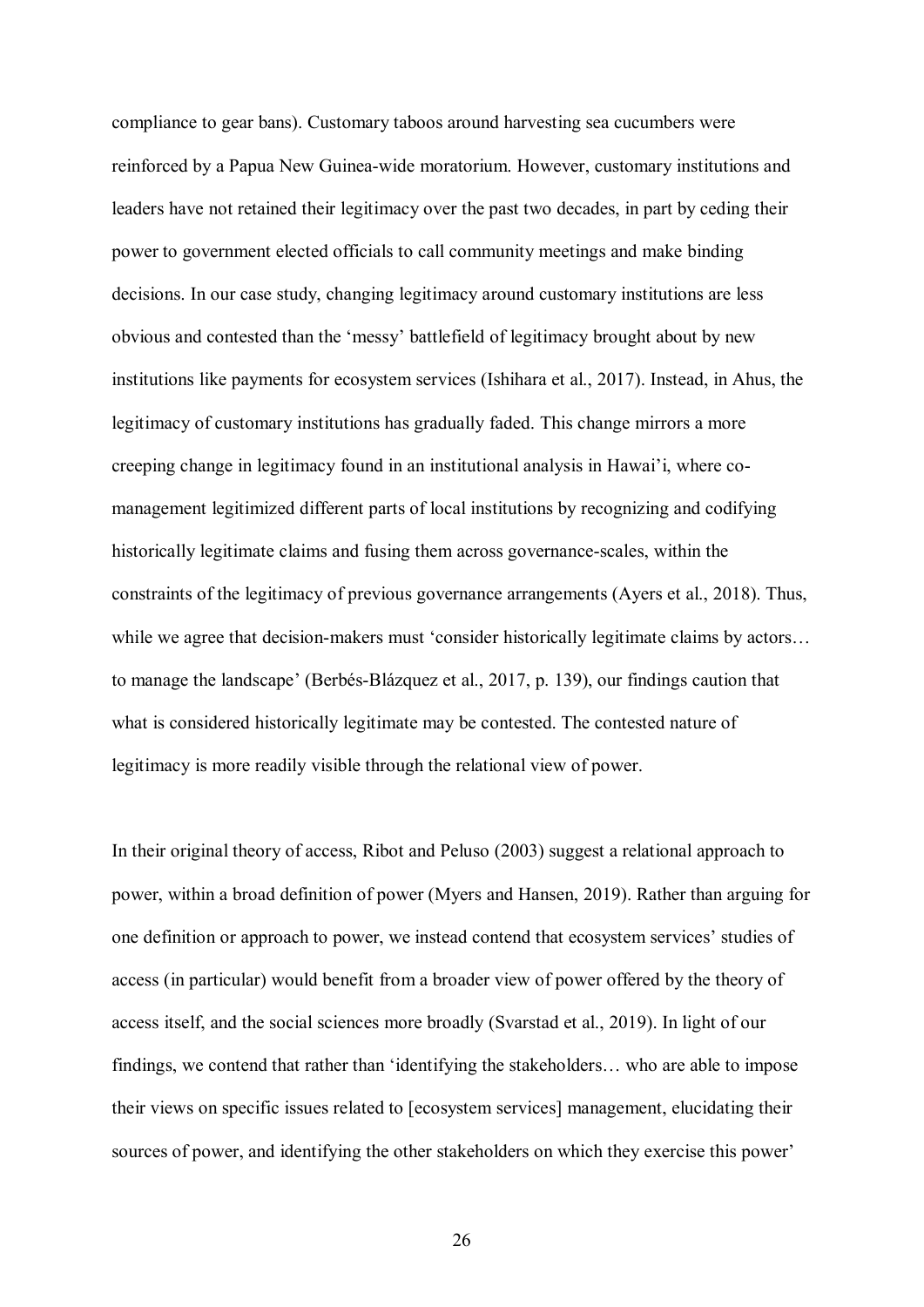compliance to gear bans). Customary taboos around harvesting sea cucumbers were reinforced by a Papua New Guinea-wide moratorium. However, customary institutions and leaders have not retained their legitimacy over the past two decades, in part by ceding their power to government elected officials to call community meetings and make binding decisions. In our case study, changing legitimacy around customary institutions are less obvious and contested than the 'messy' battlefield of legitimacy brought about by new institutions like payments for ecosystem services (Ishihara et al., 2017). Instead, in Ahus, the legitimacy of customary institutions has gradually faded. This change mirrors a more creeping change in legitimacy found in an institutional analysis in Hawai'i, where comanagement legitimized different parts of local institutions by recognizing and codifying historically legitimate claims and fusing them across governance-scales, within the constraints of the legitimacy of previous governance arrangements (Ayers et al., 2018). Thus, while we agree that decision-makers must 'consider historically legitimate claims by actors... to manage the landscape' (Berbés-Blázquez et al., 2017, p. 139), our findings caution that what is considered historically legitimate may be contested. The contested nature of legitimacy is more readily visible through the relational view of power.

In their original theory of access, Ribot and Peluso (2003) suggest a relational approach to power, within a broad definition of power (Myers and Hansen, 2019). Rather than arguing for one definition or approach to power, we instead contend that ecosystem services' studies of access (in particular) would benefit from a broader view of power offered by the theory of access itself, and the social sciences more broadly (Svarstad et al., 2019). In light of our findings, we contend that rather than 'identifying the stakeholders… who are able to impose their views on specific issues related to [ecosystem services] management, elucidating their sources of power, and identifying the other stakeholders on which they exercise this power'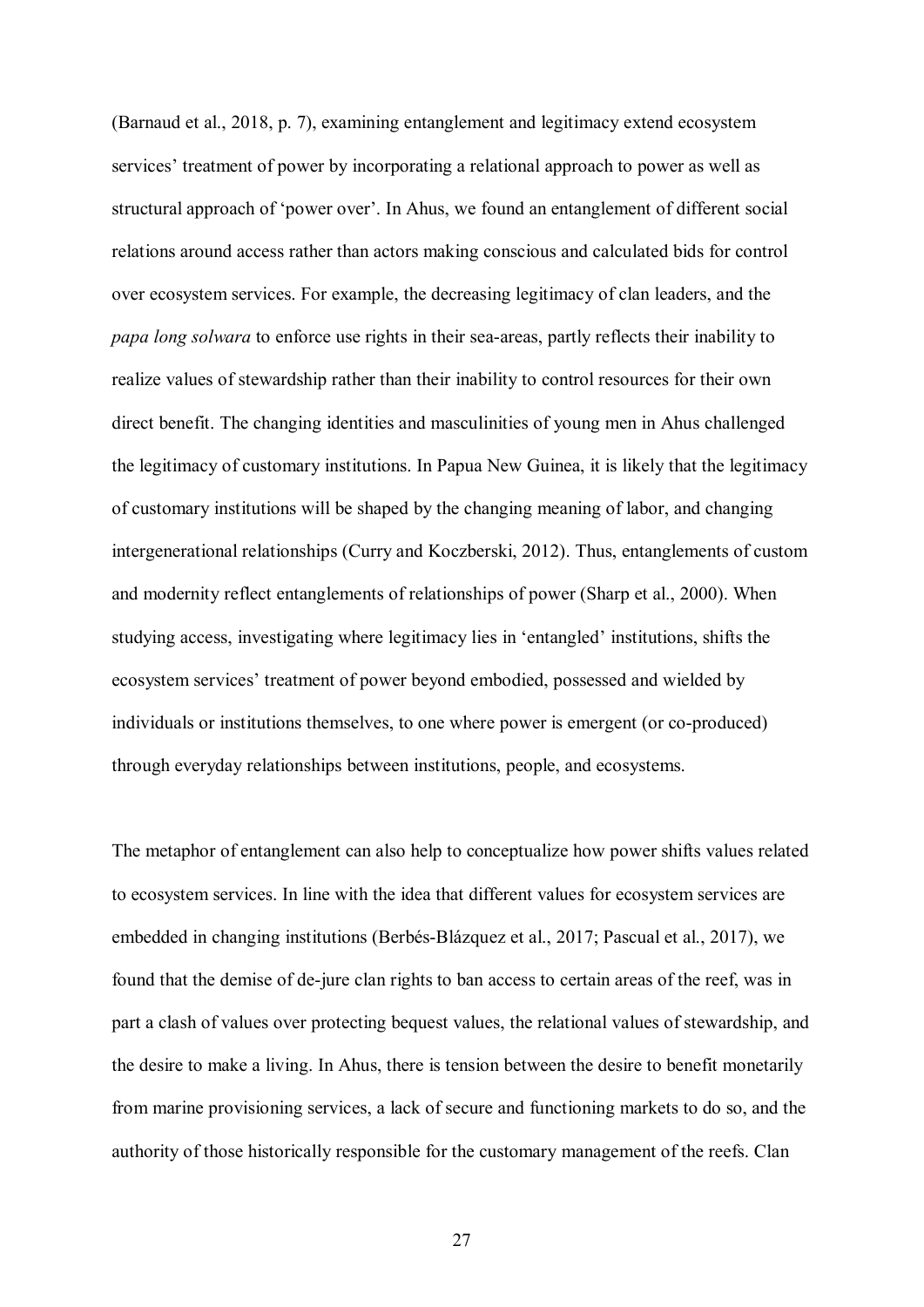(Barnaud et al., 2018, p. 7), examining entanglement and legitimacy extend ecosystem services' treatment of power by incorporating a relational approach to power as well as structural approach of 'power over'. In Ahus, we found an entanglement of different social relations around access rather than actors making conscious and calculated bids for control over ecosystem services. For example, the decreasing legitimacy of clan leaders, and the *papa long solwara* to enforce use rights in their sea-areas, partly reflects their inability to realize values of stewardship rather than their inability to control resources for their own direct benefit. The changing identities and masculinities of young men in Ahus challenged the legitimacy of customary institutions. In Papua New Guinea, it is likely that the legitimacy of customary institutions will be shaped by the changing meaning of labor, and changing intergenerational relationships (Curry and Koczberski, 2012). Thus, entanglements of custom and modernity reflect entanglements of relationships of power (Sharp et al., 2000). When studying access, investigating where legitimacy lies in 'entangled' institutions, shifts the ecosystem services' treatment of power beyond embodied, possessed and wielded by individuals or institutions themselves, to one where power is emergent (or co-produced) through everyday relationships between institutions, people, and ecosystems.

The metaphor of entanglement can also help to conceptualize how power shifts values related to ecosystem services. In line with the idea that different values for ecosystem services are embedded in changing institutions (Berbés-Blázquez et al., 2017; Pascual et al., 2017), we found that the demise of de-jure clan rights to ban access to certain areas of the reef, was in part a clash of values over protecting bequest values, the relational values of stewardship, and the desire to make a living. In Ahus, there is tension between the desire to benefit monetarily from marine provisioning services, a lack of secure and functioning markets to do so, and the authority of those historically responsible for the customary management of the reefs. Clan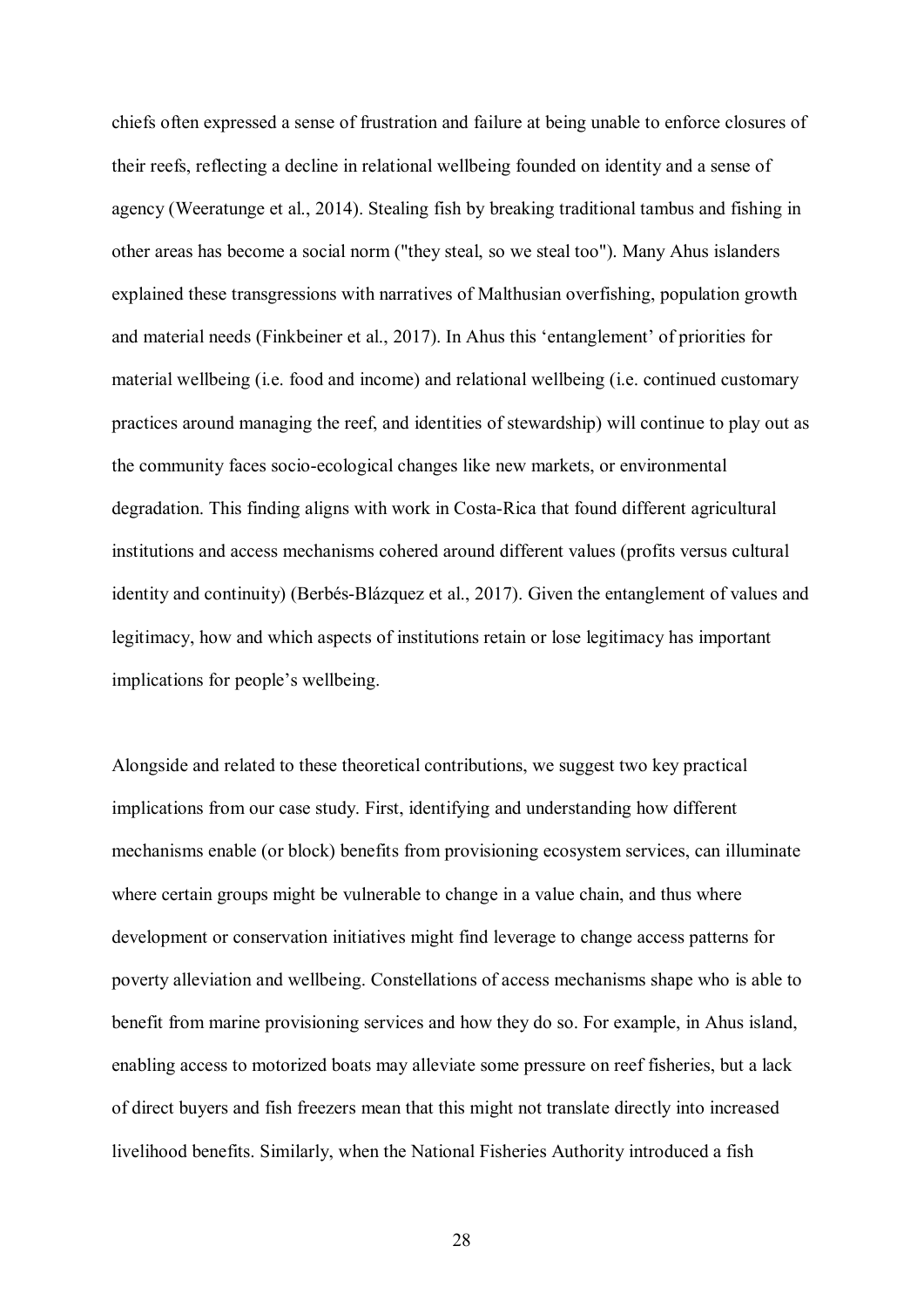chiefs often expressed a sense of frustration and failure at being unable to enforce closures of their reefs, reflecting a decline in relational wellbeing founded on identity and a sense of agency (Weeratunge et al., 2014). Stealing fish by breaking traditional tambus and fishing in other areas has become a social norm ("they steal, so we steal too"). Many Ahus islanders explained these transgressions with narratives of Malthusian overfishing, population growth and material needs (Finkbeiner et al., 2017). In Ahus this 'entanglement' of priorities for material wellbeing (i.e. food and income) and relational wellbeing (i.e. continued customary practices around managing the reef, and identities of stewardship) will continue to play out as the community faces socio-ecological changes like new markets, or environmental degradation. This finding aligns with work in Costa-Rica that found different agricultural institutions and access mechanisms cohered around different values (profits versus cultural identity and continuity) (Berbés-Blázquez et al., 2017). Given the entanglement of values and legitimacy, how and which aspects of institutions retain or lose legitimacy has important implications for people's wellbeing.

Alongside and related to these theoretical contributions, we suggest two key practical implications from our case study. First, identifying and understanding how different mechanisms enable (or block) benefits from provisioning ecosystem services, can illuminate where certain groups might be vulnerable to change in a value chain, and thus where development or conservation initiatives might find leverage to change access patterns for poverty alleviation and wellbeing. Constellations of access mechanisms shape who is able to benefit from marine provisioning services and how they do so. For example, in Ahus island, enabling access to motorized boats may alleviate some pressure on reef fisheries, but a lack of direct buyers and fish freezers mean that this might not translate directly into increased livelihood benefits. Similarly, when the National Fisheries Authority introduced a fish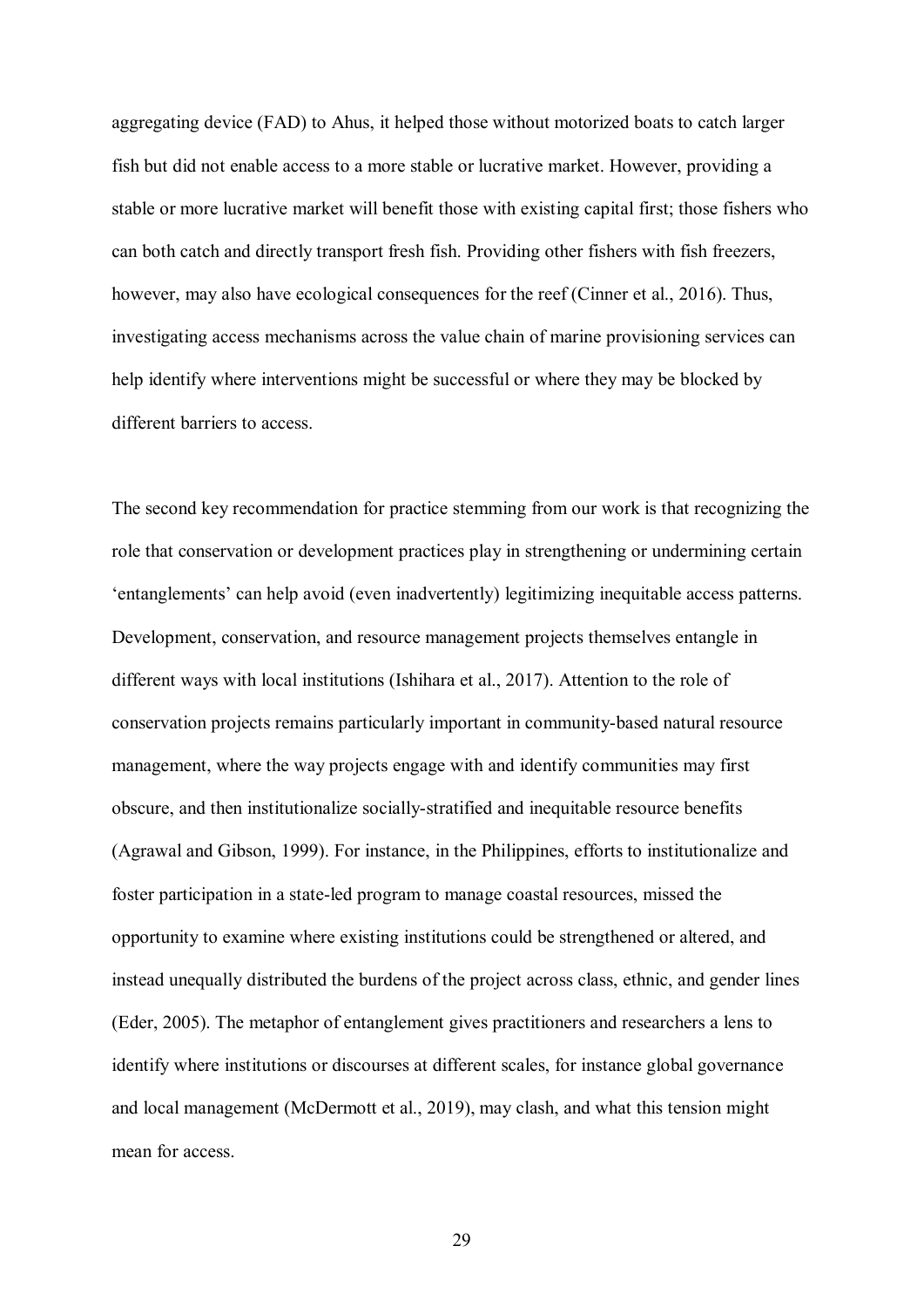aggregating device (FAD) to Ahus, it helped those without motorized boats to catch larger fish but did not enable access to a more stable or lucrative market. However, providing a stable or more lucrative market will benefit those with existing capital first; those fishers who can both catch and directly transport fresh fish. Providing other fishers with fish freezers, however, may also have ecological consequences for the reef (Cinner et al., 2016). Thus, investigating access mechanisms across the value chain of marine provisioning services can help identify where interventions might be successful or where they may be blocked by different barriers to access.

The second key recommendation for practice stemming from our work is that recognizing the role that conservation or development practices play in strengthening or undermining certain 'entanglements' can help avoid (even inadvertently) legitimizing inequitable access patterns. Development, conservation, and resource management projects themselves entangle in different ways with local institutions (Ishihara et al., 2017). Attention to the role of conservation projects remains particularly important in community-based natural resource management, where the way projects engage with and identify communities may first obscure, and then institutionalize socially-stratified and inequitable resource benefits (Agrawal and Gibson, 1999). For instance, in the Philippines, efforts to institutionalize and foster participation in a state-led program to manage coastal resources, missed the opportunity to examine where existing institutions could be strengthened or altered, and instead unequally distributed the burdens of the project across class, ethnic, and gender lines (Eder, 2005). The metaphor of entanglement gives practitioners and researchers a lens to identify where institutions or discourses at different scales, for instance global governance and local management (McDermott et al., 2019), may clash, and what this tension might mean for access.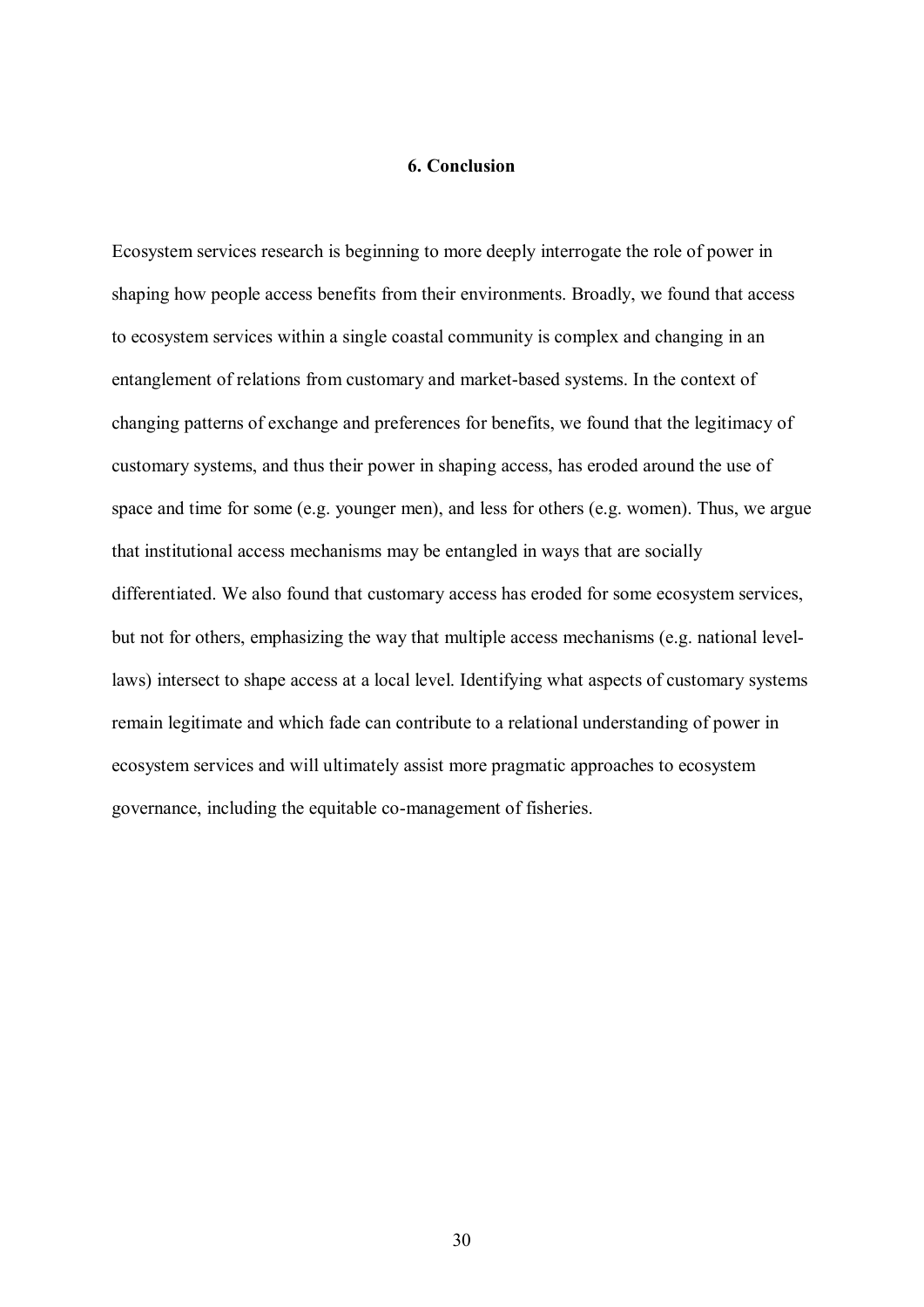## **6. Conclusion**

Ecosystem services research is beginning to more deeply interrogate the role of power in shaping how people access benefits from their environments. Broadly, we found that access to ecosystem services within a single coastal community is complex and changing in an entanglement of relations from customary and market-based systems. In the context of changing patterns of exchange and preferences for benefits, we found that the legitimacy of customary systems, and thus their power in shaping access, has eroded around the use of space and time for some (e.g. younger men), and less for others (e.g. women). Thus, we argue that institutional access mechanisms may be entangled in ways that are socially differentiated. We also found that customary access has eroded for some ecosystem services, but not for others, emphasizing the way that multiple access mechanisms (e.g. national levellaws) intersect to shape access at a local level. Identifying what aspects of customary systems remain legitimate and which fade can contribute to a relational understanding of power in ecosystem services and will ultimately assist more pragmatic approaches to ecosystem governance, including the equitable co-management of fisheries.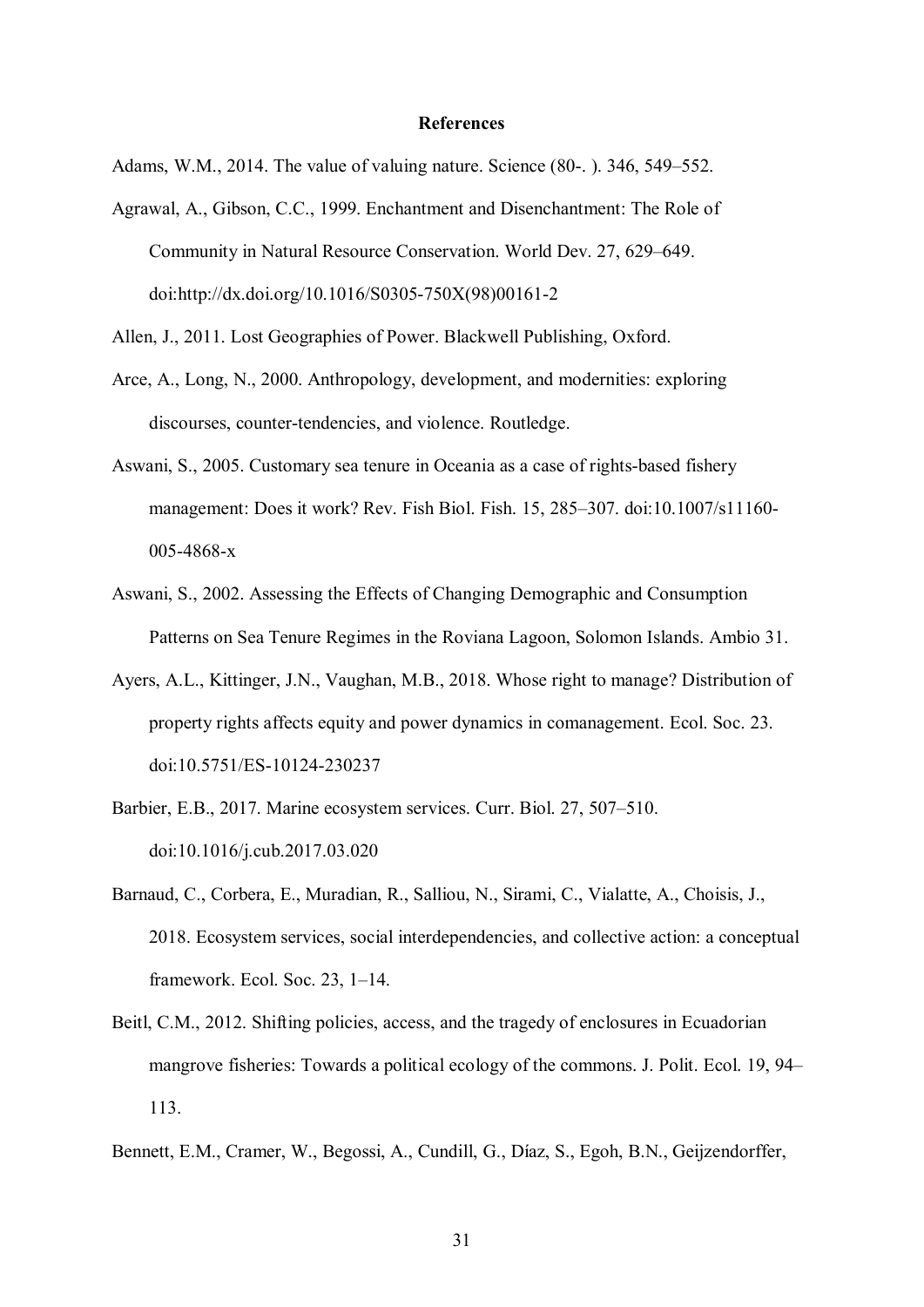#### **References**

Adams, W.M., 2014. The value of valuing nature. Science (80-. ). 346, 549–552.

Agrawal, A., Gibson, C.C., 1999. Enchantment and Disenchantment: The Role of Community in Natural Resource Conservation. World Dev. 27, 629–649. doi:http://dx.doi.org/10.1016/S0305-750X(98)00161-2

Allen, J., 2011. Lost Geographies of Power. Blackwell Publishing, Oxford.

- Arce, A., Long, N., 2000. Anthropology, development, and modernities: exploring discourses, counter-tendencies, and violence. Routledge.
- Aswani, S., 2005. Customary sea tenure in Oceania as a case of rights-based fishery management: Does it work? Rev. Fish Biol. Fish. 15, 285–307. doi:10.1007/s11160- 005-4868-x
- Aswani, S., 2002. Assessing the Effects of Changing Demographic and Consumption Patterns on Sea Tenure Regimes in the Roviana Lagoon, Solomon Islands. Ambio 31.
- Ayers, A.L., Kittinger, J.N., Vaughan, M.B., 2018. Whose right to manage? Distribution of property rights affects equity and power dynamics in comanagement. Ecol. Soc. 23. doi:10.5751/ES-10124-230237
- Barbier, E.B., 2017. Marine ecosystem services. Curr. Biol. 27, 507–510. doi:10.1016/j.cub.2017.03.020
- Barnaud, C., Corbera, E., Muradian, R., Salliou, N., Sirami, C., Vialatte, A., Choisis, J., 2018. Ecosystem services, social interdependencies, and collective action: a conceptual framework. Ecol. Soc. 23, 1–14.
- Beitl, C.M., 2012. Shifting policies, access, and the tragedy of enclosures in Ecuadorian mangrove fisheries: Towards a political ecology of the commons. J. Polit. Ecol. 19, 94– 113.
- Bennett, E.M., Cramer, W., Begossi, A., Cundill, G., Díaz, S., Egoh, B.N., Geijzendorffer,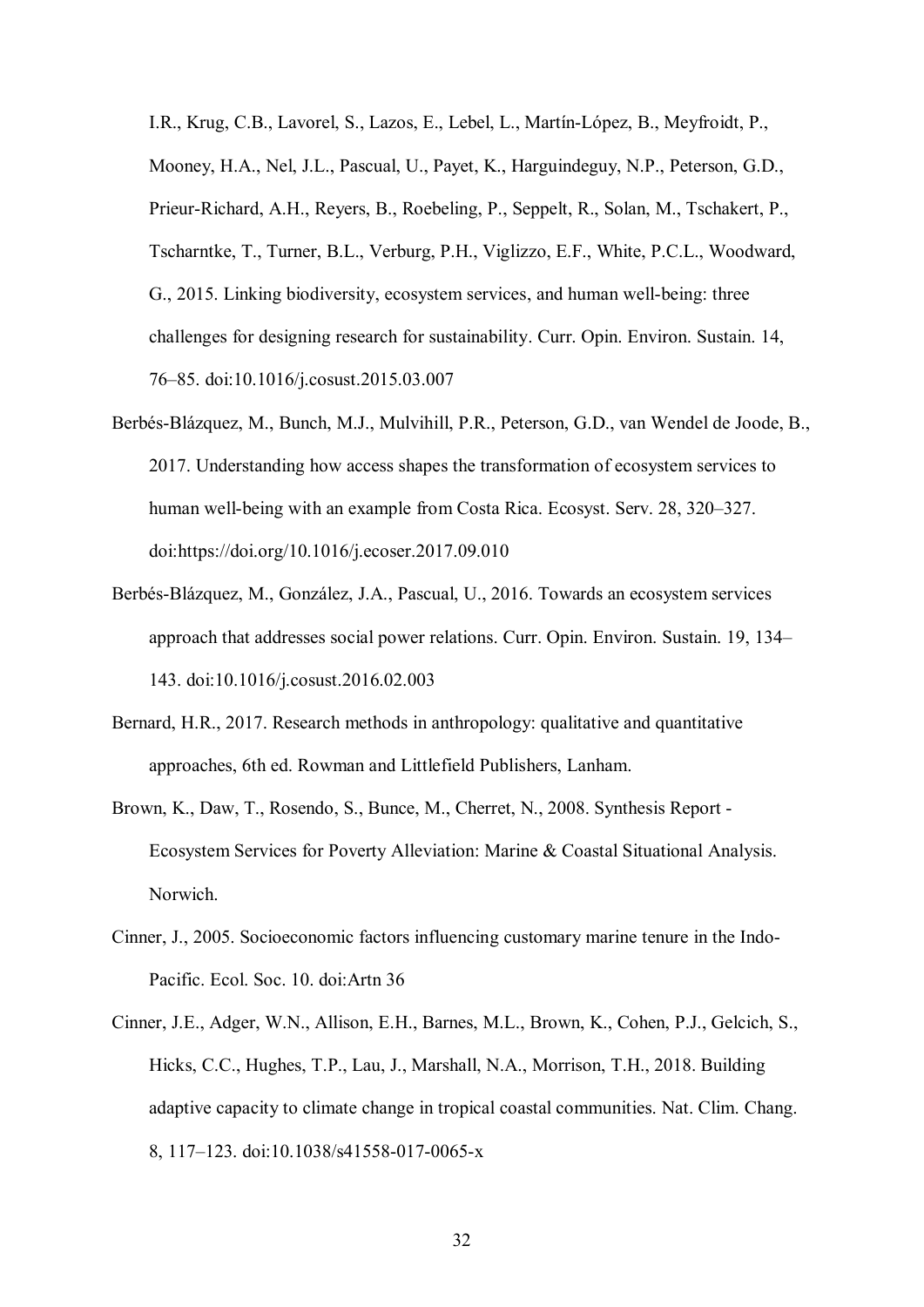I.R., Krug, C.B., Lavorel, S., Lazos, E., Lebel, L., Martín-López, B., Meyfroidt, P., Mooney, H.A., Nel, J.L., Pascual, U., Payet, K., Harguindeguy, N.P., Peterson, G.D., Prieur-Richard, A.H., Reyers, B., Roebeling, P., Seppelt, R., Solan, M., Tschakert, P., Tscharntke, T., Turner, B.L., Verburg, P.H., Viglizzo, E.F., White, P.C.L., Woodward, G., 2015. Linking biodiversity, ecosystem services, and human well-being: three challenges for designing research for sustainability. Curr. Opin. Environ. Sustain. 14, 76–85. doi:10.1016/j.cosust.2015.03.007

- Berbés-Blázquez, M., Bunch, M.J., Mulvihill, P.R., Peterson, G.D., van Wendel de Joode, B., 2017. Understanding how access shapes the transformation of ecosystem services to human well-being with an example from Costa Rica. Ecosyst. Serv. 28, 320–327. doi:https://doi.org/10.1016/j.ecoser.2017.09.010
- Berbés-Blázquez, M., González, J.A., Pascual, U., 2016. Towards an ecosystem services approach that addresses social power relations. Curr. Opin. Environ. Sustain. 19, 134– 143. doi:10.1016/j.cosust.2016.02.003
- Bernard, H.R., 2017. Research methods in anthropology: qualitative and quantitative approaches, 6th ed. Rowman and Littlefield Publishers, Lanham.
- Brown, K., Daw, T., Rosendo, S., Bunce, M., Cherret, N., 2008. Synthesis Report Ecosystem Services for Poverty Alleviation: Marine & Coastal Situational Analysis. Norwich.
- Cinner, J., 2005. Socioeconomic factors influencing customary marine tenure in the Indo-Pacific. Ecol. Soc. 10. doi:Artn 36
- Cinner, J.E., Adger, W.N., Allison, E.H., Barnes, M.L., Brown, K., Cohen, P.J., Gelcich, S., Hicks, C.C., Hughes, T.P., Lau, J., Marshall, N.A., Morrison, T.H., 2018. Building adaptive capacity to climate change in tropical coastal communities. Nat. Clim. Chang. 8, 117–123. doi:10.1038/s41558-017-0065-x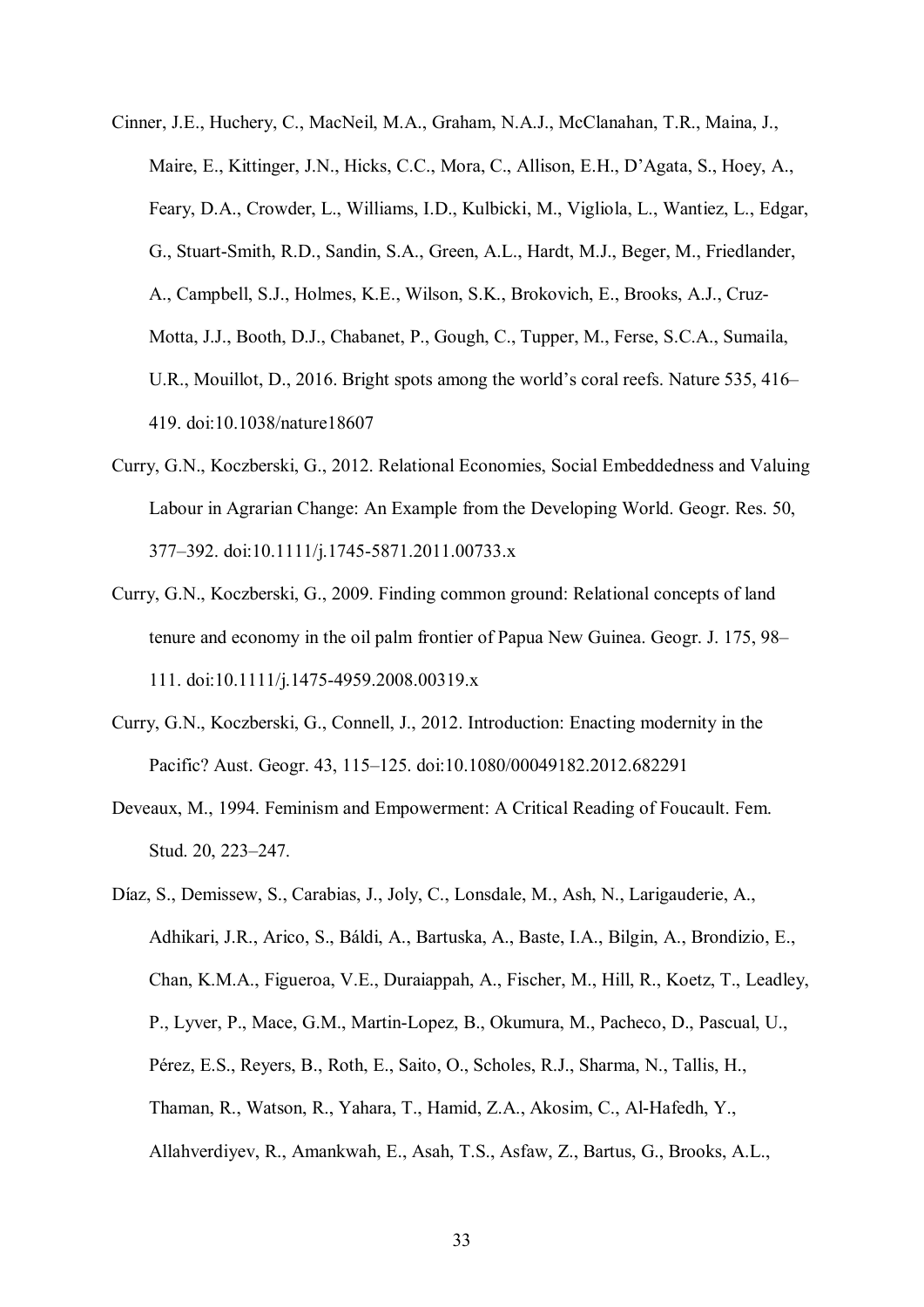- Cinner, J.E., Huchery, C., MacNeil, M.A., Graham, N.A.J., McClanahan, T.R., Maina, J., Maire, E., Kittinger, J.N., Hicks, C.C., Mora, C., Allison, E.H., D'Agata, S., Hoey, A., Feary, D.A., Crowder, L., Williams, I.D., Kulbicki, M., Vigliola, L., Wantiez, L., Edgar, G., Stuart-Smith, R.D., Sandin, S.A., Green, A.L., Hardt, M.J., Beger, M., Friedlander, A., Campbell, S.J., Holmes, K.E., Wilson, S.K., Brokovich, E., Brooks, A.J., Cruz-Motta, J.J., Booth, D.J., Chabanet, P., Gough, C., Tupper, M., Ferse, S.C.A., Sumaila, U.R., Mouillot, D., 2016. Bright spots among the world's coral reefs. Nature 535, 416– 419. doi:10.1038/nature18607
- Curry, G.N., Koczberski, G., 2012. Relational Economies, Social Embeddedness and Valuing Labour in Agrarian Change: An Example from the Developing World. Geogr. Res. 50, 377–392. doi:10.1111/j.1745-5871.2011.00733.x
- Curry, G.N., Koczberski, G., 2009. Finding common ground: Relational concepts of land tenure and economy in the oil palm frontier of Papua New Guinea. Geogr. J. 175, 98– 111. doi:10.1111/j.1475-4959.2008.00319.x
- Curry, G.N., Koczberski, G., Connell, J., 2012. Introduction: Enacting modernity in the Pacific? Aust. Geogr. 43, 115–125. doi:10.1080/00049182.2012.682291
- Deveaux, M., 1994. Feminism and Empowerment: A Critical Reading of Foucault. Fem. Stud. 20, 223–247.
- Díaz, S., Demissew, S., Carabias, J., Joly, C., Lonsdale, M., Ash, N., Larigauderie, A., Adhikari, J.R., Arico, S., Báldi, A., Bartuska, A., Baste, I.A., Bilgin, A., Brondizio, E., Chan, K.M.A., Figueroa, V.E., Duraiappah, A., Fischer, M., Hill, R., Koetz, T., Leadley, P., Lyver, P., Mace, G.M., Martin-Lopez, B., Okumura, M., Pacheco, D., Pascual, U., Pérez, E.S., Reyers, B., Roth, E., Saito, O., Scholes, R.J., Sharma, N., Tallis, H., Thaman, R., Watson, R., Yahara, T., Hamid, Z.A., Akosim, C., Al-Hafedh, Y., Allahverdiyev, R., Amankwah, E., Asah, T.S., Asfaw, Z., Bartus, G., Brooks, A.L.,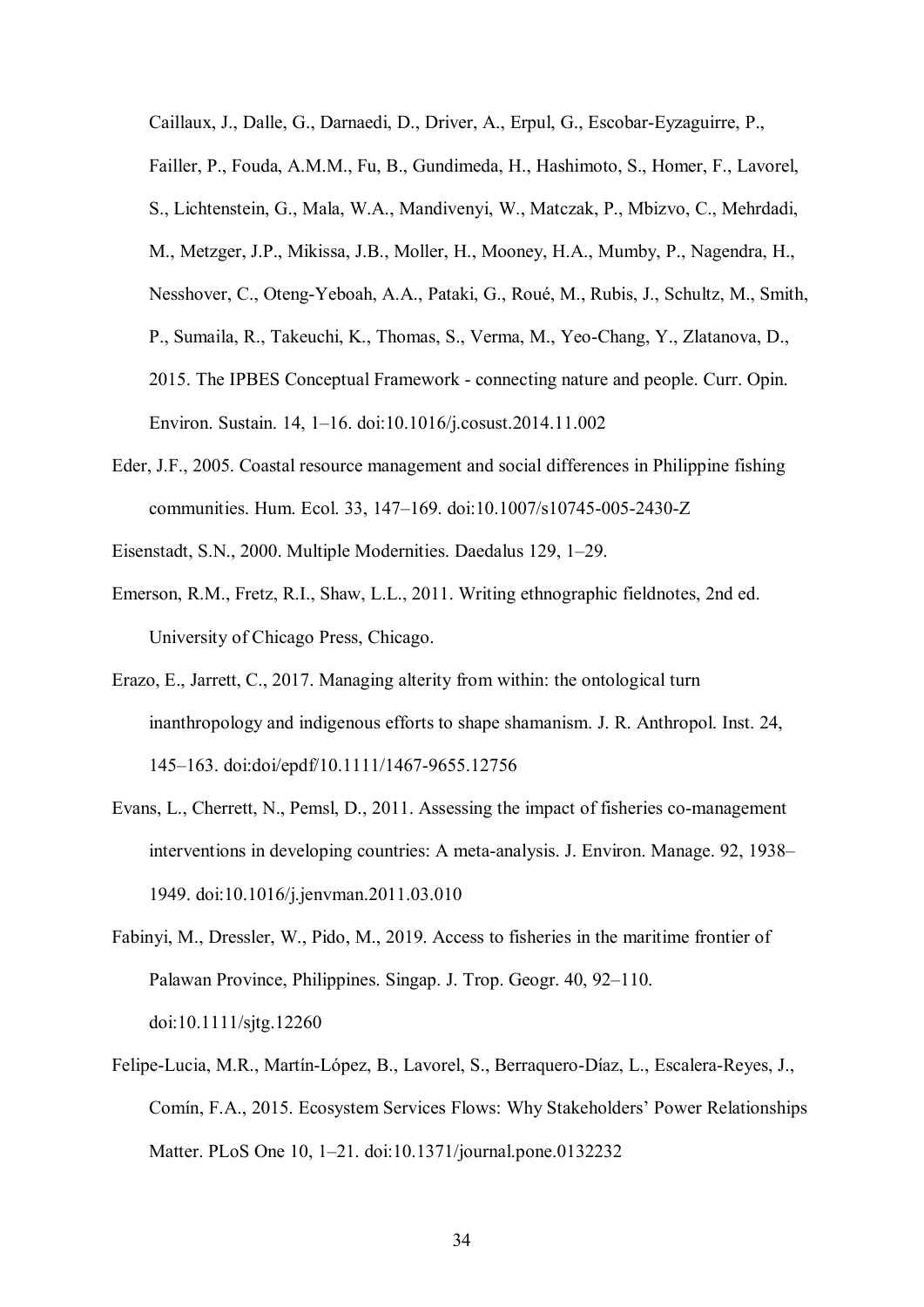Caillaux, J., Dalle, G., Darnaedi, D., Driver, A., Erpul, G., Escobar-Eyzaguirre, P., Failler, P., Fouda, A.M.M., Fu, B., Gundimeda, H., Hashimoto, S., Homer, F., Lavorel, S., Lichtenstein, G., Mala, W.A., Mandivenyi, W., Matczak, P., Mbizvo, C., Mehrdadi, M., Metzger, J.P., Mikissa, J.B., Moller, H., Mooney, H.A., Mumby, P., Nagendra, H., Nesshover, C., Oteng-Yeboah, A.A., Pataki, G., Roué, M., Rubis, J., Schultz, M., Smith, P., Sumaila, R., Takeuchi, K., Thomas, S., Verma, M., Yeo-Chang, Y., Zlatanova, D., 2015. The IPBES Conceptual Framework - connecting nature and people. Curr. Opin. Environ. Sustain. 14, 1–16. doi:10.1016/j.cosust.2014.11.002

- Eder, J.F., 2005. Coastal resource management and social differences in Philippine fishing communities. Hum. Ecol. 33, 147–169. doi:10.1007/s10745-005-2430-Z
- Eisenstadt, S.N., 2000. Multiple Modernities. Daedalus 129, 1–29.
- Emerson, R.M., Fretz, R.I., Shaw, L.L., 2011. Writing ethnographic fieldnotes, 2nd ed. University of Chicago Press, Chicago.
- Erazo, E., Jarrett, C., 2017. Managing alterity from within: the ontological turn inanthropology and indigenous efforts to shape shamanism. J. R. Anthropol. Inst. 24, 145–163. doi:doi/epdf/10.1111/1467-9655.12756
- Evans, L., Cherrett, N., Pemsl, D., 2011. Assessing the impact of fisheries co-management interventions in developing countries: A meta-analysis. J. Environ. Manage. 92, 1938– 1949. doi:10.1016/j.jenvman.2011.03.010
- Fabinyi, M., Dressler, W., Pido, M., 2019. Access to fisheries in the maritime frontier of Palawan Province, Philippines. Singap. J. Trop. Geogr. 40, 92–110. doi:10.1111/sjtg.12260
- Felipe-Lucia, M.R., Martín-López, B., Lavorel, S., Berraquero-Díaz, L., Escalera-Reyes, J., Comín, F.A., 2015. Ecosystem Services Flows: Why Stakeholders' Power Relationships Matter. PLoS One 10, 1–21. doi:10.1371/journal.pone.0132232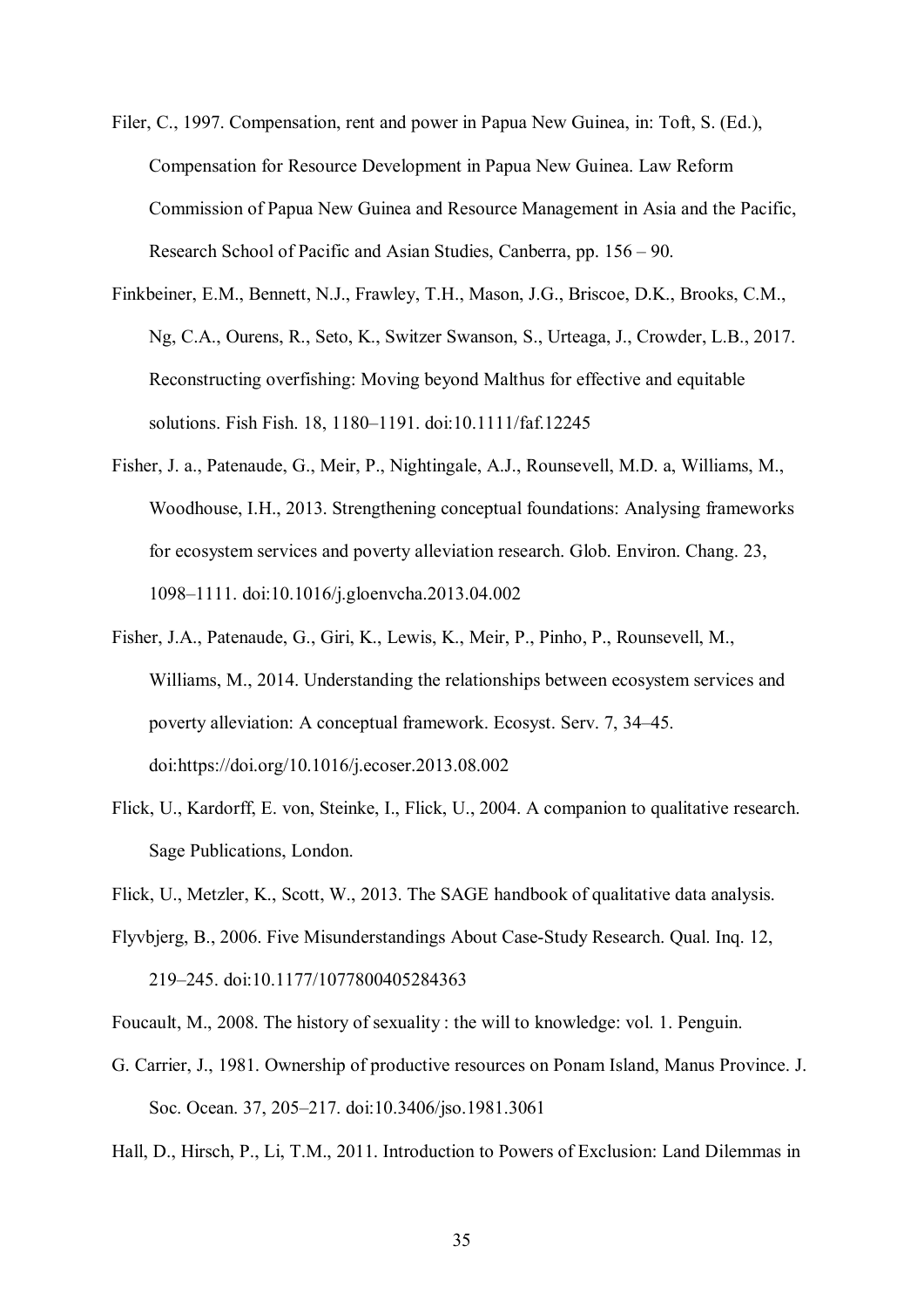- Filer, C., 1997. Compensation, rent and power in Papua New Guinea, in: Toft, S. (Ed.), Compensation for Resource Development in Papua New Guinea. Law Reform Commission of Papua New Guinea and Resource Management in Asia and the Pacific, Research School of Pacific and Asian Studies, Canberra, pp. 156 – 90.
- Finkbeiner, E.M., Bennett, N.J., Frawley, T.H., Mason, J.G., Briscoe, D.K., Brooks, C.M., Ng, C.A., Ourens, R., Seto, K., Switzer Swanson, S., Urteaga, J., Crowder, L.B., 2017. Reconstructing overfishing: Moving beyond Malthus for effective and equitable solutions. Fish Fish. 18, 1180–1191. doi:10.1111/faf.12245
- Fisher, J. a., Patenaude, G., Meir, P., Nightingale, A.J., Rounsevell, M.D. a, Williams, M., Woodhouse, I.H., 2013. Strengthening conceptual foundations: Analysing frameworks for ecosystem services and poverty alleviation research. Glob. Environ. Chang. 23, 1098–1111. doi:10.1016/j.gloenvcha.2013.04.002
- Fisher, J.A., Patenaude, G., Giri, K., Lewis, K., Meir, P., Pinho, P., Rounsevell, M., Williams, M., 2014. Understanding the relationships between ecosystem services and poverty alleviation: A conceptual framework. Ecosyst. Serv. 7, 34–45. doi:https://doi.org/10.1016/j.ecoser.2013.08.002
- Flick, U., Kardorff, E. von, Steinke, I., Flick, U., 2004. A companion to qualitative research. Sage Publications, London.

Flick, U., Metzler, K., Scott, W., 2013. The SAGE handbook of qualitative data analysis.

- Flyvbjerg, B., 2006. Five Misunderstandings About Case-Study Research. Qual. Inq. 12, 219–245. doi:10.1177/1077800405284363
- Foucault, M., 2008. The history of sexuality : the will to knowledge: vol. 1. Penguin.
- G. Carrier, J., 1981. Ownership of productive resources on Ponam Island, Manus Province. J. Soc. Ocean. 37, 205–217. doi:10.3406/jso.1981.3061

Hall, D., Hirsch, P., Li, T.M., 2011. Introduction to Powers of Exclusion: Land Dilemmas in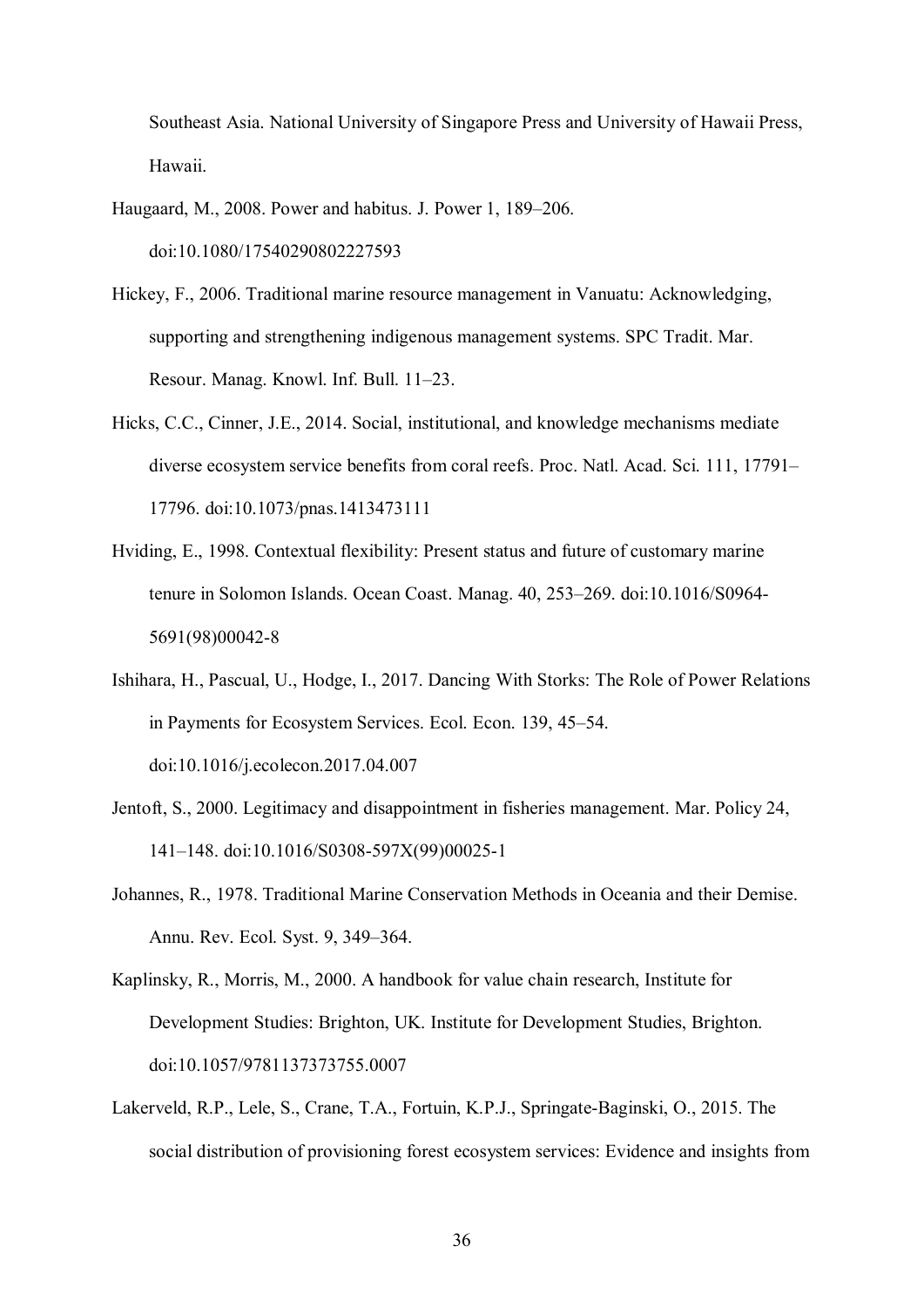Southeast Asia. National University of Singapore Press and University of Hawaii Press, Hawaii.

Haugaard, M., 2008. Power and habitus. J. Power 1, 189–206. doi:10.1080/17540290802227593

- Hickey, F., 2006. Traditional marine resource management in Vanuatu: Acknowledging, supporting and strengthening indigenous management systems. SPC Tradit. Mar. Resour. Manag. Knowl. Inf. Bull. 11–23.
- Hicks, C.C., Cinner, J.E., 2014. Social, institutional, and knowledge mechanisms mediate diverse ecosystem service benefits from coral reefs. Proc. Natl. Acad. Sci. 111, 17791– 17796. doi:10.1073/pnas.1413473111
- Hviding, E., 1998. Contextual flexibility: Present status and future of customary marine tenure in Solomon Islands. Ocean Coast. Manag. 40, 253–269. doi:10.1016/S0964- 5691(98)00042-8
- Ishihara, H., Pascual, U., Hodge, I., 2017. Dancing With Storks: The Role of Power Relations in Payments for Ecosystem Services. Ecol. Econ. 139, 45–54. doi:10.1016/j.ecolecon.2017.04.007
- Jentoft, S., 2000. Legitimacy and disappointment in fisheries management. Mar. Policy 24, 141–148. doi:10.1016/S0308-597X(99)00025-1
- Johannes, R., 1978. Traditional Marine Conservation Methods in Oceania and their Demise. Annu. Rev. Ecol. Syst. 9, 349–364.
- Kaplinsky, R., Morris, M., 2000. A handbook for value chain research, Institute for Development Studies: Brighton, UK. Institute for Development Studies, Brighton. doi:10.1057/9781137373755.0007
- Lakerveld, R.P., Lele, S., Crane, T.A., Fortuin, K.P.J., Springate-Baginski, O., 2015. The social distribution of provisioning forest ecosystem services: Evidence and insights from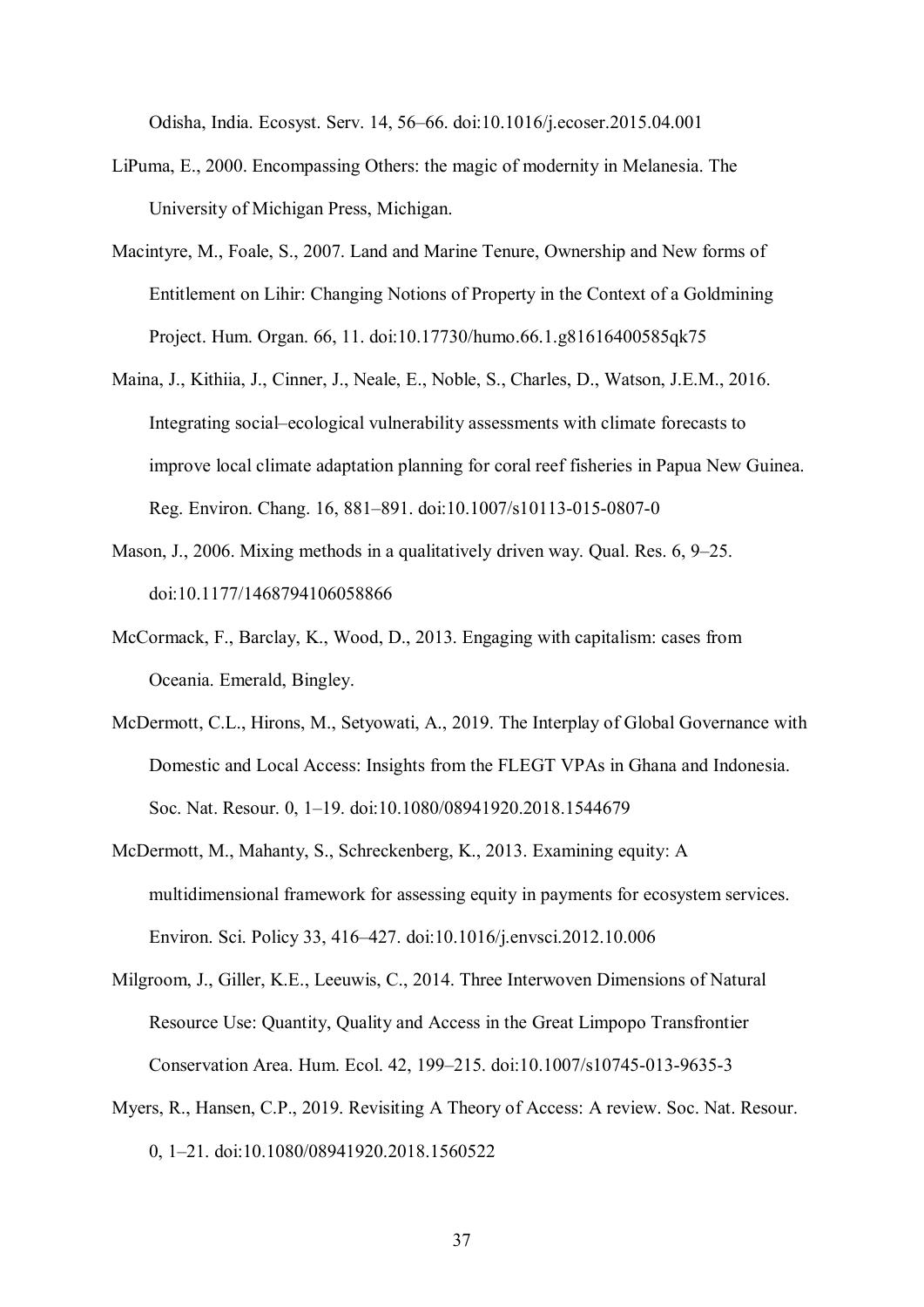Odisha, India. Ecosyst. Serv. 14, 56–66. doi:10.1016/j.ecoser.2015.04.001

- LiPuma, E., 2000. Encompassing Others: the magic of modernity in Melanesia. The University of Michigan Press, Michigan.
- Macintyre, M., Foale, S., 2007. Land and Marine Tenure, Ownership and New forms of Entitlement on Lihir: Changing Notions of Property in the Context of a Goldmining Project. Hum. Organ. 66, 11. doi:10.17730/humo.66.1.g81616400585qk75
- Maina, J., Kithiia, J., Cinner, J., Neale, E., Noble, S., Charles, D., Watson, J.E.M., 2016. Integrating social–ecological vulnerability assessments with climate forecasts to improve local climate adaptation planning for coral reef fisheries in Papua New Guinea. Reg. Environ. Chang. 16, 881–891. doi:10.1007/s10113-015-0807-0
- Mason, J., 2006. Mixing methods in a qualitatively driven way. Qual. Res. 6, 9–25. doi:10.1177/1468794106058866
- McCormack, F., Barclay, K., Wood, D., 2013. Engaging with capitalism: cases from Oceania. Emerald, Bingley.
- McDermott, C.L., Hirons, M., Setyowati, A., 2019. The Interplay of Global Governance with Domestic and Local Access: Insights from the FLEGT VPAs in Ghana and Indonesia. Soc. Nat. Resour. 0, 1–19. doi:10.1080/08941920.2018.1544679
- McDermott, M., Mahanty, S., Schreckenberg, K., 2013. Examining equity: A multidimensional framework for assessing equity in payments for ecosystem services. Environ. Sci. Policy 33, 416–427. doi:10.1016/j.envsci.2012.10.006
- Milgroom, J., Giller, K.E., Leeuwis, C., 2014. Three Interwoven Dimensions of Natural Resource Use: Quantity, Quality and Access in the Great Limpopo Transfrontier Conservation Area. Hum. Ecol. 42, 199–215. doi:10.1007/s10745-013-9635-3
- Myers, R., Hansen, C.P., 2019. Revisiting A Theory of Access: A review. Soc. Nat. Resour. 0, 1–21. doi:10.1080/08941920.2018.1560522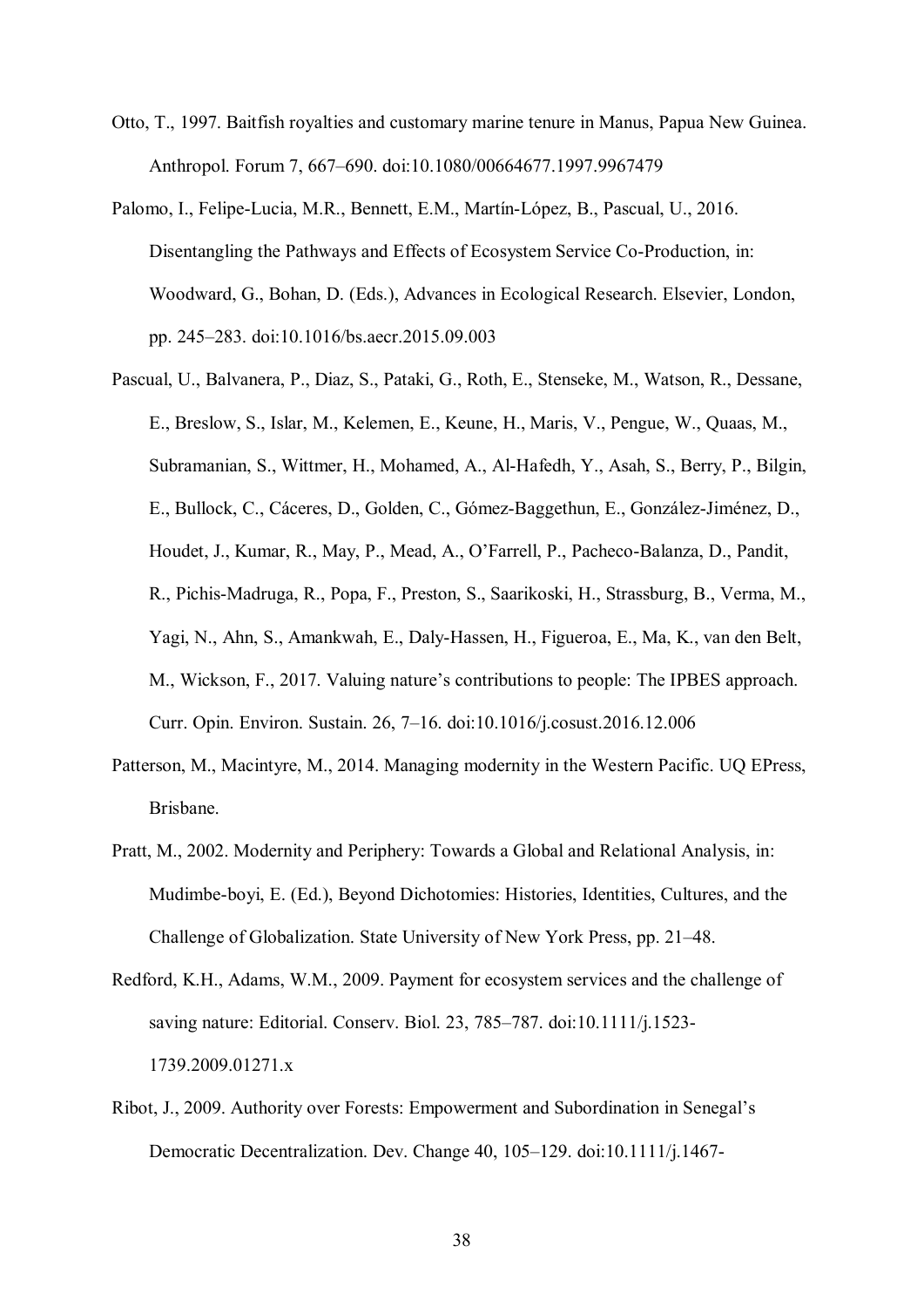- Otto, T., 1997. Baitfish royalties and customary marine tenure in Manus, Papua New Guinea. Anthropol. Forum 7, 667–690. doi:10.1080/00664677.1997.9967479
- Palomo, I., Felipe-Lucia, M.R., Bennett, E.M., Martín-López, B., Pascual, U., 2016. Disentangling the Pathways and Effects of Ecosystem Service Co-Production, in: Woodward, G., Bohan, D. (Eds.), Advances in Ecological Research. Elsevier, London, pp. 245–283. doi:10.1016/bs.aecr.2015.09.003
- Pascual, U., Balvanera, P., Diaz, S., Pataki, G., Roth, E., Stenseke, M., Watson, R., Dessane, E., Breslow, S., Islar, M., Kelemen, E., Keune, H., Maris, V., Pengue, W., Quaas, M., Subramanian, S., Wittmer, H., Mohamed, A., Al-Hafedh, Y., Asah, S., Berry, P., Bilgin, E., Bullock, C., Cáceres, D., Golden, C., Gómez-Baggethun, E., González-Jiménez, D., Houdet, J., Kumar, R., May, P., Mead, A., O'Farrell, P., Pacheco-Balanza, D., Pandit, R., Pichis-Madruga, R., Popa, F., Preston, S., Saarikoski, H., Strassburg, B., Verma, M., Yagi, N., Ahn, S., Amankwah, E., Daly-Hassen, H., Figueroa, E., Ma, K., van den Belt, M., Wickson, F., 2017. Valuing nature's contributions to people: The IPBES approach. Curr. Opin. Environ. Sustain. 26, 7–16. doi:10.1016/j.cosust.2016.12.006
- Patterson, M., Macintyre, M., 2014. Managing modernity in the Western Pacific. UQ EPress, Brisbane.
- Pratt, M., 2002. Modernity and Periphery: Towards a Global and Relational Analysis, in: Mudimbe-boyi, E. (Ed.), Beyond Dichotomies: Histories, Identities, Cultures, and the Challenge of Globalization. State University of New York Press, pp. 21–48.
- Redford, K.H., Adams, W.M., 2009. Payment for ecosystem services and the challenge of saving nature: Editorial. Conserv. Biol. 23, 785–787. doi:10.1111/j.1523- 1739.2009.01271.x
- Ribot, J., 2009. Authority over Forests: Empowerment and Subordination in Senegal's Democratic Decentralization. Dev. Change 40, 105–129. doi:10.1111/j.1467-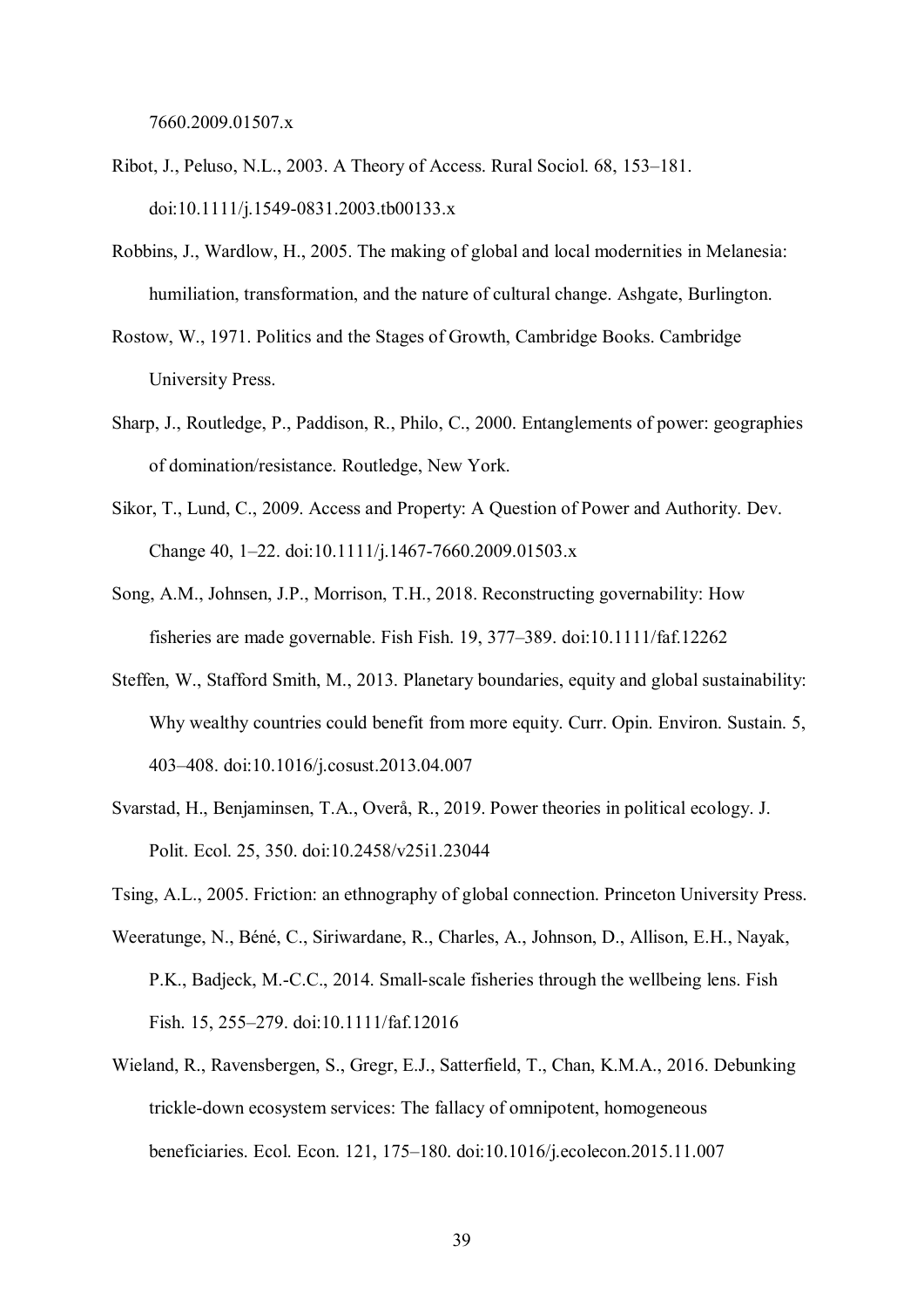7660.2009.01507.x

- Ribot, J., Peluso, N.L., 2003. A Theory of Access. Rural Sociol. 68, 153–181. doi:10.1111/j.1549-0831.2003.tb00133.x
- Robbins, J., Wardlow, H., 2005. The making of global and local modernities in Melanesia: humiliation, transformation, and the nature of cultural change. Ashgate, Burlington.
- Rostow, W., 1971. Politics and the Stages of Growth, Cambridge Books. Cambridge University Press.
- Sharp, J., Routledge, P., Paddison, R., Philo, C., 2000. Entanglements of power: geographies of domination/resistance. Routledge, New York.
- Sikor, T., Lund, C., 2009. Access and Property: A Question of Power and Authority. Dev. Change 40, 1–22. doi:10.1111/j.1467-7660.2009.01503.x
- Song, A.M., Johnsen, J.P., Morrison, T.H., 2018. Reconstructing governability: How fisheries are made governable. Fish Fish. 19, 377–389. doi:10.1111/faf.12262
- Steffen, W., Stafford Smith, M., 2013. Planetary boundaries, equity and global sustainability: Why wealthy countries could benefit from more equity. Curr. Opin. Environ. Sustain. 5, 403–408. doi:10.1016/j.cosust.2013.04.007
- Svarstad, H., Benjaminsen, T.A., Overå, R., 2019. Power theories in political ecology. J. Polit. Ecol. 25, 350. doi:10.2458/v25i1.23044

Tsing, A.L., 2005. Friction: an ethnography of global connection. Princeton University Press.

- Weeratunge, N., Béné, C., Siriwardane, R., Charles, A., Johnson, D., Allison, E.H., Nayak, P.K., Badjeck, M.-C.C., 2014. Small-scale fisheries through the wellbeing lens. Fish Fish. 15, 255–279. doi:10.1111/faf.12016
- Wieland, R., Ravensbergen, S., Gregr, E.J., Satterfield, T., Chan, K.M.A., 2016. Debunking trickle-down ecosystem services: The fallacy of omnipotent, homogeneous beneficiaries. Ecol. Econ. 121, 175–180. doi:10.1016/j.ecolecon.2015.11.007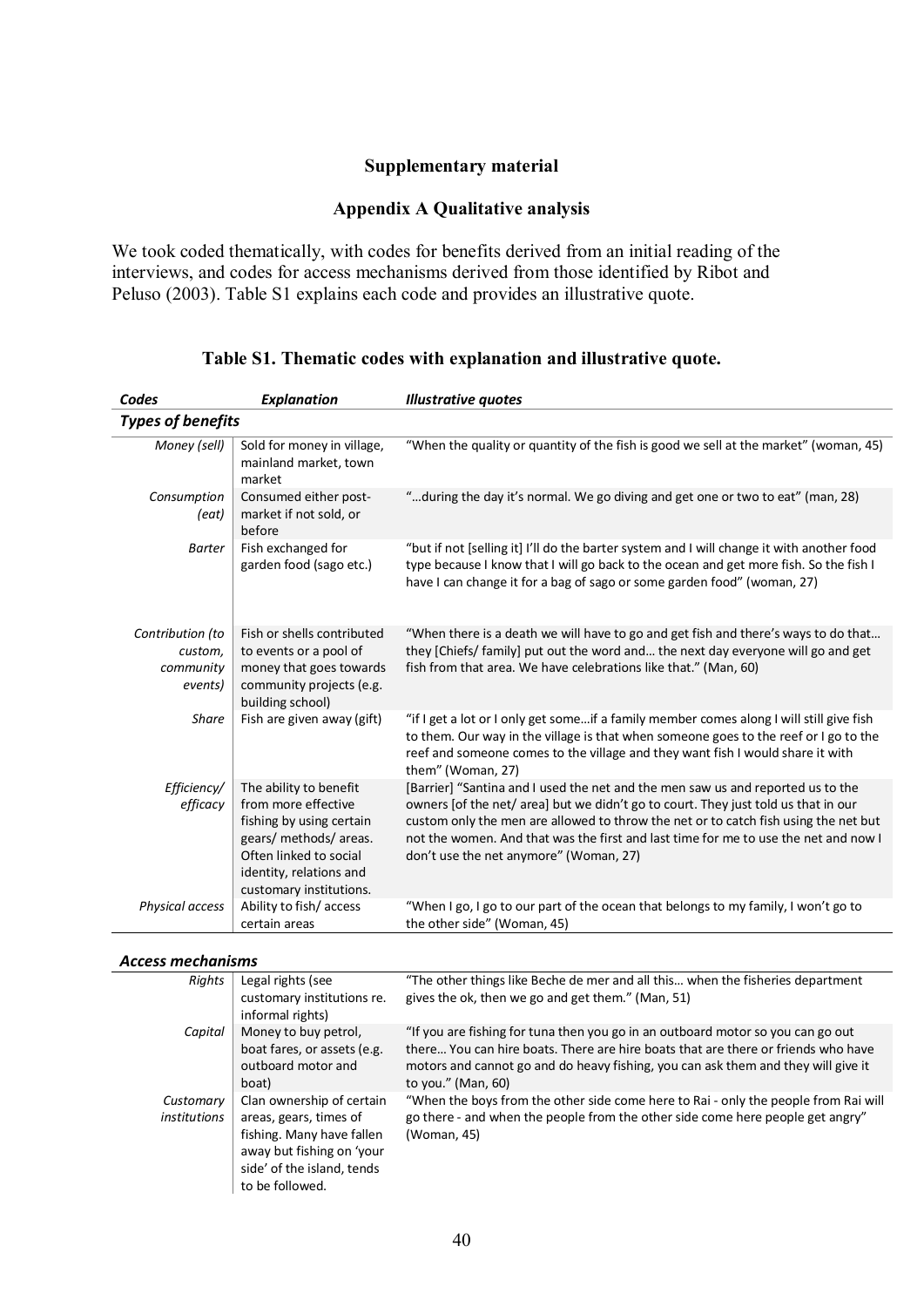## **Supplementary material**

## **Appendix A Qualitative analysis**

We took coded thematically, with codes for benefits derived from an initial reading of the interviews, and codes for access mechanisms derived from those identified by Ribot and Peluso (2003). Table S1 explains each code and provides an illustrative quote.

| Codes                                               | <b>Explanation</b>                                                                                                                                                                  | <b>Illustrative quotes</b>                                                                                                                                                                                                                                                                                                                                                                    |  |  |
|-----------------------------------------------------|-------------------------------------------------------------------------------------------------------------------------------------------------------------------------------------|-----------------------------------------------------------------------------------------------------------------------------------------------------------------------------------------------------------------------------------------------------------------------------------------------------------------------------------------------------------------------------------------------|--|--|
| <b>Types of benefits</b>                            |                                                                                                                                                                                     |                                                                                                                                                                                                                                                                                                                                                                                               |  |  |
| Money (sell)                                        | Sold for money in village,<br>mainland market, town<br>market                                                                                                                       | "When the quality or quantity of the fish is good we sell at the market" (woman, 45)                                                                                                                                                                                                                                                                                                          |  |  |
| Consumption<br>(eat)                                | Consumed either post-<br>market if not sold, or<br>before                                                                                                                           | "during the day it's normal. We go diving and get one or two to eat" (man, 28)                                                                                                                                                                                                                                                                                                                |  |  |
| <b>Barter</b>                                       | Fish exchanged for<br>garden food (sago etc.)                                                                                                                                       | "but if not [selling it] I'll do the barter system and I will change it with another food<br>type because I know that I will go back to the ocean and get more fish. So the fish I<br>have I can change it for a bag of sago or some garden food" (woman, 27)                                                                                                                                 |  |  |
| Contribution (to<br>custom,<br>community<br>events) | Fish or shells contributed<br>to events or a pool of<br>money that goes towards<br>community projects (e.g.<br>building school)                                                     | "When there is a death we will have to go and get fish and there's ways to do that<br>they [Chiefs/ family] put out the word and the next day everyone will go and get<br>fish from that area. We have celebrations like that." (Man, 60)                                                                                                                                                     |  |  |
| <b>Share</b>                                        | Fish are given away (gift)                                                                                                                                                          | "if I get a lot or I only get someif a family member comes along I will still give fish<br>to them. Our way in the village is that when someone goes to the reef or I go to the<br>reef and someone comes to the village and they want fish I would share it with<br>them" (Woman, 27)                                                                                                        |  |  |
| Efficiency/<br>efficacy                             | The ability to benefit<br>from more effective<br>fishing by using certain<br>gears/ methods/ areas.<br>Often linked to social<br>identity, relations and<br>customary institutions. | [Barrier] "Santina and I used the net and the men saw us and reported us to the<br>owners [of the net/ area] but we didn't go to court. They just told us that in our<br>custom only the men are allowed to throw the net or to catch fish using the net but<br>not the women. And that was the first and last time for me to use the net and now I<br>don't use the net anymore" (Woman, 27) |  |  |
| Physical access                                     | Ability to fish/access<br>certain areas                                                                                                                                             | "When I go, I go to our part of the ocean that belongs to my family, I won't go to<br>the other side" (Woman, 45)                                                                                                                                                                                                                                                                             |  |  |

## **Table S1. Thematic codes with explanation and illustrative quote.**

## *Access mechanisms*

| Ассеја Піссікіната        |                                                                                                                                                                |                                                                                                                                                                                                                                                                                   |
|---------------------------|----------------------------------------------------------------------------------------------------------------------------------------------------------------|-----------------------------------------------------------------------------------------------------------------------------------------------------------------------------------------------------------------------------------------------------------------------------------|
| Rights                    | Legal rights (see<br>customary institutions re.<br>informal rights)                                                                                            | "The other things like Beche de mer and all this when the fisheries department<br>gives the ok, then we go and get them." (Man, 51)                                                                                                                                               |
| Capital                   | Money to buy petrol,<br>boat fares, or assets (e.g.<br>outboard motor and<br>boat)                                                                             | "If you are fishing for tuna then you go in an outboard motor so you can go out<br>there You can hire boats. There are hire boats that are there or friends who have<br>motors and cannot go and do heavy fishing, you can ask them and they will give it<br>to you." $(Man, 60)$ |
| Customary<br>institutions | Clan ownership of certain<br>areas, gears, times of<br>fishing. Many have fallen<br>away but fishing on 'your<br>side' of the island, tends<br>to be followed. | "When the boys from the other side come here to Rai - only the people from Rai will<br>go there - and when the people from the other side come here people get angry"<br>(Woman, 45)                                                                                              |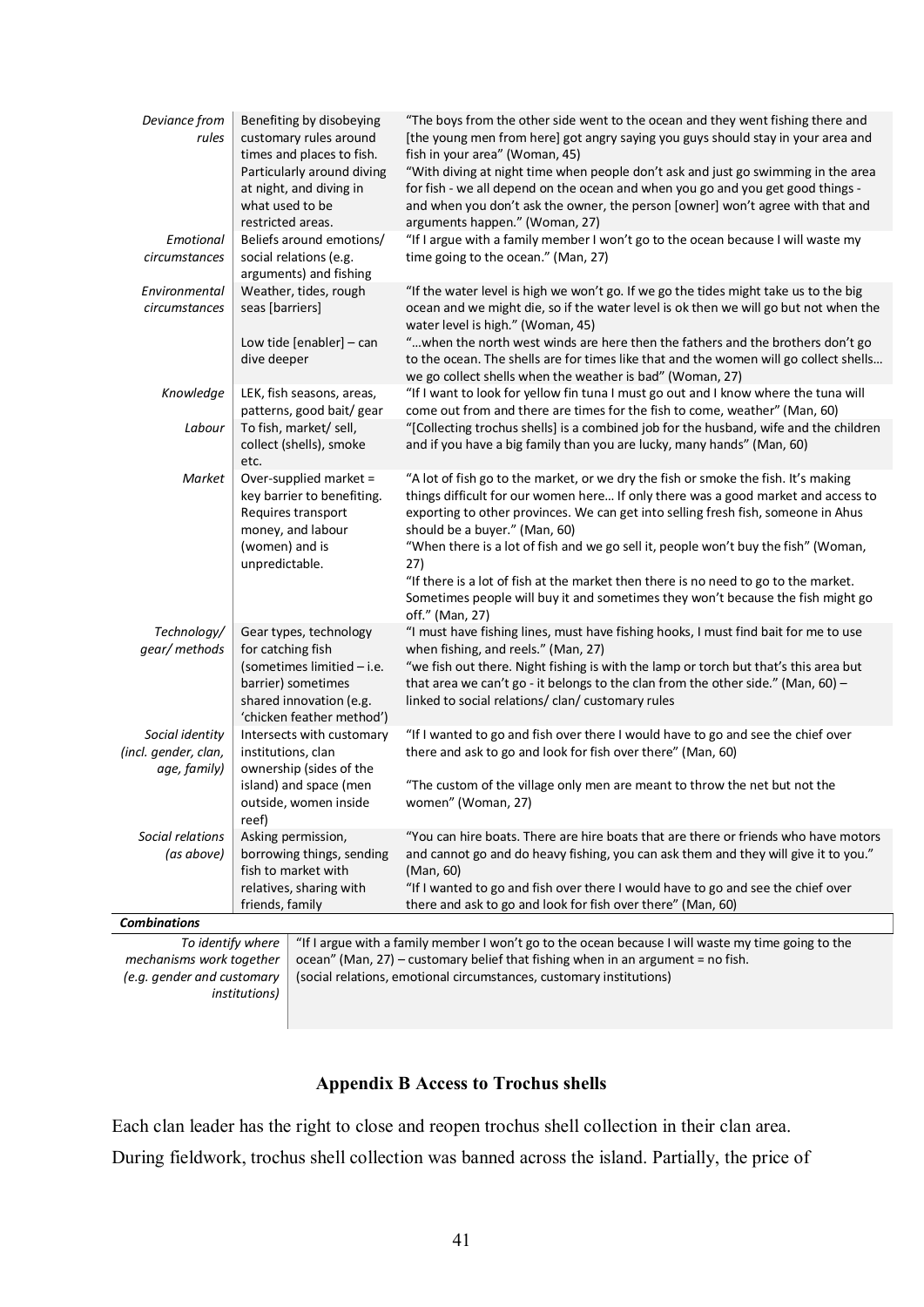| Deviance from<br>rules                                                                                                        | Benefiting by disobeying<br>customary rules around<br>times and places to fish.                                      | "The boys from the other side went to the ocean and they went fishing there and<br>[the young men from here] got angry saying you guys should stay in your area and<br>fish in your area" (Woman, 45)                                                                                                                                                                               |  |
|-------------------------------------------------------------------------------------------------------------------------------|----------------------------------------------------------------------------------------------------------------------|-------------------------------------------------------------------------------------------------------------------------------------------------------------------------------------------------------------------------------------------------------------------------------------------------------------------------------------------------------------------------------------|--|
|                                                                                                                               | Particularly around diving<br>at night, and diving in<br>what used to be<br>restricted areas.                        | "With diving at night time when people don't ask and just go swimming in the area<br>for fish - we all depend on the ocean and when you go and you get good things -<br>and when you don't ask the owner, the person [owner] won't agree with that and<br>arguments happen." (Woman, 27)                                                                                            |  |
| Emotional<br>circumstances                                                                                                    | Beliefs around emotions/<br>social relations (e.g.<br>arguments) and fishing                                         | "If I argue with a family member I won't go to the ocean because I will waste my<br>time going to the ocean." (Man, 27)                                                                                                                                                                                                                                                             |  |
| Environmental<br>circumstances                                                                                                | Weather, tides, rough<br>seas [barriers]                                                                             | "If the water level is high we won't go. If we go the tides might take us to the big<br>ocean and we might die, so if the water level is ok then we will go but not when the<br>water level is high." (Woman, 45)                                                                                                                                                                   |  |
|                                                                                                                               | Low tide [enabler] $-$ can<br>dive deeper                                                                            | "when the north west winds are here then the fathers and the brothers don't go<br>to the ocean. The shells are for times like that and the women will go collect shells<br>we go collect shells when the weather is bad" (Woman, 27)                                                                                                                                                |  |
| Knowledge                                                                                                                     | LEK, fish seasons, areas,<br>patterns, good bait/ gear                                                               | "If I want to look for yellow fin tuna I must go out and I know where the tuna will<br>come out from and there are times for the fish to come, weather" (Man, 60)                                                                                                                                                                                                                   |  |
| Labour                                                                                                                        | To fish, market/ sell,<br>collect (shells), smoke<br>etc.                                                            | "[Collecting trochus shells] is a combined job for the husband, wife and the children<br>and if you have a big family than you are lucky, many hands" (Man, 60)                                                                                                                                                                                                                     |  |
| Market                                                                                                                        | Over-supplied market =<br>key barrier to benefiting.<br>Requires transport<br>money, and labour<br>(women) and is    | "A lot of fish go to the market, or we dry the fish or smoke the fish. It's making<br>things difficult for our women here If only there was a good market and access to<br>exporting to other provinces. We can get into selling fresh fish, someone in Ahus<br>should be a buyer." (Man, 60)<br>"When there is a lot of fish and we go sell it, people won't buy the fish" (Woman, |  |
|                                                                                                                               | unpredictable.                                                                                                       | 27)<br>"If there is a lot of fish at the market then there is no need to go to the market.<br>Sometimes people will buy it and sometimes they won't because the fish might go<br>off." (Man, 27)                                                                                                                                                                                    |  |
| Technology/<br>gear/ methods                                                                                                  | Gear types, technology<br>for catching fish                                                                          | "I must have fishing lines, must have fishing hooks, I must find bait for me to use<br>when fishing, and reels." (Man, 27)                                                                                                                                                                                                                                                          |  |
|                                                                                                                               | (sometimes limitied - i.e.<br>barrier) sometimes<br>shared innovation (e.g.<br>'chicken feather method')             | "we fish out there. Night fishing is with the lamp or torch but that's this area but<br>that area we can't go - it belongs to the clan from the other side." (Man, 60) -<br>linked to social relations/clan/customary rules                                                                                                                                                         |  |
| Social identity<br>(incl. gender, clan,<br>age, family)                                                                       | Intersects with customary<br>institutions, clan<br>ownership (sides of the                                           | "If I wanted to go and fish over there I would have to go and see the chief over<br>there and ask to go and look for fish over there" (Man, 60)                                                                                                                                                                                                                                     |  |
|                                                                                                                               | island) and space (men<br>outside, women inside<br>reef)                                                             | "The custom of the village only men are meant to throw the net but not the<br>women" (Woman, 27)                                                                                                                                                                                                                                                                                    |  |
| Social relations<br>(as above)                                                                                                | Asking permission,<br>borrowing things, sending<br>fish to market with<br>relatives, sharing with<br>friends, family | "You can hire boats. There are hire boats that are there or friends who have motors<br>and cannot go and do heavy fishing, you can ask them and they will give it to you."<br>(Man, 60)<br>"If I wanted to go and fish over there I would have to go and see the chief over<br>there and ask to go and look for fish over there" (Man, 60)                                          |  |
| <b>Combinations</b>                                                                                                           |                                                                                                                      |                                                                                                                                                                                                                                                                                                                                                                                     |  |
| To identify where                                                                                                             |                                                                                                                      | "If I argue with a family member I won't go to the ocean because I will waste my time going to the<br>ocean" (Man, 27) - customary belief that fishing when in an argument = no fish.                                                                                                                                                                                               |  |
| mechanisms work together<br>(e.g. gender and customary<br>(social relations, emotional circumstances, customary institutions) |                                                                                                                      |                                                                                                                                                                                                                                                                                                                                                                                     |  |
|                                                                                                                               | <i>institutions</i> )                                                                                                |                                                                                                                                                                                                                                                                                                                                                                                     |  |

# **Appendix B Access to Trochus shells**

Each clan leader has the right to close and reopen trochus shell collection in their clan area.

During fieldwork, trochus shell collection was banned across the island. Partially, the price of